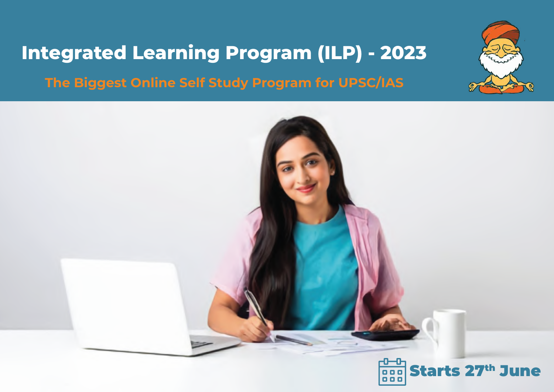# **Integrated Learning Program (ILP) - 2023 The Biggest Online Self Study Program for UPSC/IAS**



![](_page_0_Picture_2.jpeg)

![](_page_0_Picture_3.jpeg)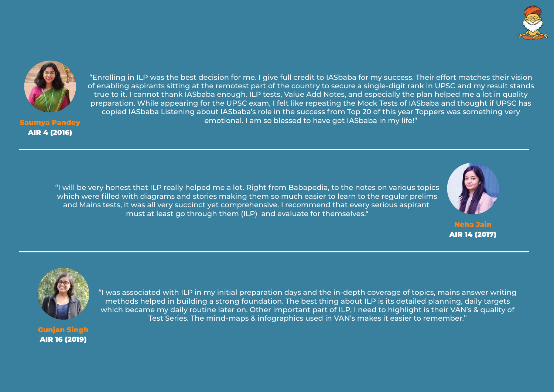"Enrolling in ILP was the best decision for me. I give full credit to IASbaba for my success. Their effort matches their vision of enabling aspirants sitting at the remotest part of the country to secure a single-digit rank in UPSC and my result stands true to it. I cannot thank IASbaba enough. ILP tests, Value Add Notes, and especially the plan helped me a lot in quality preparation. While appearing for the UPSC exam, I felt like repeating the Mock Tests of IASbaba and thought if UPSC has copied IASbaba Listening about IASbaba's role in the success from Top 20 of this year Toppers was something very Saumya Pandey emotional. I am so blessed to have got IASbaba in my life!"

![](_page_1_Picture_0.jpeg)

AIR 4 (2016)

"I will be very honest that ILP really helped me a lot. Right from Babapedia, to the notes on various topics which were filled with diagrams and stories making them so much easier to learn to the regular prelims and Mains tests, it was all very succinct yet comprehensive. I recommend that every serious aspirant must at least go through them (ILP) and evaluate for themselves."

![](_page_1_Picture_3.jpeg)

Neha Jain AIR 14 (2017)

"I was associated with ILP in my initial preparation days and the in-depth coverage of topics, mains answer writing methods helped in building a strong foundation. The best thing about ILP is its detailed planning, daily targets which became my daily routine later on. Other important part of ILP, I need to highlight is their VAN's & quality of Test Series. The mind-maps & infographics used in VAN's makes it easier to remember."

Gunjan Singh AIR 16 (2019)

![](_page_1_Picture_6.jpeg)

![](_page_1_Picture_7.jpeg)

![](_page_1_Picture_8.jpeg)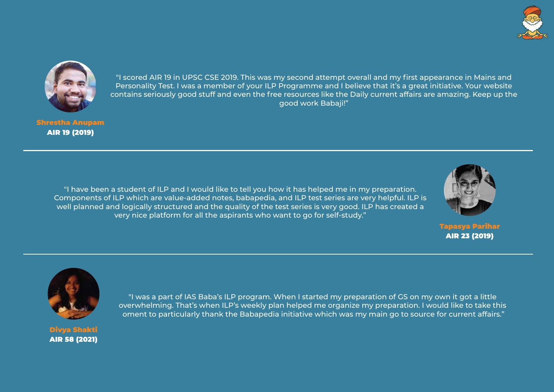![](_page_2_Picture_0.jpeg)

"I scored AIR 19 in UPSC CSE 2019. This was my second attempt overall and my first appearance in Mains and Personality Test. I was a member of your ILP Programme and I believe that it's a great initiative. Your website contains seriously good stuff and even the free resources like the Daily current affairs are amazing. Keep up the good work Babaji!"

Shrestha Anupam AIR 19 (2019)

> "I have been a student of ILP and I would like to tell you how it has helped me in my preparation. Components of ILP which are value-added notes, babapedia, and ILP test series are very helpful. ILP is well planned and logically structured and the quality of the test series is very good. ILP has created a very nice platform for all the aspirants who want to go for self-study."

![](_page_2_Picture_4.jpeg)

![](_page_2_Picture_8.jpeg)

AIR 23 (2019)

"I was a part of IAS Baba's ILP program. When I started my preparation of GS on my own it got a little overwhelming. That's when ILP's weekly plan helped me organize my preparation. I would like to take this oment to particularly thank the Babapedia initiative which was my main go to source for current affairs."

![](_page_2_Picture_7.jpeg)

Divya Shakti AIR 58 (2021)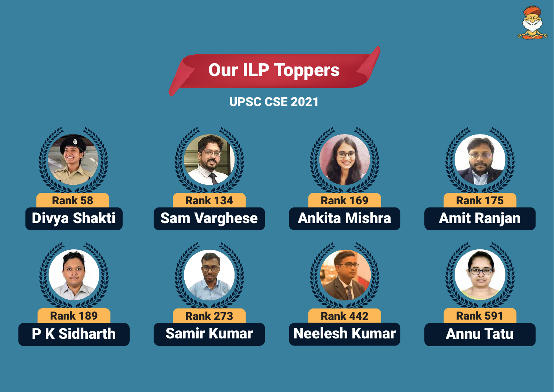![](_page_3_Picture_0.jpeg)

![](_page_3_Picture_2.jpeg)

![](_page_3_Picture_3.jpeg)

Rank 134

Sam Varghese

![](_page_3_Picture_9.jpeg)

Ankita Mishra

![](_page_3_Picture_13.jpeg)

## Amit Ranjan

![](_page_3_Picture_6.jpeg)

![](_page_3_Picture_7.jpeg)

Samir Kumar

![](_page_3_Picture_11.jpeg)

![](_page_3_Picture_12.jpeg)

![](_page_3_Picture_15.jpeg)

# Annu Tatu

## UPSC CSE 2021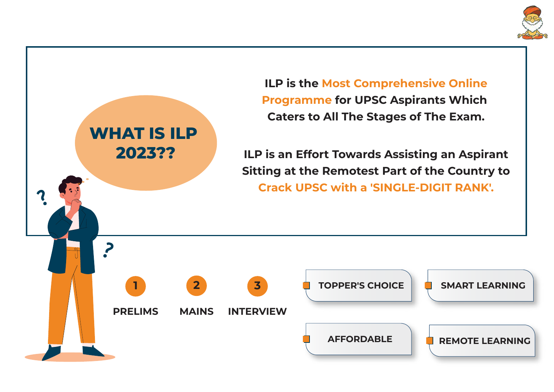![](_page_4_Figure_0.jpeg)

![](_page_4_Picture_1.jpeg)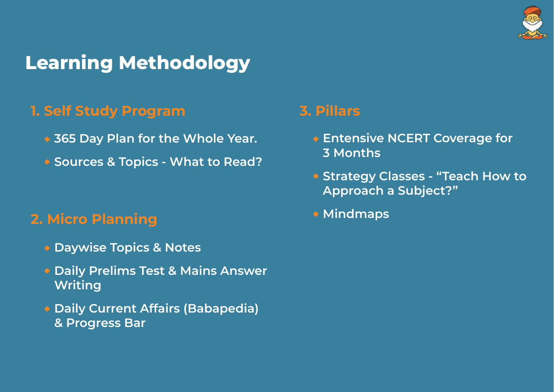# **Learning Methodology**

## **2. Micro Planning**

- **Entensive NCERT Coverage for 3 Months**
- **Approach a Subject?"**
- **Mindmaps**

![](_page_5_Picture_12.jpeg)

- **Daywise Topics & Notes**
- **Daily Prelims Test & Mains Answer Writing**
- **Daily Current Affairs (Babapedia) & Progress Bar**
- **365 Day Plan for the Whole Year.**
- **Sources & Topics What to Read?**

## **3. Pillars**

# **Strategy Classes - "Teach How to**

## **1. Self Study Program**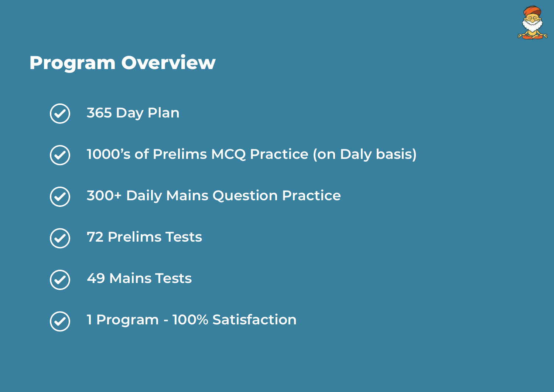# **Program Overview**

- **365 Day Plan**  $\left(\blacktriangledown\right)$
- **1000's of Prelims MCQ Practice (on Daly basis)**  $\left(\blacktriangledown\right)$
- **300+ Daily Mains Question Practice**  $\left(\blacktriangledown\right)$
- **72 Prelims Tests**  $\left(\blacktriangledown\right)$
- **49 Mains Tests**  $\left(\blacktriangledown\right)$
- **1 Program 100% Satisfaction** $(\checkmark)$

![](_page_6_Picture_7.jpeg)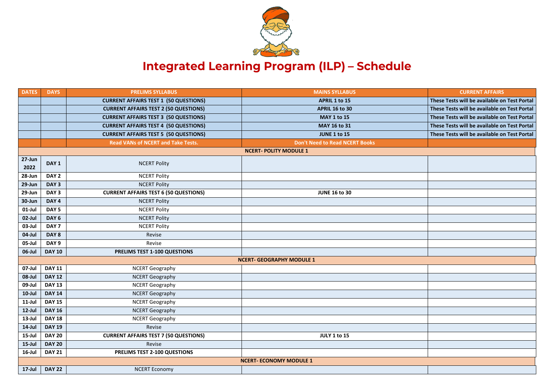![](_page_7_Picture_0.jpeg)

## **Integrated Learning Program (ILP) - Schedule**

| <b>DATES</b>       | <b>DAYS</b>      | <b>PRELIMS SYLLABUS</b>                      | <b>MAINS SYLLABUS</b>                 | <b>CURRENT AFFAIRS</b>          |
|--------------------|------------------|----------------------------------------------|---------------------------------------|---------------------------------|
|                    |                  |                                              |                                       |                                 |
|                    |                  | <b>CURRENT AFFAIRS TEST 1 (50 QUESTIONS)</b> | <b>APRIL 1 to 15</b>                  | These Tests will be available o |
|                    |                  | <b>CURRENT AFFAIRS TEST 2 (50 QUESTIONS)</b> | <b>APRIL 16 to 30</b>                 | These Tests will be available o |
|                    |                  | <b>CURRENT AFFAIRS TEST 3 (50 QUESTIONS)</b> | <b>MAY 1 to 15</b>                    | These Tests will be available o |
|                    |                  | <b>CURRENT AFFAIRS TEST 4 (50 QUESTIONS)</b> | <b>MAY 16 to 31</b>                   | These Tests will be available o |
|                    |                  | <b>CURRENT AFFAIRS TEST 5 (50 QUESTIONS)</b> | <b>JUNE 1 to 15</b>                   | These Tests will be available o |
|                    |                  | <b>Read VANs of NCERT and Take Tests.</b>    | <b>Don't Need to Read NCERT Books</b> |                                 |
|                    |                  |                                              | <b>NCERT-POLITY MODULE 1</b>          |                                 |
| $27 - Jun$<br>2022 | DAY 1            | <b>NCERT Polity</b>                          |                                       |                                 |
| 28-Jun             | DAY <sub>2</sub> | <b>NCERT Polity</b>                          |                                       |                                 |
| 29-Jun             | DAY <sub>3</sub> | <b>NCERT Polity</b>                          |                                       |                                 |
| 29-Jun             | DAY <sub>3</sub> | <b>CURRENT AFFAIRS TEST 6 (50 QUESTIONS)</b> | <b>JUNE 16 to 30</b>                  |                                 |
| 30-Jun             | DAY <sub>4</sub> | <b>NCERT Polity</b>                          |                                       |                                 |
| $01$ -Jul          | DAY <sub>5</sub> | <b>NCERT Polity</b>                          |                                       |                                 |
| 02-Jul             | DAY <sub>6</sub> | <b>NCERT Polity</b>                          |                                       |                                 |
| 03-Jul             | DAY <sub>7</sub> | <b>NCERT Polity</b>                          |                                       |                                 |
| 04-Jul             | DAY 8            | Revise                                       |                                       |                                 |
| 05-Jul             | DAY <sub>9</sub> | Revise                                       |                                       |                                 |
| 06-Jul             | <b>DAY 10</b>    | PRELIMS TEST 1-100 QUESTIONS                 |                                       |                                 |
|                    |                  |                                              | <b>NCERT- GEOGRAPHY MODULE 1</b>      |                                 |
| 07-Jul             | <b>DAY 11</b>    | <b>NCERT Geography</b>                       |                                       |                                 |
| 08-Jul             | <b>DAY 12</b>    | <b>NCERT Geography</b>                       |                                       |                                 |
| 09-Jul             | <b>DAY 13</b>    | <b>NCERT Geography</b>                       |                                       |                                 |
| $10$ -Jul          | <b>DAY 14</b>    | <b>NCERT Geography</b>                       |                                       |                                 |
| $11$ -Jul          | <b>DAY 15</b>    | <b>NCERT Geography</b>                       |                                       |                                 |
| $12$ -Jul          | <b>DAY 16</b>    | <b>NCERT Geography</b>                       |                                       |                                 |
| $13$ -Jul          | <b>DAY 18</b>    | <b>NCERT Geography</b>                       |                                       |                                 |
| $14$ -Jul          | <b>DAY 19</b>    | Revise                                       |                                       |                                 |
| $15$ -Jul          | <b>DAY 20</b>    | <b>CURRENT AFFAIRS TEST 7 (50 QUESTIONS)</b> | <b>JULY 1 to 15</b>                   |                                 |
| $15$ -Jul          | <b>DAY 20</b>    | Revise                                       |                                       |                                 |
| $16$ -Jul          | <b>DAY 21</b>    | PRELIMS TEST 2-100 QUESTIONS                 |                                       |                                 |
|                    |                  |                                              | <b>NCERT-ECONOMY MODULE 1</b>         |                                 |
| $17$ -Jul          | <b>DAY 22</b>    | <b>NCERT Economy</b>                         |                                       |                                 |
|                    |                  |                                              |                                       |                                 |

**These Tests will be available on Test Portal These Tests will be available on Test Portal These Tests will be available on Test Portal These Tests will be available on Test Portal These Tests will be available on Test Portal**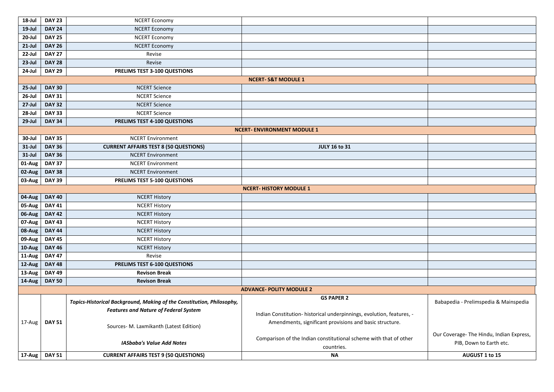| 18-Jul    | <b>DAY 23</b> | <b>NCERT Economy</b>                                                  |                                                                                 |                                                   |
|-----------|---------------|-----------------------------------------------------------------------|---------------------------------------------------------------------------------|---------------------------------------------------|
| $19$ -Jul | <b>DAY 24</b> | <b>NCERT Economy</b>                                                  |                                                                                 |                                                   |
| $20$ -Jul | <b>DAY 25</b> | <b>NCERT Economy</b>                                                  |                                                                                 |                                                   |
| $21$ -Jul | <b>DAY 26</b> | <b>NCERT Economy</b>                                                  |                                                                                 |                                                   |
| 22-Jul    | <b>DAY 27</b> | Revise                                                                |                                                                                 |                                                   |
| $23$ -Jul | <b>DAY 28</b> | Revise                                                                |                                                                                 |                                                   |
| 24-Jul    | <b>DAY 29</b> | PRELIMS TEST 3-100 QUESTIONS                                          |                                                                                 |                                                   |
|           |               |                                                                       | <b>NCERT-S&amp;T MODULE 1</b>                                                   |                                                   |
| $25$ -Jul | <b>DAY 30</b> | <b>NCERT Science</b>                                                  |                                                                                 |                                                   |
| $26$ -Jul | <b>DAY 31</b> | <b>NCERT Science</b>                                                  |                                                                                 |                                                   |
| $27$ -Jul | <b>DAY 32</b> | <b>NCERT Science</b>                                                  |                                                                                 |                                                   |
| 28-Jul    | <b>DAY 33</b> | <b>NCERT Science</b>                                                  |                                                                                 |                                                   |
| $29$ -Jul | <b>DAY 34</b> | PRELIMS TEST 4-100 QUESTIONS                                          |                                                                                 |                                                   |
|           |               |                                                                       | <b>NCERT- ENVIRONMENT MODULE 1</b>                                              |                                                   |
| 30-Jul    | <b>DAY 35</b> | <b>NCERT Environment</b>                                              |                                                                                 |                                                   |
| $31$ -Jul | <b>DAY 36</b> | <b>CURRENT AFFAIRS TEST 8 (50 QUESTIONS)</b>                          | <b>JULY 16 to 31</b>                                                            |                                                   |
| $31$ -Jul | <b>DAY 36</b> | <b>NCERT Environment</b>                                              |                                                                                 |                                                   |
| 01-Aug    | <b>DAY 37</b> | <b>NCERT Environment</b>                                              |                                                                                 |                                                   |
| 02-Aug    | <b>DAY 38</b> | <b>NCERT Environment</b>                                              |                                                                                 |                                                   |
| 03-Aug    | <b>DAY 39</b> | PRELIMS TEST 5-100 QUESTIONS                                          |                                                                                 |                                                   |
|           |               |                                                                       | <b>NCERT-HISTORY MODULE 1</b>                                                   |                                                   |
| 04-Aug    | <b>DAY 40</b> | <b>NCERT History</b>                                                  |                                                                                 |                                                   |
| 05-Aug    | <b>DAY 41</b> | <b>NCERT History</b>                                                  |                                                                                 |                                                   |
| 06-Aug    | <b>DAY 42</b> | <b>NCERT History</b>                                                  |                                                                                 |                                                   |
| 07-Aug    | <b>DAY 43</b> | <b>NCERT History</b>                                                  |                                                                                 |                                                   |
| 08-Aug    | <b>DAY 44</b> | <b>NCERT History</b>                                                  |                                                                                 |                                                   |
| 09-Aug    | <b>DAY 45</b> | <b>NCERT History</b>                                                  |                                                                                 |                                                   |
| 10-Aug    | <b>DAY 46</b> | <b>NCERT History</b>                                                  |                                                                                 |                                                   |
| 11-Aug    | <b>DAY 47</b> | Revise                                                                |                                                                                 |                                                   |
| 12-Aug    | <b>DAY 48</b> | PRELIMS TEST 6-100 QUESTIONS                                          |                                                                                 |                                                   |
| 13-Aug    | <b>DAY 49</b> | <b>Revison Break</b>                                                  |                                                                                 |                                                   |
| 14-Aug    | <b>DAY 50</b> | <b>Revison Break</b>                                                  |                                                                                 |                                                   |
|           |               |                                                                       | <b>ADVANCE- POLITY MODULE 2</b>                                                 |                                                   |
|           |               | Topics-Historical Background, Making of the Constitution, Philosophy, | <b>GS PAPER 2</b>                                                               | Babapedia - Prelimspedia &                        |
|           |               | <b>Features and Nature of Federal System</b>                          |                                                                                 |                                                   |
|           |               |                                                                       | Indian Constitution- historical underpinnings, evolution, features, -           |                                                   |
| 17-Aug    | <b>DAY 51</b> | Sources- M. Laxmikanth (Latest Edition)                               | Amendments, significant provisions and basic structure.                         |                                                   |
|           |               | <b>IASbaba's Value Add Notes</b>                                      | Comparison of the Indian constitutional scheme with that of other<br>countries. | Our Coverage- The Hindu, In<br>PIB, Down to Earth |
| 17-Aug    | <b>DAY 51</b> | <b>CURRENT AFFAIRS TEST 9 (50 QUESTIONS)</b>                          | <b>NA</b>                                                                       | AUGUST 1 to 15                                    |

| Babapedia - Prelimspedia & Mainspedia    |
|------------------------------------------|
|                                          |
|                                          |
|                                          |
| Our Coverage- The Hindu, Indian Express, |
| PIB, Down to Earth etc.                  |
| <b>AUGUST 1 to 15</b>                    |
|                                          |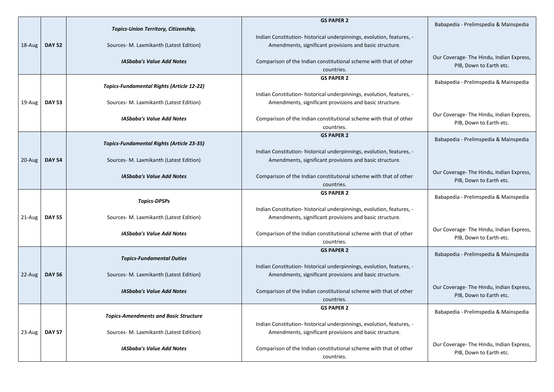| 18-Aug | <b>DAY 52</b> | Topics-Union Territory, Citizenship,<br>Sources- M. Laxmikanth (Latest Edition)<br><b>IASbaba's Value Add Notes</b><br><b>Topics-Fundamental Rights (Article 12-22)</b> | <b>GS PAPER 2</b><br>Indian Constitution- historical underpinnings, evolution, features, -<br>Amendments, significant provisions and basic structure.<br>Comparison of the Indian constitutional scheme with that of other<br>countries.<br><b>GS PAPER 2</b> |
|--------|---------------|-------------------------------------------------------------------------------------------------------------------------------------------------------------------------|---------------------------------------------------------------------------------------------------------------------------------------------------------------------------------------------------------------------------------------------------------------|
| 19-Aug | <b>DAY 53</b> | Sources- M. Laxmikanth (Latest Edition)<br><b>IASbaba's Value Add Notes</b>                                                                                             | Indian Constitution- historical underpinnings, evolution, features, -<br>Amendments, significant provisions and basic structure.<br>Comparison of the Indian constitutional scheme with that of other<br>countries.                                           |
| 20-Aug | <b>DAY 54</b> | <b>Topics-Fundamental Rights (Article 23-35)</b><br>Sources- M. Laxmikanth (Latest Edition)<br><b>IASbaba's Value Add Notes</b>                                         | <b>GS PAPER 2</b><br>Indian Constitution- historical underpinnings, evolution, features, -<br>Amendments, significant provisions and basic structure.<br>Comparison of the Indian constitutional scheme with that of other<br>countries.                      |
| 21-Aug | <b>DAY 55</b> | <b>Topics-DPSPs</b><br>Sources- M. Laxmikanth (Latest Edition)<br><b>IASbaba's Value Add Notes</b>                                                                      | <b>GS PAPER 2</b><br>Indian Constitution- historical underpinnings, evolution, features, -<br>Amendments, significant provisions and basic structure.<br>Comparison of the Indian constitutional scheme with that of other<br>countries.                      |
| 22-Aug | <b>DAY 56</b> | <b>Topics-Fundamental Duties</b><br>Sources- M. Laxmikanth (Latest Edition)                                                                                             | <b>GS PAPER 2</b><br>Indian Constitution- historical underpinnings, evolution, features, -<br>Amendments, significant provisions and basic structure.                                                                                                         |
|        |               | <b>IASbaba's Value Add Notes</b>                                                                                                                                        | Comparison of the Indian constitutional scheme with that of other<br>countries.                                                                                                                                                                               |

Babapedia - Prelimspedia & Mainspedia Our Coverage- The Hindu, Indian Express, PIB, Down to Earth etc. Babapedia - Prelimspedia & Mainspedia Our Coverage- The Hindu, Indian Express, PIB, Down to Earth etc. Babapedia - Prelimspedia & Mainspedia Our Coverage- The Hindu, Indian Express, PIB, Down to Earth etc. Babapedia - Prelimspedia & Mainspedia Our Coverage- The Hindu, Indian Express, PIB, Down to Earth etc. Babapedia - Prelimspedia & Mainspedia Our Coverage- The Hindu, Indian Express, PIB, Down to Earth etc. Babapedia - Prelimspedia & Mainspedia

Our Coverage- The Hindu, Indian Express, PIB, Down to Earth etc.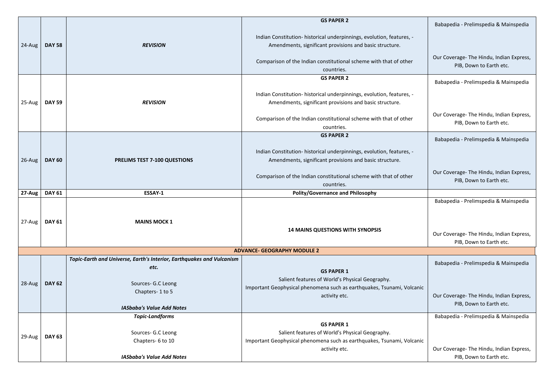|               |               |                                                                                                                                                            | <b>GS PAPER 2</b>                                                                                                                                                                                                                        |
|---------------|---------------|------------------------------------------------------------------------------------------------------------------------------------------------------------|------------------------------------------------------------------------------------------------------------------------------------------------------------------------------------------------------------------------------------------|
| 24-Aug        | <b>DAY 58</b> | <b>REVISION</b>                                                                                                                                            | Indian Constitution- historical underpinnings, evolution, features, -<br>Amendments, significant provisions and basic structure.<br>Comparison of the Indian constitutional scheme with that of other<br>countries.                      |
| 25-Aug        | <b>DAY 59</b> | <b>REVISION</b>                                                                                                                                            | <b>GS PAPER 2</b><br>Indian Constitution- historical underpinnings, evolution, features, -<br>Amendments, significant provisions and basic structure.<br>Comparison of the Indian constitutional scheme with that of other<br>countries. |
| 26-Aug        | <b>DAY 60</b> | PRELIMS TEST 7-100 QUESTIONS                                                                                                                               | <b>GS PAPER 2</b><br>Indian Constitution- historical underpinnings, evolution, features, -<br>Amendments, significant provisions and basic structure.<br>Comparison of the Indian constitutional scheme with that of other<br>countries. |
| 27-Aug        | <b>DAY 61</b> | ESSAY-1                                                                                                                                                    | <b>Polity/Governance and Philosophy</b>                                                                                                                                                                                                  |
| $27$ -Aug $ $ | <b>DAY 61</b> | <b>MAINS MOCK 1</b>                                                                                                                                        | <b>14 MAINS QUESTIONS WITH SYNOPSIS</b>                                                                                                                                                                                                  |
|               |               |                                                                                                                                                            | <b>ADVANCE- GEOGRAPHY MODULE 2</b>                                                                                                                                                                                                       |
| 28-Aug        | <b>DAY 62</b> | Topic-Earth and Universe, Earth's Interior, Earthquakes and Vulcanism<br>etc.<br>Sources- G.C Leong<br>Chapters-1 to 5<br><b>IASbaba's Value Add Notes</b> | <b>GS PAPER 1</b><br>Salient features of World's Physical Geography.<br>Important Geophysical phenomena such as earthquakes, Tsunami, Volcanic<br>activity etc.                                                                          |
| 29-Aug        | <b>DAY 63</b> | <b>Topic-Landforms</b><br>Sources- G.C Leong<br>Chapters- 6 to 10<br><b>IASbaba's Value Add Notes</b>                                                      | <b>GS PAPER 1</b><br>Salient features of World's Physical Geography.<br>Important Geophysical phenomena such as earthquakes, Tsunami, Volcanic<br>activity etc.                                                                          |

|     | Babapedia - Prelimspedia & Mainspedia                                                                       |
|-----|-------------------------------------------------------------------------------------------------------------|
|     | Our Coverage-The Hindu, Indian Express,<br>PIB, Down to Earth etc.                                          |
|     | Babapedia - Prelimspedia & Mainspedia                                                                       |
|     | Our Coverage-The Hindu, Indian Express,<br>PIB, Down to Earth etc.                                          |
|     | Babapedia - Prelimspedia & Mainspedia                                                                       |
|     | Our Coverage- The Hindu, Indian Express,<br>PIB, Down to Earth etc.                                         |
|     |                                                                                                             |
|     | Babapedia - Prelimspedia & Mainspedia<br>Our Coverage-The Hindu, Indian Express,<br>PIB, Down to Earth etc. |
|     |                                                                                                             |
|     | Babapedia - Prelimspedia & Mainspedia                                                                       |
| ıic | Our Coverage-The Hindu, Indian Express,<br>PIB, Down to Earth etc.                                          |
|     | Babapedia - Prelimspedia & Mainspedia                                                                       |
| ıic | Our Coverage-The Hindu, Indian Express,<br>PIB, Down to Earth etc.                                          |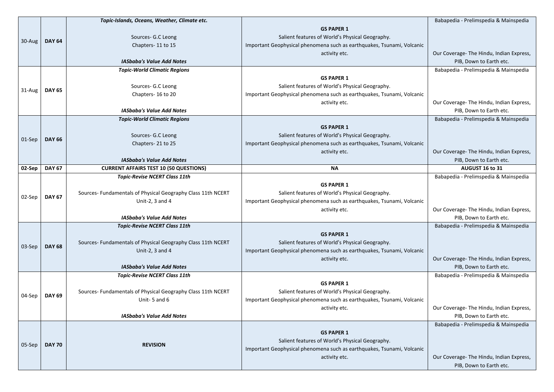|        |               | Topic-Islands, Oceans, Weather, Climate etc.                                 |                                                                        | Babapedia - Prelimspedia & Mainspedia                              |
|--------|---------------|------------------------------------------------------------------------------|------------------------------------------------------------------------|--------------------------------------------------------------------|
|        |               |                                                                              | <b>GS PAPER 1</b>                                                      |                                                                    |
|        |               | Sources- G.C Leong                                                           | Salient features of World's Physical Geography.                        |                                                                    |
| 30-Aug | <b>DAY 64</b> | Chapters-11 to 15                                                            | Important Geophysical phenomena such as earthquakes, Tsunami, Volcanic |                                                                    |
|        |               |                                                                              | activity etc.                                                          | Our Coverage- The Hindu, Indian Express,                           |
|        |               | <b>IASbaba's Value Add Notes</b>                                             |                                                                        | PIB, Down to Earth etc.                                            |
|        |               | <b>Topic-World Climatic Regions</b>                                          |                                                                        | Babapedia - Prelimspedia & Mainspedia                              |
|        |               |                                                                              | <b>GS PAPER 1</b>                                                      |                                                                    |
|        |               | Sources- G.C Leong                                                           | Salient features of World's Physical Geography.                        |                                                                    |
| 31-Aug | <b>DAY 65</b> | Chapters-16 to 20                                                            | Important Geophysical phenomena such as earthquakes, Tsunami, Volcanic |                                                                    |
|        |               |                                                                              | activity etc.                                                          | Our Coverage- The Hindu, Indian Express,                           |
|        |               | <b>IASbaba's Value Add Notes</b>                                             |                                                                        | PIB, Down to Earth etc.                                            |
|        |               | <b>Topic-World Climatic Regions</b>                                          |                                                                        | Babapedia - Prelimspedia & Mainspedia                              |
|        |               |                                                                              | <b>GS PAPER 1</b>                                                      |                                                                    |
|        |               | Sources- G.C Leong                                                           | Salient features of World's Physical Geography.                        |                                                                    |
| 01-Sep | <b>DAY 66</b> | Chapters-21 to 25                                                            | Important Geophysical phenomena such as earthquakes, Tsunami, Volcanic |                                                                    |
|        |               |                                                                              | activity etc.                                                          | Our Coverage- The Hindu, Indian Express,                           |
|        |               | <b>IASbaba's Value Add Notes</b>                                             |                                                                        | PIB, Down to Earth etc.                                            |
| 02-Sep | <b>DAY 67</b> | <b>CURRENT AFFAIRS TEST 10 (50 QUESTIONS)</b>                                | <b>NA</b>                                                              | AUGUST 16 to 31                                                    |
|        |               | <b>Topic-Revise NCERT Class 11th</b>                                         |                                                                        | Babapedia - Prelimspedia & Mainspedia                              |
|        | <b>DAY 67</b> |                                                                              | <b>GS PAPER 1</b>                                                      |                                                                    |
| 02-Sep |               | Sources- Fundamentals of Physical Geography Class 11th NCERT                 | Salient features of World's Physical Geography.                        |                                                                    |
|        |               | Unit-2, 3 and 4                                                              | Important Geophysical phenomena such as earthquakes, Tsunami, Volcanic |                                                                    |
|        |               |                                                                              | activity etc.                                                          | Our Coverage- The Hindu, Indian Express,                           |
|        |               | <b>IASbaba's Value Add Notes</b>                                             |                                                                        | PIB, Down to Earth etc.                                            |
|        |               | <b>Topic-Revise NCERT Class 11th</b>                                         |                                                                        | Babapedia - Prelimspedia & Mainspedia                              |
|        |               |                                                                              | <b>GS PAPER 1</b>                                                      |                                                                    |
| 03-Sep | <b>DAY 68</b> | Sources- Fundamentals of Physical Geography Class 11th NCERT                 | Salient features of World's Physical Geography.                        |                                                                    |
|        |               | Unit-2, 3 and 4                                                              | Important Geophysical phenomena such as earthquakes, Tsunami, Volcanic |                                                                    |
|        |               |                                                                              | activity etc.                                                          | Our Coverage-The Hindu, Indian Express,                            |
|        |               | <b>IASbaba's Value Add Notes</b>                                             |                                                                        | PIB, Down to Earth etc.                                            |
|        |               | <b>Topic-Revise NCERT Class 11th</b>                                         |                                                                        | Babapedia - Prelimspedia & Mainspedia                              |
|        |               |                                                                              | <b>GS PAPER 1</b>                                                      |                                                                    |
| 04-Sep | <b>DAY 69</b> | Sources- Fundamentals of Physical Geography Class 11th NCERT<br>Unit-5 and 6 | Salient features of World's Physical Geography.                        |                                                                    |
|        |               |                                                                              | Important Geophysical phenomena such as earthquakes, Tsunami, Volcanic |                                                                    |
|        |               | <b>IASbaba's Value Add Notes</b>                                             | activity etc.                                                          | Our Coverage-The Hindu, Indian Express,<br>PIB, Down to Earth etc. |
|        |               |                                                                              |                                                                        | Babapedia - Prelimspedia & Mainspedia                              |
|        |               |                                                                              | <b>GS PAPER 1</b>                                                      |                                                                    |
|        |               |                                                                              | Salient features of World's Physical Geography.                        |                                                                    |
| 05-Sep | <b>DAY 70</b> | <b>REVISION</b>                                                              | Important Geophysical phenomena such as earthquakes, Tsunami, Volcanic |                                                                    |
|        |               |                                                                              |                                                                        |                                                                    |
|        |               |                                                                              | activity etc.                                                          | Our Coverage- The Hindu, Indian Express,                           |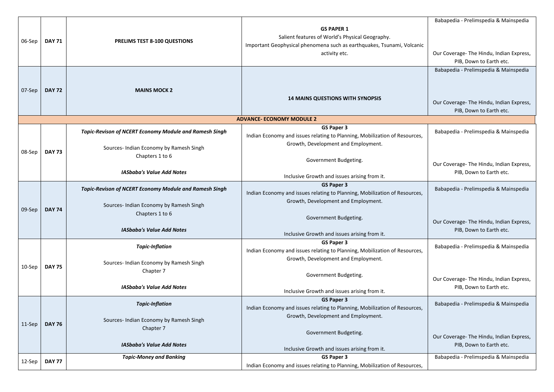|        |               |                                                                                                |                                                                                                                                                                 | Babapedia - Prelimspedia & Mainspedia                                                                        |
|--------|---------------|------------------------------------------------------------------------------------------------|-----------------------------------------------------------------------------------------------------------------------------------------------------------------|--------------------------------------------------------------------------------------------------------------|
| 06-Sep | <b>DAY 71</b> | <b>PRELIMS TEST 8-100 QUESTIONS</b>                                                            | <b>GS PAPER 1</b><br>Salient features of World's Physical Geography.<br>Important Geophysical phenomena such as earthquakes, Tsunami, Volcanic<br>activity etc. | Our Coverage- The Hindu, Indian Express,<br>PIB, Down to Earth etc.                                          |
| 07-Sep | <b>DAY 72</b> | <b>MAINS MOCK 2</b>                                                                            | <b>14 MAINS QUESTIONS WITH SYNOPSIS</b>                                                                                                                         | Babapedia - Prelimspedia & Mainspedia<br>Our Coverage- The Hindu, Indian Express,<br>PIB, Down to Earth etc. |
|        |               |                                                                                                | <b>ADVANCE- ECONOMY MODULE 2</b>                                                                                                                                |                                                                                                              |
|        |               | <b>Topic-Revison of NCERT Economy Module and Ramesh Singh</b>                                  | <b>GS Paper 3</b><br>Indian Economy and issues relating to Planning, Mobilization of Resources,<br>Growth, Development and Employment.                          | Babapedia - Prelimspedia & Mainspedia                                                                        |
| 08-Sep | <b>DAY 73</b> | Sources- Indian Economy by Ramesh Singh<br>Chapters 1 to 6<br><b>IASbaba's Value Add Notes</b> | Government Budgeting.                                                                                                                                           | Our Coverage- The Hindu, Indian Express,                                                                     |
|        |               |                                                                                                | Inclusive Growth and issues arising from it.                                                                                                                    | PIB, Down to Earth etc.                                                                                      |
|        |               | <b>Topic-Revison of NCERT Economy Module and Ramesh Singh</b>                                  | <b>GS Paper 3</b><br>Indian Economy and issues relating to Planning, Mobilization of Resources,                                                                 | Babapedia - Prelimspedia & Mainspedia                                                                        |
| 09-Sep | <b>DAY 74</b> | Sources- Indian Economy by Ramesh Singh<br>Chapters 1 to 6                                     | Growth, Development and Employment.<br>Government Budgeting.                                                                                                    | Our Coverage- The Hindu, Indian Express,                                                                     |
|        |               | <b>IASbaba's Value Add Notes</b>                                                               | Inclusive Growth and issues arising from it.                                                                                                                    | PIB, Down to Earth etc.                                                                                      |
|        |               | <b>Topic-Inflation</b>                                                                         | <b>GS Paper 3</b><br>Indian Economy and issues relating to Planning, Mobilization of Resources,<br>Growth, Development and Employment.                          | Babapedia - Prelimspedia & Mainspedia                                                                        |
| 10-Sep | <b>DAY 75</b> | Sources- Indian Economy by Ramesh Singh<br>Chapter 7<br><b>IASbaba's Value Add Notes</b>       | Government Budgeting.                                                                                                                                           | Our Coverage- The Hindu, Indian Express,                                                                     |
|        |               |                                                                                                | Inclusive Growth and issues arising from it.                                                                                                                    | PIB, Down to Earth etc.                                                                                      |
|        |               | <b>Topic-Inflation</b>                                                                         | <b>GS Paper 3</b><br>Indian Economy and issues relating to Planning, Mobilization of Resources,                                                                 | Babapedia - Prelimspedia & Mainspedia                                                                        |
| 11-Sep | <b>DAY 76</b> | Sources- Indian Economy by Ramesh Singh<br>Chapter 7                                           | Growth, Development and Employment.                                                                                                                             |                                                                                                              |
|        |               | <b>IASbaba's Value Add Notes</b>                                                               | Government Budgeting.<br>Inclusive Growth and issues arising from it.                                                                                           | Our Coverage- The Hindu, Indian Express,<br>PIB, Down to Earth etc.                                          |
|        |               | <b>Topic-Money and Banking</b>                                                                 | <b>GS Paper 3</b>                                                                                                                                               | Babapedia - Prelimspedia & Mainspedia                                                                        |
| 12-Sep | <b>DAY 77</b> |                                                                                                | Indian Economy and issues relating to Planning, Mobilization of Resources,                                                                                      |                                                                                                              |
|        |               |                                                                                                |                                                                                                                                                                 |                                                                                                              |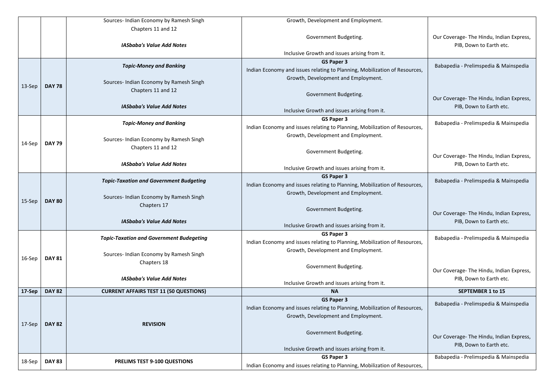|           |               | Sources- Indian Economy by Ramesh Singh                       | Growth, Development and Employment.                                        |                                |
|-----------|---------------|---------------------------------------------------------------|----------------------------------------------------------------------------|--------------------------------|
|           |               | Chapters 11 and 12                                            |                                                                            |                                |
|           |               |                                                               | Government Budgeting.                                                      | Our Coverage- The Hindu, Indi  |
|           |               | <b>IASbaba's Value Add Notes</b>                              |                                                                            | PIB, Down to Earth et          |
|           |               |                                                               | Inclusive Growth and issues arising from it.                               |                                |
|           |               |                                                               | <b>GS Paper 3</b>                                                          | Babapedia - Prelimspedia & M   |
|           |               | <b>Topic-Money and Banking</b>                                | Indian Economy and issues relating to Planning, Mobilization of Resources, |                                |
|           |               |                                                               | Growth, Development and Employment.                                        |                                |
| 13-Sep    | <b>DAY 78</b> | Sources- Indian Economy by Ramesh Singh<br>Chapters 11 and 12 |                                                                            |                                |
|           |               |                                                               | Government Budgeting.                                                      | Our Coverage- The Hindu, India |
|           |               | <b>IASbaba's Value Add Notes</b>                              |                                                                            | PIB, Down to Earth et          |
|           |               |                                                               | Inclusive Growth and issues arising from it.                               |                                |
|           |               | <b>Topic-Money and Banking</b>                                | <b>GS Paper 3</b>                                                          | Babapedia - Prelimspedia & N   |
|           |               |                                                               | Indian Economy and issues relating to Planning, Mobilization of Resources, |                                |
|           |               |                                                               | Growth, Development and Employment.                                        |                                |
| 14-Sep    | <b>DAY 79</b> | Sources- Indian Economy by Ramesh Singh<br>Chapters 11 and 12 |                                                                            |                                |
|           |               |                                                               | Government Budgeting.                                                      | Our Coverage- The Hindu, Indi  |
|           |               | <b>IASbaba's Value Add Notes</b>                              |                                                                            | PIB, Down to Earth et          |
|           |               |                                                               | Inclusive Growth and issues arising from it.                               |                                |
|           |               | <b>Topic-Taxation and Government Budgeting</b>                | <b>GS Paper 3</b>                                                          | Babapedia - Prelimspedia & N   |
|           |               |                                                               | Indian Economy and issues relating to Planning, Mobilization of Resources, |                                |
|           |               | Sources- Indian Economy by Ramesh Singh                       | Growth, Development and Employment.                                        |                                |
| $15-$ Sep | <b>DAY 80</b> | Chapters 17                                                   |                                                                            |                                |
|           |               |                                                               | Government Budgeting.                                                      | Our Coverage- The Hindu, Indi  |
|           |               | <b>IASbaba's Value Add Notes</b>                              |                                                                            | PIB, Down to Earth et          |
|           |               |                                                               | Inclusive Growth and issues arising from it.                               |                                |
|           |               | <b>Topic-Taxation and Government Budegeting</b>               | <b>GS Paper 3</b>                                                          | Babapedia - Prelimspedia & N   |
|           |               |                                                               | Indian Economy and issues relating to Planning, Mobilization of Resources, |                                |
|           |               | Sources- Indian Economy by Ramesh Singh                       | Growth, Development and Employment.                                        |                                |
| 16-Sep    | <b>DAY 81</b> | Chapters 18                                                   |                                                                            |                                |
|           |               |                                                               | Government Budgeting.                                                      | Our Coverage- The Hindu, Indi  |
|           |               | <b>IASbaba's Value Add Notes</b>                              |                                                                            | PIB, Down to Earth et          |
|           |               |                                                               | Inclusive Growth and issues arising from it.                               |                                |
| 17-Sep    | <b>DAY 82</b> | <b>CURRENT AFFAIRS TEST 11 (50 QUESTIONS)</b>                 | <b>NA</b>                                                                  | <b>SEPTEMBER 1 to 15</b>       |
|           |               |                                                               | <b>GS Paper 3</b>                                                          | Babapedia - Prelimspedia & M   |
|           |               |                                                               | Indian Economy and issues relating to Planning, Mobilization of Resources, |                                |
|           |               |                                                               | Growth, Development and Employment.                                        |                                |
| 17-Sep    | <b>DAY 82</b> | <b>REVISION</b>                                               |                                                                            |                                |
|           |               |                                                               | Government Budgeting.                                                      | Our Coverage- The Hindu, Indi  |
|           |               |                                                               |                                                                            | PIB, Down to Earth et          |
|           |               |                                                               | Inclusive Growth and issues arising from it.                               |                                |
| 18-Sep    | <b>DAY 83</b> | PRELIMS TEST 9-100 QUESTIONS                                  | <b>GS Paper 3</b>                                                          | Babapedia - Prelimspedia & M   |
|           |               |                                                               | Indian Economy and issues relating to Planning, Mobilization of Resources, |                                |

|     | Our Coverage-The Hindu, Indian Express,<br>PIB, Down to Earth etc.  |
|-----|---------------------------------------------------------------------|
| ١S, | Babapedia - Prelimspedia & Mainspedia                               |
|     | Our Coverage-The Hindu, Indian Express,<br>PIB, Down to Earth etc.  |
| ۱Ś, | Babapedia - Prelimspedia & Mainspedia                               |
|     | Our Coverage-The Hindu, Indian Express,<br>PIB, Down to Earth etc.  |
| ۱S, | Babapedia - Prelimspedia & Mainspedia                               |
|     | Our Coverage-The Hindu, Indian Express,<br>PIB, Down to Earth etc.  |
| ۱S, | Babapedia - Prelimspedia & Mainspedia                               |
|     | Our Coverage- The Hindu, Indian Express,<br>PIB, Down to Earth etc. |
|     | <b>SEPTEMBER 1 to 15</b>                                            |
| ۱S, | Babapedia - Prelimspedia & Mainspedia                               |
|     | Our Coverage- The Hindu, Indian Express,<br>PIB, Down to Earth etc. |
| ۱S, | Babapedia - Prelimspedia & Mainspedia                               |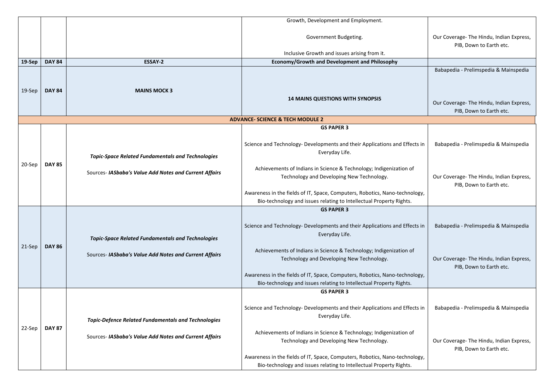|        |               |                                                                                                                      | Growth, Development and Employment.                                                                                                                                                                                                                                                                                                                                   |
|--------|---------------|----------------------------------------------------------------------------------------------------------------------|-----------------------------------------------------------------------------------------------------------------------------------------------------------------------------------------------------------------------------------------------------------------------------------------------------------------------------------------------------------------------|
|        |               |                                                                                                                      | Government Budgeting.                                                                                                                                                                                                                                                                                                                                                 |
|        |               |                                                                                                                      | Inclusive Growth and issues arising from it.                                                                                                                                                                                                                                                                                                                          |
| 19-Sep | <b>DAY 84</b> | <b>ESSAY-2</b>                                                                                                       | <b>Economy/Growth and Development and Philosophy</b>                                                                                                                                                                                                                                                                                                                  |
| 19-Sep | <b>DAY 84</b> | <b>MAINS MOCK 3</b>                                                                                                  | <b>14 MAINS QUESTIONS WITH SYNOPSIS</b>                                                                                                                                                                                                                                                                                                                               |
|        |               |                                                                                                                      | <b>ADVANCE- SCIENCE &amp; TECH MODULE 2</b>                                                                                                                                                                                                                                                                                                                           |
|        |               |                                                                                                                      | <b>GS PAPER 3</b>                                                                                                                                                                                                                                                                                                                                                     |
| 20-Sep | <b>DAY 85</b> | <b>Topic-Space Related Fundamentals and Technologies</b>                                                             | Science and Technology- Developments and their Applications and Effects in<br>Everyday Life.<br>Achievements of Indians in Science & Technology; Indigenization of                                                                                                                                                                                                    |
|        |               | Sources- IASbaba's Value Add Notes and Current Affairs                                                               | Technology and Developing New Technology.                                                                                                                                                                                                                                                                                                                             |
|        |               |                                                                                                                      | Awareness in the fields of IT, Space, Computers, Robotics, Nano-technology,<br>Bio-technology and issues relating to Intellectual Property Rights.<br><b>GS PAPER 3</b>                                                                                                                                                                                               |
| 21-Sep | <b>DAY 86</b> | <b>Topic-Space Related Fundamentals and Technologies</b><br>Sources- IASbaba's Value Add Notes and Current Affairs   | Science and Technology- Developments and their Applications and Effects in<br>Everyday Life.<br>Achievements of Indians in Science & Technology; Indigenization of<br>Technology and Developing New Technology.<br>Awareness in the fields of IT, Space, Computers, Robotics, Nano-technology,<br>Bio-technology and issues relating to Intellectual Property Rights. |
|        |               |                                                                                                                      | <b>GS PAPER 3</b>                                                                                                                                                                                                                                                                                                                                                     |
| 22-Sep | <b>DAY 87</b> | <b>Topic-Defence Related Fundamentals and Technologies</b><br>Sources- IASbaba's Value Add Notes and Current Affairs | Science and Technology- Developments and their Applications and Effects in<br>Everyday Life.<br>Achievements of Indians in Science & Technology; Indigenization of<br>Technology and Developing New Technology.<br>Awareness in the fields of IT, Space, Computers, Robotics, Nano-technology,<br>Bio-technology and issues relating to Intellectual Property Rights. |

|                | Our Coverage- The Hindu, Indian Express,<br>PIB, Down to Earth etc. |
|----------------|---------------------------------------------------------------------|
|                | Babapedia - Prelimspedia & Mainspedia                               |
|                | Our Coverage- The Hindu, Indian Express,<br>PIB, Down to Earth etc. |
|                |                                                                     |
| ffects in      | Babapedia - Prelimspedia & Mainspedia                               |
| າ of           | Our Coverage- The Hindu, Indian Express,<br>PIB, Down to Earth etc. |
| nology,<br>ts. |                                                                     |
| ffects in      | Babapedia - Prelimspedia & Mainspedia                               |
| າ of           | Our Coverage- The Hindu, Indian Express,<br>PIB, Down to Earth etc. |
| nology,<br>ts. |                                                                     |
|                |                                                                     |
| ffects in      | Babapedia - Prelimspedia & Mainspedia                               |
| າ of           | Our Coverage- The Hindu, Indian Express,<br>PIB, Down to Earth etc. |
| nology,<br>ts. |                                                                     |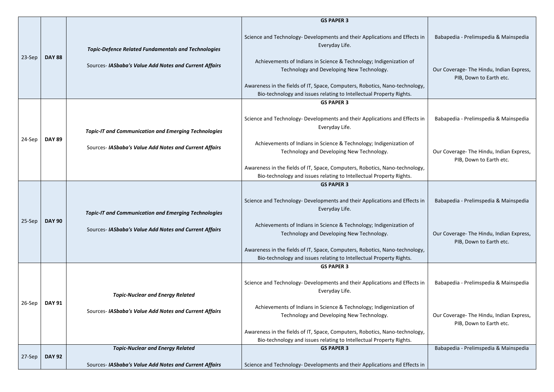|          |               |                                                             | <b>GS PAPER 3</b>                                                                                                                                  |                                                                     |
|----------|---------------|-------------------------------------------------------------|----------------------------------------------------------------------------------------------------------------------------------------------------|---------------------------------------------------------------------|
| 23-Sep   |               | <b>Topic-Defence Related Fundamentals and Technologies</b>  | Science and Technology- Developments and their Applications and Effects in<br>Everyday Life.                                                       | Babapedia - Prelimspedia & Mainspedia                               |
|          | <b>DAY 88</b> | Sources- IASbaba's Value Add Notes and Current Affairs      | Achievements of Indians in Science & Technology; Indigenization of<br>Technology and Developing New Technology.                                    | Our Coverage- The Hindu, Indian Express,<br>PIB, Down to Earth etc. |
|          |               |                                                             | Awareness in the fields of IT, Space, Computers, Robotics, Nano-technology,<br>Bio-technology and issues relating to Intellectual Property Rights. |                                                                     |
|          |               |                                                             | <b>GS PAPER 3</b>                                                                                                                                  |                                                                     |
|          |               | <b>Topic-IT and Communication and Emerging Technologies</b> | Science and Technology- Developments and their Applications and Effects in<br>Everyday Life.                                                       | Babapedia - Prelimspedia & Mainspedia                               |
| 24-Sep   | <b>DAY 89</b> | Sources- IASbaba's Value Add Notes and Current Affairs      | Achievements of Indians in Science & Technology; Indigenization of<br>Technology and Developing New Technology.                                    | Our Coverage- The Hindu, Indian Express,<br>PIB, Down to Earth etc. |
|          |               |                                                             | Awareness in the fields of IT, Space, Computers, Robotics, Nano-technology,<br>Bio-technology and issues relating to Intellectual Property Rights. |                                                                     |
|          |               |                                                             | <b>GS PAPER 3</b>                                                                                                                                  |                                                                     |
|          |               | <b>Topic-IT and Communication and Emerging Technologies</b> | Science and Technology- Developments and their Applications and Effects in<br>Everyday Life.                                                       | Babapedia - Prelimspedia & Mainspedia                               |
| $25-Sep$ | <b>DAY 90</b> | Sources- IASbaba's Value Add Notes and Current Affairs      | Achievements of Indians in Science & Technology; Indigenization of<br>Technology and Developing New Technology.                                    | Our Coverage-The Hindu, Indian Express,<br>PIB, Down to Earth etc.  |
|          |               |                                                             | Awareness in the fields of IT, Space, Computers, Robotics, Nano-technology,<br>Bio-technology and issues relating to Intellectual Property Rights. |                                                                     |
|          |               |                                                             | <b>GS PAPER 3</b>                                                                                                                                  |                                                                     |
|          |               | <b>Topic-Nuclear and Energy Related</b>                     | Science and Technology- Developments and their Applications and Effects in<br>Everyday Life.                                                       | Babapedia - Prelimspedia & Mainspedia                               |
| $26-Sep$ | <b>DAY 91</b> | Sources- IASbaba's Value Add Notes and Current Affairs      | Achievements of Indians in Science & Technology; Indigenization of<br>Technology and Developing New Technology.                                    | Our Coverage- The Hindu, Indian Express,<br>PIB, Down to Earth etc. |
|          |               |                                                             | Awareness in the fields of IT, Space, Computers, Robotics, Nano-technology,<br>Bio-technology and issues relating to Intellectual Property Rights. |                                                                     |
|          |               | <b>Topic-Nuclear and Energy Related</b>                     | <b>GS PAPER 3</b>                                                                                                                                  | Babapedia - Prelimspedia & Mainspedia                               |
| 27-Sep   | <b>DAY 92</b> | Sources- IASbaba's Value Add Notes and Current Affairs      | Science and Technology- Developments and their Applications and Effects in                                                                         |                                                                     |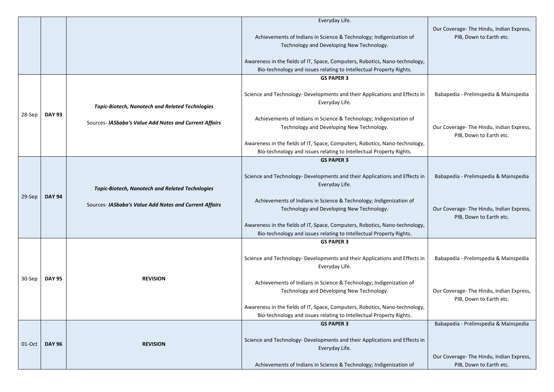|        |               |                                                        | Everyday Life.<br>Achievements of Indians in Science & Technology; Indigenization of<br>Technology and Developing New Technology.                  | Our Coverage- The Hindu, Indian Express,<br>PIB, Down to Earth etc.               |
|--------|---------------|--------------------------------------------------------|----------------------------------------------------------------------------------------------------------------------------------------------------|-----------------------------------------------------------------------------------|
|        |               |                                                        | Awareness in the fields of IT, Space, Computers, Robotics, Nano-technology,<br>Bio-technology and issues relating to Intellectual Property Rights. |                                                                                   |
|        |               |                                                        |                                                                                                                                                    |                                                                                   |
|        |               | <b>Topic-Biotech, Nanotech and Related Technlogies</b> | <b>GS PAPER 3</b><br>Science and Technology- Developments and their Applications and Effects in<br>Everyday Life.                                  | Babapedia - Prelimspedia & Mainspedia                                             |
| 28-Sep | <b>DAY 93</b> | Sources- IASbaba's Value Add Notes and Current Affairs | Achievements of Indians in Science & Technology; Indigenization of<br>Technology and Developing New Technology.                                    | Our Coverage- The Hindu, Indian Express,<br>PIB, Down to Earth etc.               |
|        |               |                                                        | Awareness in the fields of IT, Space, Computers, Robotics, Nano-technology,<br>Bio-technology and issues relating to Intellectual Property Rights. |                                                                                   |
|        |               |                                                        | <b>GS PAPER 3</b>                                                                                                                                  |                                                                                   |
|        |               | <b>Topic-Biotech, Nanotech and Related Technlogies</b> | Science and Technology- Developments and their Applications and Effects in<br>Everyday Life.                                                       | Babapedia - Prelimspedia & Mainspedia                                             |
| 29-Sep | <b>DAY 94</b> |                                                        | Achievements of Indians in Science & Technology; Indigenization of                                                                                 |                                                                                   |
|        |               | Sources- IASbaba's Value Add Notes and Current Affairs | Technology and Developing New Technology.                                                                                                          | Our Coverage- The Hindu, Indian Express,<br>PIB, Down to Earth etc.               |
|        |               |                                                        | Awareness in the fields of IT, Space, Computers, Robotics, Nano-technology,<br>Bio-technology and issues relating to Intellectual Property Rights. |                                                                                   |
|        |               |                                                        | <b>GS PAPER 3</b>                                                                                                                                  |                                                                                   |
|        |               |                                                        | Science and Technology- Developments and their Applications and Effects in<br>Everyday Life.                                                       | Babapedia - Prelimspedia & Mainspedia                                             |
| 30-Sep | <b>DAY 95</b> | <b>REVISION</b>                                        | Achievements of Indians in Science & Technology; Indigenization of<br>Technology and Developing New Technology.                                    | Our Coverage- The Hindu, Indian Express,<br>PIB, Down to Earth etc.               |
|        |               |                                                        | Awareness in the fields of IT, Space, Computers, Robotics, Nano-technology,                                                                        |                                                                                   |
|        |               |                                                        | Bio-technology and issues relating to Intellectual Property Rights.                                                                                |                                                                                   |
| 01-Oct | <b>DAY 96</b> | <b>REVISION</b>                                        | <b>GS PAPER 3</b><br>Science and Technology- Developments and their Applications and Effects in<br>Everyday Life.                                  | Babapedia - Prelimspedia & Mainspedia<br>Our Coverage- The Hindu, Indian Express, |
|        |               |                                                        | Achievements of Indians in Science & Technology; Indigenization of                                                                                 | PIB, Down to Earth etc.                                                           |
|        |               |                                                        |                                                                                                                                                    |                                                                                   |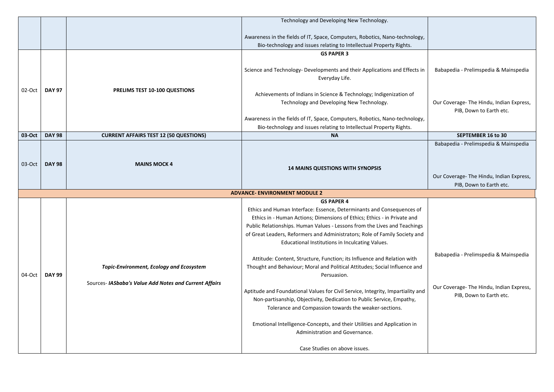|        |               |                                                        | Technology and Developing New Technology.                                                                                                                                                                                                                                                                                                                       |                                                                                                              |
|--------|---------------|--------------------------------------------------------|-----------------------------------------------------------------------------------------------------------------------------------------------------------------------------------------------------------------------------------------------------------------------------------------------------------------------------------------------------------------|--------------------------------------------------------------------------------------------------------------|
|        |               |                                                        |                                                                                                                                                                                                                                                                                                                                                                 |                                                                                                              |
|        |               |                                                        | Awareness in the fields of IT, Space, Computers, Robotics, Nano-technology,                                                                                                                                                                                                                                                                                     |                                                                                                              |
|        |               |                                                        | Bio-technology and issues relating to Intellectual Property Rights.                                                                                                                                                                                                                                                                                             |                                                                                                              |
|        |               |                                                        | <b>GS PAPER 3</b>                                                                                                                                                                                                                                                                                                                                               |                                                                                                              |
|        |               |                                                        | Science and Technology- Developments and their Applications and Effects in<br>Everyday Life.                                                                                                                                                                                                                                                                    | Babapedia - Prelimspedia & Mainspedia                                                                        |
| 02-Oct | <b>DAY 97</b> | PRELIMS TEST 10-100 QUESTIONS                          | Achievements of Indians in Science & Technology; Indigenization of<br>Technology and Developing New Technology.<br>Awareness in the fields of IT, Space, Computers, Robotics, Nano-technology,                                                                                                                                                                  | Our Coverage- The Hindu, Indian Express,<br>PIB, Down to Earth etc.                                          |
|        |               |                                                        | Bio-technology and issues relating to Intellectual Property Rights.                                                                                                                                                                                                                                                                                             |                                                                                                              |
| 03-Oct | <b>DAY 98</b> | <b>CURRENT AFFAIRS TEST 12 (50 QUESTIONS)</b>          | <b>NA</b>                                                                                                                                                                                                                                                                                                                                                       | <b>SEPTEMBER 16 to 30</b>                                                                                    |
| 03-Oct | <b>DAY 98</b> | <b>MAINS MOCK 4</b>                                    | <b>14 MAINS QUESTIONS WITH SYNOPSIS</b>                                                                                                                                                                                                                                                                                                                         | Babapedia - Prelimspedia & Mainspedia<br>Our Coverage- The Hindu, Indian Express,<br>PIB, Down to Earth etc. |
|        |               |                                                        | <b>ADVANCE- ENVIRONMENT MODULE 2</b>                                                                                                                                                                                                                                                                                                                            |                                                                                                              |
|        |               |                                                        | <b>GS PAPER 4</b>                                                                                                                                                                                                                                                                                                                                               |                                                                                                              |
|        |               |                                                        | Ethics and Human Interface: Essence, Determinants and Consequences of<br>Ethics in - Human Actions; Dimensions of Ethics; Ethics - in Private and<br>Public Relationships. Human Values - Lessons from the Lives and Teachings<br>of Great Leaders, Reformers and Administrators; Role of Family Society and<br>Educational Institutions in Inculcating Values. |                                                                                                              |
| 04-Oct | <b>DAY 99</b> | <b>Topic-Environment, Ecology and Ecosystem</b>        | Attitude: Content, Structure, Function; its Influence and Relation with<br>Thought and Behaviour; Moral and Political Attitudes; Social Influence and<br>Persuasion.                                                                                                                                                                                            | Babapedia - Prelimspedia & Mainspedia                                                                        |
|        |               | Sources- IASbaba's Value Add Notes and Current Affairs | Aptitude and Foundational Values for Civil Service, Integrity, Impartiality and<br>Non-partisanship, Objectivity, Dedication to Public Service, Empathy,<br>Tolerance and Compassion towards the weaker-sections.                                                                                                                                               | Our Coverage- The Hindu, Indian Express,<br>PIB, Down to Earth etc.                                          |
|        |               |                                                        | Emotional Intelligence-Concepts, and their Utilities and Application in<br>Administration and Governance.                                                                                                                                                                                                                                                       |                                                                                                              |
|        |               |                                                        | Case Studies on above issues.                                                                                                                                                                                                                                                                                                                                   |                                                                                                              |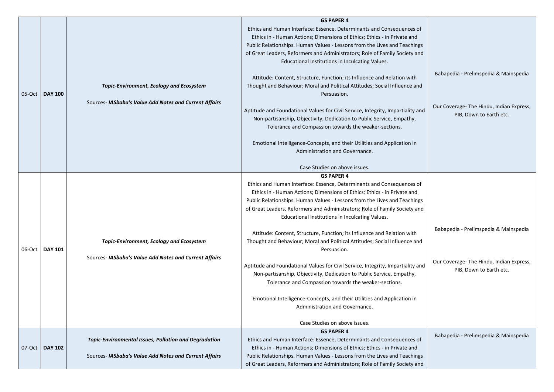| 05-Oct | <b>DAY 100</b> | <b>Topic-Environment, Ecology and Ecosystem</b><br>Sources- IASbaba's Value Add Notes and Current Affairs              | <b>GS PAPER 4</b><br>Ethics and Human Interface: Essence, Determinants and Consequences of<br>Ethics in - Human Actions; Dimensions of Ethics; Ethics - in Private and<br>Public Relationships. Human Values - Lessons from the Lives and Teachings<br>of Great Leaders, Reformers and Administrators; Role of Family Society and<br>Educational Institutions in Inculcating Values.<br>Attitude: Content, Structure, Function; its Influence and Relation with<br>Thought and Behaviour; Moral and Political Attitudes; Social Influence and<br>Persuasion.<br>Aptitude and Foundational Values for Civil Service, Integrity, Impartiality and<br>Non-partisanship, Objectivity, Dedication to Public Service, Empathy,<br>Tolerance and Compassion towards the weaker-sections.<br>Emotional Intelligence-Concepts, and their Utilities and Application in<br>Administration and Governance.<br>Case Studies on above issues. |
|--------|----------------|------------------------------------------------------------------------------------------------------------------------|---------------------------------------------------------------------------------------------------------------------------------------------------------------------------------------------------------------------------------------------------------------------------------------------------------------------------------------------------------------------------------------------------------------------------------------------------------------------------------------------------------------------------------------------------------------------------------------------------------------------------------------------------------------------------------------------------------------------------------------------------------------------------------------------------------------------------------------------------------------------------------------------------------------------------------|
| 06-Oct | <b>DAY 101</b> | <b>Topic-Environment, Ecology and Ecosystem</b><br>Sources- IASbaba's Value Add Notes and Current Affairs              | <b>GS PAPER 4</b><br>Ethics and Human Interface: Essence, Determinants and Consequences of<br>Ethics in - Human Actions; Dimensions of Ethics; Ethics - in Private and<br>Public Relationships. Human Values - Lessons from the Lives and Teachings<br>of Great Leaders, Reformers and Administrators; Role of Family Society and<br>Educational Institutions in Inculcating Values.<br>Attitude: Content, Structure, Function; its Influence and Relation with<br>Thought and Behaviour; Moral and Political Attitudes; Social Influence and<br>Persuasion.<br>Aptitude and Foundational Values for Civil Service, Integrity, Impartiality and<br>Non-partisanship, Objectivity, Dedication to Public Service, Empathy,<br>Tolerance and Compassion towards the weaker-sections.<br>Emotional Intelligence-Concepts, and their Utilities and Application in<br>Administration and Governance.<br>Case Studies on above issues. |
| 07-Oct | <b>DAY 102</b> | <b>Topic-Environmental Issues, Pollution and Degradation</b><br>Sources- IASbaba's Value Add Notes and Current Affairs | <b>GS PAPER 4</b><br>Ethics and Human Interface: Essence, Determinants and Consequences of<br>Ethics in - Human Actions; Dimensions of Ethics; Ethics - in Private and<br>Public Relationships. Human Values - Lessons from the Lives and Teachings<br>of Great Leaders, Reformers and Administrators; Role of Family Society and                                                                                                                                                                                                                                                                                                                                                                                                                                                                                                                                                                                               |

| эf       |                                                                     |
|----------|---------------------------------------------------------------------|
| gs<br>nd |                                                                     |
| ıd       | Babapedia - Prelimspedia & Mainspedia                               |
| nd       | Our Coverage- The Hindu, Indian Express,<br>PIB, Down to Earth etc. |
|          |                                                                     |
|          |                                                                     |
| эf       |                                                                     |
| gs<br>nd |                                                                     |
| ıd       | Babapedia - Prelimspedia & Mainspedia                               |
| ınd      | Our Coverage- The Hindu, Indian Express,<br>PIB, Down to Earth etc. |
|          |                                                                     |
|          |                                                                     |
| ρf       | Babapedia - Prelimspedia & Mainspedia                               |
| gs<br>nd |                                                                     |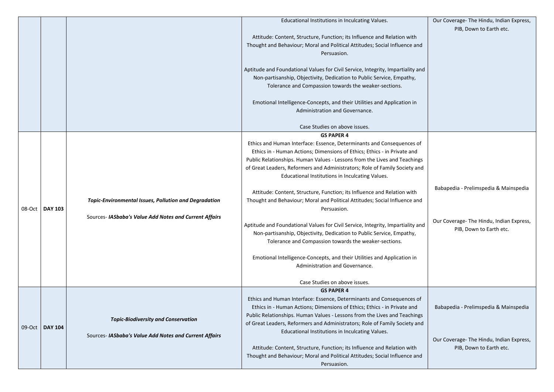|        |                |                                                                                                                        | Educational Institutions in Inculcating Values.                                                                                                                                                                                                                                                                                                                                                                                                                                                                                                                                                                                                                                                                                                                                                                                                                                                            |
|--------|----------------|------------------------------------------------------------------------------------------------------------------------|------------------------------------------------------------------------------------------------------------------------------------------------------------------------------------------------------------------------------------------------------------------------------------------------------------------------------------------------------------------------------------------------------------------------------------------------------------------------------------------------------------------------------------------------------------------------------------------------------------------------------------------------------------------------------------------------------------------------------------------------------------------------------------------------------------------------------------------------------------------------------------------------------------|
|        |                |                                                                                                                        | Attitude: Content, Structure, Function; its Influence and Relation with<br>Thought and Behaviour; Moral and Political Attitudes; Social Influence and<br>Persuasion.<br>Aptitude and Foundational Values for Civil Service, Integrity, Impartiality and<br>Non-partisanship, Objectivity, Dedication to Public Service, Empathy,<br>Tolerance and Compassion towards the weaker-sections.<br>Emotional Intelligence-Concepts, and their Utilities and Application in<br>Administration and Governance.<br>Case Studies on above issues.                                                                                                                                                                                                                                                                                                                                                                    |
|        |                |                                                                                                                        | <b>GS PAPER 4</b>                                                                                                                                                                                                                                                                                                                                                                                                                                                                                                                                                                                                                                                                                                                                                                                                                                                                                          |
| 08-Oct | <b>DAY 103</b> | <b>Topic-Environmental Issues, Pollution and Degradation</b><br>Sources- IASbaba's Value Add Notes and Current Affairs | Ethics and Human Interface: Essence, Determinants and Consequences of<br>Ethics in - Human Actions; Dimensions of Ethics; Ethics - in Private and<br>Public Relationships. Human Values - Lessons from the Lives and Teachings<br>of Great Leaders, Reformers and Administrators; Role of Family Society and<br>Educational Institutions in Inculcating Values.<br>Attitude: Content, Structure, Function; its Influence and Relation with<br>Thought and Behaviour; Moral and Political Attitudes; Social Influence and<br>Persuasion.<br>Aptitude and Foundational Values for Civil Service, Integrity, Impartiality and<br>Non-partisanship, Objectivity, Dedication to Public Service, Empathy,<br>Tolerance and Compassion towards the weaker-sections.<br>Emotional Intelligence-Concepts, and their Utilities and Application in<br>Administration and Governance.<br>Case Studies on above issues. |
| 09-Oct | <b>DAY 104</b> | <b>Topic-Biodiversity and Conservation</b><br>Sources- IASbaba's Value Add Notes and Current Affairs                   | <b>GS PAPER 4</b><br>Ethics and Human Interface: Essence, Determinants and Consequences of<br>Ethics in - Human Actions; Dimensions of Ethics; Ethics - in Private and<br>Public Relationships. Human Values - Lessons from the Lives and Teachings<br>of Great Leaders, Reformers and Administrators; Role of Family Society and<br>Educational Institutions in Inculcating Values.<br>Attitude: Content, Structure, Function; its Influence and Relation with<br>Thought and Behaviour; Moral and Political Attitudes; Social Influence and<br>Persuasion.                                                                                                                                                                                                                                                                                                                                               |

|          | Our Coverage- The Hindu, Indian Express,<br>PIB, Down to Earth etc. |
|----------|---------------------------------------------------------------------|
| ıd       |                                                                     |
| nd       |                                                                     |
|          |                                                                     |
|          |                                                                     |
|          |                                                                     |
| λf       |                                                                     |
| gs<br>٦d |                                                                     |
|          | Babapedia - Prelimspedia & Mainspedia                               |
| d        |                                                                     |
| nu       | Our Coverage- The Hindu, Indian Express,<br>PIB, Down to Earth etc. |
|          |                                                                     |
|          |                                                                     |
|          |                                                                     |
| )f<br>gs | Babapedia - Prelimspedia & Mainspedia                               |
| ٦d       |                                                                     |
| ıd       | Our Coverage- The Hindu, Indian Express,<br>PIB, Down to Earth etc. |
|          |                                                                     |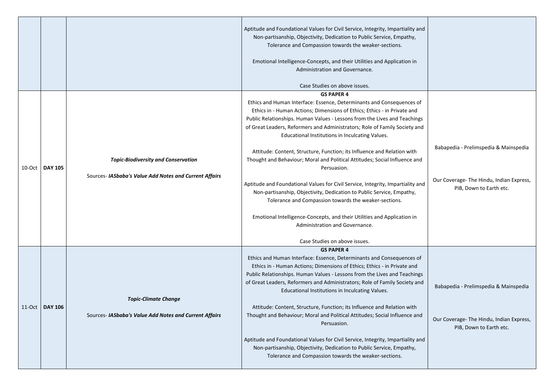|                   |                                                                                                      | Aptitude and Foundational Values for Civil Service, Integrity, Impartiality and<br>Non-partisanship, Objectivity, Dedication to Public Service, Empathy,<br>Tolerance and Compassion towards the weaker-sections.<br>Emotional Intelligence-Concepts, and their Utilities and Application in<br>Administration and Governance.<br>Case Studies on above issues.                                                                                                                                                                                                                                                                                                                                                                                                                                                                                                                                                                 |                                                                                                              |
|-------------------|------------------------------------------------------------------------------------------------------|---------------------------------------------------------------------------------------------------------------------------------------------------------------------------------------------------------------------------------------------------------------------------------------------------------------------------------------------------------------------------------------------------------------------------------------------------------------------------------------------------------------------------------------------------------------------------------------------------------------------------------------------------------------------------------------------------------------------------------------------------------------------------------------------------------------------------------------------------------------------------------------------------------------------------------|--------------------------------------------------------------------------------------------------------------|
| 10-Oct   DAY 105  | <b>Topic-Biodiversity and Conservation</b><br>Sources- IASbaba's Value Add Notes and Current Affairs | <b>GS PAPER 4</b><br>Ethics and Human Interface: Essence, Determinants and Consequences of<br>Ethics in - Human Actions; Dimensions of Ethics; Ethics - in Private and<br>Public Relationships. Human Values - Lessons from the Lives and Teachings<br>of Great Leaders, Reformers and Administrators; Role of Family Society and<br>Educational Institutions in Inculcating Values.<br>Attitude: Content, Structure, Function; its Influence and Relation with<br>Thought and Behaviour; Moral and Political Attitudes; Social Influence and<br>Persuasion.<br>Aptitude and Foundational Values for Civil Service, Integrity, Impartiality and<br>Non-partisanship, Objectivity, Dedication to Public Service, Empathy,<br>Tolerance and Compassion towards the weaker-sections.<br>Emotional Intelligence-Concepts, and their Utilities and Application in<br>Administration and Governance.<br>Case Studies on above issues. | Babapedia - Prelimspedia & Mainspedia<br>Our Coverage- The Hindu, Indian Express,<br>PIB, Down to Earth etc. |
| $11$ -Oct DAY 106 | <b>Topic-Climate Change</b><br>Sources- IASbaba's Value Add Notes and Current Affairs                | <b>GS PAPER 4</b><br>Ethics and Human Interface: Essence, Determinants and Consequences of<br>Ethics in - Human Actions; Dimensions of Ethics; Ethics - in Private and<br>Public Relationships. Human Values - Lessons from the Lives and Teachings<br>of Great Leaders, Reformers and Administrators; Role of Family Society and<br>Educational Institutions in Inculcating Values.<br>Attitude: Content, Structure, Function; its Influence and Relation with<br>Thought and Behaviour; Moral and Political Attitudes; Social Influence and<br>Persuasion.<br>Aptitude and Foundational Values for Civil Service, Integrity, Impartiality and<br>Non-partisanship, Objectivity, Dedication to Public Service, Empathy,<br>Tolerance and Compassion towards the weaker-sections.                                                                                                                                               | Babapedia - Prelimspedia & Mainspedia<br>Our Coverage- The Hindu, Indian Express,<br>PIB, Down to Earth etc. |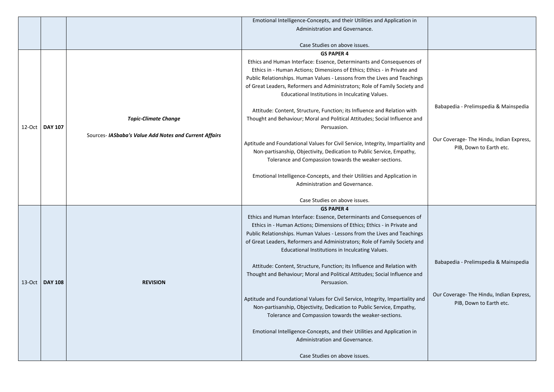|                  |                                                        | Emotional Intelligence-Concepts, and their Utilities and Application in         |                                          |
|------------------|--------------------------------------------------------|---------------------------------------------------------------------------------|------------------------------------------|
|                  |                                                        | Administration and Governance.                                                  |                                          |
|                  |                                                        |                                                                                 |                                          |
|                  |                                                        | Case Studies on above issues.                                                   |                                          |
|                  |                                                        | <b>GS PAPER 4</b>                                                               |                                          |
|                  |                                                        | Ethics and Human Interface: Essence, Determinants and Consequences of           |                                          |
|                  |                                                        | Ethics in - Human Actions; Dimensions of Ethics; Ethics - in Private and        |                                          |
|                  |                                                        | Public Relationships. Human Values - Lessons from the Lives and Teachings       |                                          |
|                  |                                                        | of Great Leaders, Reformers and Administrators; Role of Family Society and      |                                          |
|                  |                                                        | Educational Institutions in Inculcating Values.                                 |                                          |
|                  |                                                        |                                                                                 | Babapedia - Prelimspedia & Mainspedia    |
|                  |                                                        | Attitude: Content, Structure, Function; its Influence and Relation with         |                                          |
|                  | <b>Topic-Climate Change</b>                            | Thought and Behaviour; Moral and Political Attitudes; Social Influence and      |                                          |
| 12-Oct   DAY 107 |                                                        | Persuasion.                                                                     |                                          |
|                  | Sources- IASbaba's Value Add Notes and Current Affairs |                                                                                 | Our Coverage- The Hindu, Indian Express, |
|                  |                                                        | Aptitude and Foundational Values for Civil Service, Integrity, Impartiality and | PIB, Down to Earth etc.                  |
|                  |                                                        | Non-partisanship, Objectivity, Dedication to Public Service, Empathy,           |                                          |
|                  |                                                        | Tolerance and Compassion towards the weaker-sections.                           |                                          |
|                  |                                                        |                                                                                 |                                          |
|                  |                                                        | Emotional Intelligence-Concepts, and their Utilities and Application in         |                                          |
|                  |                                                        | Administration and Governance.                                                  |                                          |
|                  |                                                        | Case Studies on above issues.                                                   |                                          |
|                  |                                                        | <b>GS PAPER 4</b>                                                               |                                          |
|                  |                                                        | Ethics and Human Interface: Essence, Determinants and Consequences of           |                                          |
|                  |                                                        | Ethics in - Human Actions; Dimensions of Ethics; Ethics - in Private and        |                                          |
|                  |                                                        | Public Relationships. Human Values - Lessons from the Lives and Teachings       |                                          |
|                  |                                                        | of Great Leaders, Reformers and Administrators; Role of Family Society and      |                                          |
|                  |                                                        | Educational Institutions in Inculcating Values.                                 |                                          |
|                  |                                                        |                                                                                 | Babapedia - Prelimspedia & Mainspedia    |
|                  |                                                        | Attitude: Content, Structure, Function; its Influence and Relation with         |                                          |
|                  |                                                        | Thought and Behaviour; Moral and Political Attitudes; Social Influence and      |                                          |
| 13-Oct   DAY 108 | <b>REVISION</b>                                        | Persuasion.                                                                     |                                          |
|                  |                                                        |                                                                                 | Our Coverage- The Hindu, Indian Express, |
|                  |                                                        | Aptitude and Foundational Values for Civil Service, Integrity, Impartiality and | PIB, Down to Earth etc.                  |
|                  |                                                        | Non-partisanship, Objectivity, Dedication to Public Service, Empathy,           |                                          |
|                  |                                                        | Tolerance and Compassion towards the weaker-sections.                           |                                          |
|                  |                                                        | Emotional Intelligence-Concepts, and their Utilities and Application in         |                                          |
|                  |                                                        | Administration and Governance.                                                  |                                          |
|                  |                                                        |                                                                                 |                                          |
|                  |                                                        |                                                                                 |                                          |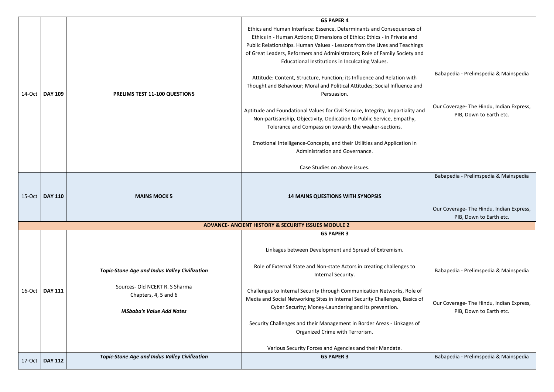|           |                   |                                                      | <b>GS PAPER 4</b><br>Ethics and Human Interface: Essence, Determinants and Consequences of<br>Ethics in - Human Actions; Dimensions of Ethics; Ethics - in Private and<br>Public Relationships. Human Values - Lessons from the Lives and Teachings<br>of Great Leaders, Reformers and Administrators; Role of Family Society and<br>Educational Institutions in Inculcating Values.<br>Attitude: Content, Structure, Function; its Influence and Relation with<br>Thought and Behaviour; Moral and Political Attitudes; Social Influence and | Babapedia - Prelimspedia & Mainspedia                                            |
|-----------|-------------------|------------------------------------------------------|-----------------------------------------------------------------------------------------------------------------------------------------------------------------------------------------------------------------------------------------------------------------------------------------------------------------------------------------------------------------------------------------------------------------------------------------------------------------------------------------------------------------------------------------------|----------------------------------------------------------------------------------|
| 14-Oct    | <b>DAY 109</b>    | <b>PRELIMS TEST 11-100 QUESTIONS</b>                 | Persuasion.                                                                                                                                                                                                                                                                                                                                                                                                                                                                                                                                   | Our Coverage- The Hindu, Indian Express                                          |
|           |                   |                                                      | Aptitude and Foundational Values for Civil Service, Integrity, Impartiality and<br>Non-partisanship, Objectivity, Dedication to Public Service, Empathy,<br>Tolerance and Compassion towards the weaker-sections.                                                                                                                                                                                                                                                                                                                             | PIB, Down to Earth etc.                                                          |
|           |                   |                                                      | Emotional Intelligence-Concepts, and their Utilities and Application in<br>Administration and Governance.                                                                                                                                                                                                                                                                                                                                                                                                                                     |                                                                                  |
|           |                   |                                                      | Case Studies on above issues.                                                                                                                                                                                                                                                                                                                                                                                                                                                                                                                 |                                                                                  |
|           | 15-Oct   DAY 110  | <b>MAINS MOCK 5</b>                                  | <b>14 MAINS QUESTIONS WITH SYNOPSIS</b>                                                                                                                                                                                                                                                                                                                                                                                                                                                                                                       | Babapedia - Prelimspedia & Mainspedia<br>Our Coverage- The Hindu, Indian Express |
|           |                   |                                                      |                                                                                                                                                                                                                                                                                                                                                                                                                                                                                                                                               | PIB, Down to Earth etc.                                                          |
|           |                   |                                                      | <b>ADVANCE- ANCIENT HISTORY &amp; SECURITY ISSUES MODULE 2</b>                                                                                                                                                                                                                                                                                                                                                                                                                                                                                |                                                                                  |
|           |                   |                                                      | <b>GS PAPER 3</b>                                                                                                                                                                                                                                                                                                                                                                                                                                                                                                                             |                                                                                  |
|           |                   |                                                      | Linkages between Development and Spread of Extremism.                                                                                                                                                                                                                                                                                                                                                                                                                                                                                         |                                                                                  |
|           |                   | <b>Topic-Stone Age and Indus Valley Civilization</b> | Role of External State and Non-state Actors in creating challenges to<br>Internal Security.                                                                                                                                                                                                                                                                                                                                                                                                                                                   | Babapedia - Prelimspedia & Mainspedia                                            |
| $16$ -Oct | <b>DAY 111</b>    | Sources- Old NCERT R. S Sharma                       | Challenges to Internal Security through Communication Networks, Role of                                                                                                                                                                                                                                                                                                                                                                                                                                                                       |                                                                                  |
|           |                   | Chapters, 4, 5 and 6                                 | Media and Social Networking Sites in Internal Security Challenges, Basics of                                                                                                                                                                                                                                                                                                                                                                                                                                                                  |                                                                                  |
|           |                   | <b>IASbaba's Value Add Notes</b>                     | Cyber Security; Money-Laundering and its prevention.                                                                                                                                                                                                                                                                                                                                                                                                                                                                                          | Our Coverage- The Hindu, Indian Express<br>PIB, Down to Earth etc.               |
|           |                   |                                                      | Security Challenges and their Management in Border Areas - Linkages of                                                                                                                                                                                                                                                                                                                                                                                                                                                                        |                                                                                  |
|           |                   |                                                      | Organized Crime with Terrorism.                                                                                                                                                                                                                                                                                                                                                                                                                                                                                                               |                                                                                  |
|           |                   |                                                      | Various Security Forces and Agencies and their Mandate.                                                                                                                                                                                                                                                                                                                                                                                                                                                                                       |                                                                                  |
|           | $17$ -Oct DAY 112 | <b>Topic-Stone Age and Indus Valley Civilization</b> | <b>GS PAPER 3</b>                                                                                                                                                                                                                                                                                                                                                                                                                                                                                                                             | Babapedia - Prelimspedia & Mainspedia                                            |
|           |                   |                                                      |                                                                                                                                                                                                                                                                                                                                                                                                                                                                                                                                               |                                                                                  |

| λf       |                                                                     |
|----------|---------------------------------------------------------------------|
| gs<br>٦d |                                                                     |
| ıd       | Babapedia - Prelimspedia & Mainspedia                               |
| nd       | Our Coverage- The Hindu, Indian Express,<br>PIB, Down to Earth etc. |
|          |                                                                     |
|          |                                                                     |
|          | Babapedia - Prelimspedia & Mainspedia                               |
|          | Our Coverage- The Hindu, Indian Express,<br>PIB, Down to Earth etc. |
|          |                                                                     |
|          | Babapedia - Prelimspedia & Mainspedia                               |
| ρf<br>of | Our Coverage- The Hindu, Indian Express,<br>PIB, Down to Earth etc. |
|          | Babapedia - Prelimspedia & Mainspedia                               |
|          |                                                                     |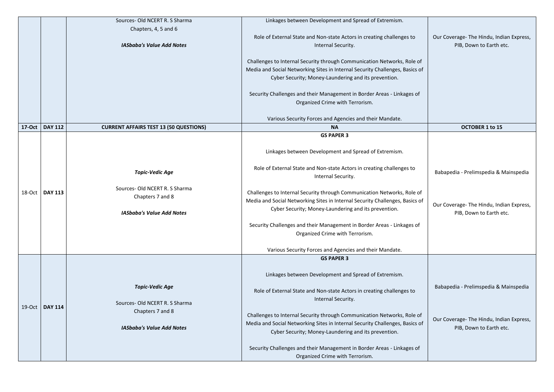| Chapters, 4, 5 and 6<br>Role of External State and Non-state Actors in creating challenges to<br>Our Coverage- The Hindu, Indian Express,<br><b>IASbaba's Value Add Notes</b><br>Internal Security.<br>PIB, Down to Earth etc.<br>Challenges to Internal Security through Communication Networks, Role of<br>Media and Social Networking Sites in Internal Security Challenges, Basics of<br>Cyber Security; Money-Laundering and its prevention.<br>Security Challenges and their Management in Border Areas - Linkages of<br>Organized Crime with Terrorism.<br>Various Security Forces and Agencies and their Mandate.<br><b>DAY 112</b><br><b>17-Oct</b><br><b>OCTOBER 1 to 15</b><br><b>CURRENT AFFAIRS TEST 13 (50 QUESTIONS)</b><br><b>NA</b><br><b>GS PAPER 3</b><br>Linkages between Development and Spread of Extremism.<br>Role of External State and Non-state Actors in creating challenges to<br>Babapedia - Prelimspedia & Mainspedia<br><b>Topic-Vedic Age</b><br>Internal Security.<br>Sources- Old NCERT R. S Sharma<br>Challenges to Internal Security through Communication Networks, Role of<br><b>DAY 113</b><br>18-Oct<br>Chapters 7 and 8<br>Media and Social Networking Sites in Internal Security Challenges, Basics of<br>Our Coverage- The Hindu, Indian Express,<br>Cyber Security; Money-Laundering and its prevention.<br><b>IASbaba's Value Add Notes</b><br>PIB, Down to Earth etc.<br>Security Challenges and their Management in Border Areas - Linkages of<br>Organized Crime with Terrorism.<br>Various Security Forces and Agencies and their Mandate.<br><b>GS PAPER 3</b><br>Linkages between Development and Spread of Extremism.<br>Babapedia - Prelimspedia & Mainspedia<br><b>Topic-Vedic Age</b><br>Role of External State and Non-state Actors in creating challenges to<br>Internal Security.<br>Sources- Old NCERT R. S Sharma<br>19-Oct<br><b>DAY 114</b><br>Chapters 7 and 8<br>Challenges to Internal Security through Communication Networks, Role of<br>Our Coverage- The Hindu, Indian Express,<br>Media and Social Networking Sites in Internal Security Challenges, Basics of<br><b>IASbaba's Value Add Notes</b><br>PIB, Down to Earth etc.<br>Cyber Security; Money-Laundering and its prevention. |  |
|--------------------------------------------------------------------------------------------------------------------------------------------------------------------------------------------------------------------------------------------------------------------------------------------------------------------------------------------------------------------------------------------------------------------------------------------------------------------------------------------------------------------------------------------------------------------------------------------------------------------------------------------------------------------------------------------------------------------------------------------------------------------------------------------------------------------------------------------------------------------------------------------------------------------------------------------------------------------------------------------------------------------------------------------------------------------------------------------------------------------------------------------------------------------------------------------------------------------------------------------------------------------------------------------------------------------------------------------------------------------------------------------------------------------------------------------------------------------------------------------------------------------------------------------------------------------------------------------------------------------------------------------------------------------------------------------------------------------------------------------------------------------------------------------------------------------------------------------------------------------------------------------------------------------------------------------------------------------------------------------------------------------------------------------------------------------------------------------------------------------------------------------------------------------------------------------------------------------------------------------------------------|--|
|                                                                                                                                                                                                                                                                                                                                                                                                                                                                                                                                                                                                                                                                                                                                                                                                                                                                                                                                                                                                                                                                                                                                                                                                                                                                                                                                                                                                                                                                                                                                                                                                                                                                                                                                                                                                                                                                                                                                                                                                                                                                                                                                                                                                                                                              |  |
|                                                                                                                                                                                                                                                                                                                                                                                                                                                                                                                                                                                                                                                                                                                                                                                                                                                                                                                                                                                                                                                                                                                                                                                                                                                                                                                                                                                                                                                                                                                                                                                                                                                                                                                                                                                                                                                                                                                                                                                                                                                                                                                                                                                                                                                              |  |
|                                                                                                                                                                                                                                                                                                                                                                                                                                                                                                                                                                                                                                                                                                                                                                                                                                                                                                                                                                                                                                                                                                                                                                                                                                                                                                                                                                                                                                                                                                                                                                                                                                                                                                                                                                                                                                                                                                                                                                                                                                                                                                                                                                                                                                                              |  |
|                                                                                                                                                                                                                                                                                                                                                                                                                                                                                                                                                                                                                                                                                                                                                                                                                                                                                                                                                                                                                                                                                                                                                                                                                                                                                                                                                                                                                                                                                                                                                                                                                                                                                                                                                                                                                                                                                                                                                                                                                                                                                                                                                                                                                                                              |  |
|                                                                                                                                                                                                                                                                                                                                                                                                                                                                                                                                                                                                                                                                                                                                                                                                                                                                                                                                                                                                                                                                                                                                                                                                                                                                                                                                                                                                                                                                                                                                                                                                                                                                                                                                                                                                                                                                                                                                                                                                                                                                                                                                                                                                                                                              |  |
|                                                                                                                                                                                                                                                                                                                                                                                                                                                                                                                                                                                                                                                                                                                                                                                                                                                                                                                                                                                                                                                                                                                                                                                                                                                                                                                                                                                                                                                                                                                                                                                                                                                                                                                                                                                                                                                                                                                                                                                                                                                                                                                                                                                                                                                              |  |
|                                                                                                                                                                                                                                                                                                                                                                                                                                                                                                                                                                                                                                                                                                                                                                                                                                                                                                                                                                                                                                                                                                                                                                                                                                                                                                                                                                                                                                                                                                                                                                                                                                                                                                                                                                                                                                                                                                                                                                                                                                                                                                                                                                                                                                                              |  |
|                                                                                                                                                                                                                                                                                                                                                                                                                                                                                                                                                                                                                                                                                                                                                                                                                                                                                                                                                                                                                                                                                                                                                                                                                                                                                                                                                                                                                                                                                                                                                                                                                                                                                                                                                                                                                                                                                                                                                                                                                                                                                                                                                                                                                                                              |  |
|                                                                                                                                                                                                                                                                                                                                                                                                                                                                                                                                                                                                                                                                                                                                                                                                                                                                                                                                                                                                                                                                                                                                                                                                                                                                                                                                                                                                                                                                                                                                                                                                                                                                                                                                                                                                                                                                                                                                                                                                                                                                                                                                                                                                                                                              |  |
|                                                                                                                                                                                                                                                                                                                                                                                                                                                                                                                                                                                                                                                                                                                                                                                                                                                                                                                                                                                                                                                                                                                                                                                                                                                                                                                                                                                                                                                                                                                                                                                                                                                                                                                                                                                                                                                                                                                                                                                                                                                                                                                                                                                                                                                              |  |
|                                                                                                                                                                                                                                                                                                                                                                                                                                                                                                                                                                                                                                                                                                                                                                                                                                                                                                                                                                                                                                                                                                                                                                                                                                                                                                                                                                                                                                                                                                                                                                                                                                                                                                                                                                                                                                                                                                                                                                                                                                                                                                                                                                                                                                                              |  |
|                                                                                                                                                                                                                                                                                                                                                                                                                                                                                                                                                                                                                                                                                                                                                                                                                                                                                                                                                                                                                                                                                                                                                                                                                                                                                                                                                                                                                                                                                                                                                                                                                                                                                                                                                                                                                                                                                                                                                                                                                                                                                                                                                                                                                                                              |  |
|                                                                                                                                                                                                                                                                                                                                                                                                                                                                                                                                                                                                                                                                                                                                                                                                                                                                                                                                                                                                                                                                                                                                                                                                                                                                                                                                                                                                                                                                                                                                                                                                                                                                                                                                                                                                                                                                                                                                                                                                                                                                                                                                                                                                                                                              |  |
|                                                                                                                                                                                                                                                                                                                                                                                                                                                                                                                                                                                                                                                                                                                                                                                                                                                                                                                                                                                                                                                                                                                                                                                                                                                                                                                                                                                                                                                                                                                                                                                                                                                                                                                                                                                                                                                                                                                                                                                                                                                                                                                                                                                                                                                              |  |
|                                                                                                                                                                                                                                                                                                                                                                                                                                                                                                                                                                                                                                                                                                                                                                                                                                                                                                                                                                                                                                                                                                                                                                                                                                                                                                                                                                                                                                                                                                                                                                                                                                                                                                                                                                                                                                                                                                                                                                                                                                                                                                                                                                                                                                                              |  |
|                                                                                                                                                                                                                                                                                                                                                                                                                                                                                                                                                                                                                                                                                                                                                                                                                                                                                                                                                                                                                                                                                                                                                                                                                                                                                                                                                                                                                                                                                                                                                                                                                                                                                                                                                                                                                                                                                                                                                                                                                                                                                                                                                                                                                                                              |  |
|                                                                                                                                                                                                                                                                                                                                                                                                                                                                                                                                                                                                                                                                                                                                                                                                                                                                                                                                                                                                                                                                                                                                                                                                                                                                                                                                                                                                                                                                                                                                                                                                                                                                                                                                                                                                                                                                                                                                                                                                                                                                                                                                                                                                                                                              |  |
|                                                                                                                                                                                                                                                                                                                                                                                                                                                                                                                                                                                                                                                                                                                                                                                                                                                                                                                                                                                                                                                                                                                                                                                                                                                                                                                                                                                                                                                                                                                                                                                                                                                                                                                                                                                                                                                                                                                                                                                                                                                                                                                                                                                                                                                              |  |
|                                                                                                                                                                                                                                                                                                                                                                                                                                                                                                                                                                                                                                                                                                                                                                                                                                                                                                                                                                                                                                                                                                                                                                                                                                                                                                                                                                                                                                                                                                                                                                                                                                                                                                                                                                                                                                                                                                                                                                                                                                                                                                                                                                                                                                                              |  |
|                                                                                                                                                                                                                                                                                                                                                                                                                                                                                                                                                                                                                                                                                                                                                                                                                                                                                                                                                                                                                                                                                                                                                                                                                                                                                                                                                                                                                                                                                                                                                                                                                                                                                                                                                                                                                                                                                                                                                                                                                                                                                                                                                                                                                                                              |  |
|                                                                                                                                                                                                                                                                                                                                                                                                                                                                                                                                                                                                                                                                                                                                                                                                                                                                                                                                                                                                                                                                                                                                                                                                                                                                                                                                                                                                                                                                                                                                                                                                                                                                                                                                                                                                                                                                                                                                                                                                                                                                                                                                                                                                                                                              |  |
|                                                                                                                                                                                                                                                                                                                                                                                                                                                                                                                                                                                                                                                                                                                                                                                                                                                                                                                                                                                                                                                                                                                                                                                                                                                                                                                                                                                                                                                                                                                                                                                                                                                                                                                                                                                                                                                                                                                                                                                                                                                                                                                                                                                                                                                              |  |
|                                                                                                                                                                                                                                                                                                                                                                                                                                                                                                                                                                                                                                                                                                                                                                                                                                                                                                                                                                                                                                                                                                                                                                                                                                                                                                                                                                                                                                                                                                                                                                                                                                                                                                                                                                                                                                                                                                                                                                                                                                                                                                                                                                                                                                                              |  |
|                                                                                                                                                                                                                                                                                                                                                                                                                                                                                                                                                                                                                                                                                                                                                                                                                                                                                                                                                                                                                                                                                                                                                                                                                                                                                                                                                                                                                                                                                                                                                                                                                                                                                                                                                                                                                                                                                                                                                                                                                                                                                                                                                                                                                                                              |  |
|                                                                                                                                                                                                                                                                                                                                                                                                                                                                                                                                                                                                                                                                                                                                                                                                                                                                                                                                                                                                                                                                                                                                                                                                                                                                                                                                                                                                                                                                                                                                                                                                                                                                                                                                                                                                                                                                                                                                                                                                                                                                                                                                                                                                                                                              |  |
|                                                                                                                                                                                                                                                                                                                                                                                                                                                                                                                                                                                                                                                                                                                                                                                                                                                                                                                                                                                                                                                                                                                                                                                                                                                                                                                                                                                                                                                                                                                                                                                                                                                                                                                                                                                                                                                                                                                                                                                                                                                                                                                                                                                                                                                              |  |
|                                                                                                                                                                                                                                                                                                                                                                                                                                                                                                                                                                                                                                                                                                                                                                                                                                                                                                                                                                                                                                                                                                                                                                                                                                                                                                                                                                                                                                                                                                                                                                                                                                                                                                                                                                                                                                                                                                                                                                                                                                                                                                                                                                                                                                                              |  |
|                                                                                                                                                                                                                                                                                                                                                                                                                                                                                                                                                                                                                                                                                                                                                                                                                                                                                                                                                                                                                                                                                                                                                                                                                                                                                                                                                                                                                                                                                                                                                                                                                                                                                                                                                                                                                                                                                                                                                                                                                                                                                                                                                                                                                                                              |  |
|                                                                                                                                                                                                                                                                                                                                                                                                                                                                                                                                                                                                                                                                                                                                                                                                                                                                                                                                                                                                                                                                                                                                                                                                                                                                                                                                                                                                                                                                                                                                                                                                                                                                                                                                                                                                                                                                                                                                                                                                                                                                                                                                                                                                                                                              |  |
|                                                                                                                                                                                                                                                                                                                                                                                                                                                                                                                                                                                                                                                                                                                                                                                                                                                                                                                                                                                                                                                                                                                                                                                                                                                                                                                                                                                                                                                                                                                                                                                                                                                                                                                                                                                                                                                                                                                                                                                                                                                                                                                                                                                                                                                              |  |
|                                                                                                                                                                                                                                                                                                                                                                                                                                                                                                                                                                                                                                                                                                                                                                                                                                                                                                                                                                                                                                                                                                                                                                                                                                                                                                                                                                                                                                                                                                                                                                                                                                                                                                                                                                                                                                                                                                                                                                                                                                                                                                                                                                                                                                                              |  |
|                                                                                                                                                                                                                                                                                                                                                                                                                                                                                                                                                                                                                                                                                                                                                                                                                                                                                                                                                                                                                                                                                                                                                                                                                                                                                                                                                                                                                                                                                                                                                                                                                                                                                                                                                                                                                                                                                                                                                                                                                                                                                                                                                                                                                                                              |  |
|                                                                                                                                                                                                                                                                                                                                                                                                                                                                                                                                                                                                                                                                                                                                                                                                                                                                                                                                                                                                                                                                                                                                                                                                                                                                                                                                                                                                                                                                                                                                                                                                                                                                                                                                                                                                                                                                                                                                                                                                                                                                                                                                                                                                                                                              |  |
|                                                                                                                                                                                                                                                                                                                                                                                                                                                                                                                                                                                                                                                                                                                                                                                                                                                                                                                                                                                                                                                                                                                                                                                                                                                                                                                                                                                                                                                                                                                                                                                                                                                                                                                                                                                                                                                                                                                                                                                                                                                                                                                                                                                                                                                              |  |
|                                                                                                                                                                                                                                                                                                                                                                                                                                                                                                                                                                                                                                                                                                                                                                                                                                                                                                                                                                                                                                                                                                                                                                                                                                                                                                                                                                                                                                                                                                                                                                                                                                                                                                                                                                                                                                                                                                                                                                                                                                                                                                                                                                                                                                                              |  |
|                                                                                                                                                                                                                                                                                                                                                                                                                                                                                                                                                                                                                                                                                                                                                                                                                                                                                                                                                                                                                                                                                                                                                                                                                                                                                                                                                                                                                                                                                                                                                                                                                                                                                                                                                                                                                                                                                                                                                                                                                                                                                                                                                                                                                                                              |  |
|                                                                                                                                                                                                                                                                                                                                                                                                                                                                                                                                                                                                                                                                                                                                                                                                                                                                                                                                                                                                                                                                                                                                                                                                                                                                                                                                                                                                                                                                                                                                                                                                                                                                                                                                                                                                                                                                                                                                                                                                                                                                                                                                                                                                                                                              |  |
|                                                                                                                                                                                                                                                                                                                                                                                                                                                                                                                                                                                                                                                                                                                                                                                                                                                                                                                                                                                                                                                                                                                                                                                                                                                                                                                                                                                                                                                                                                                                                                                                                                                                                                                                                                                                                                                                                                                                                                                                                                                                                                                                                                                                                                                              |  |
| Security Challenges and their Management in Border Areas - Linkages of                                                                                                                                                                                                                                                                                                                                                                                                                                                                                                                                                                                                                                                                                                                                                                                                                                                                                                                                                                                                                                                                                                                                                                                                                                                                                                                                                                                                                                                                                                                                                                                                                                                                                                                                                                                                                                                                                                                                                                                                                                                                                                                                                                                       |  |
| Organized Crime with Terrorism.                                                                                                                                                                                                                                                                                                                                                                                                                                                                                                                                                                                                                                                                                                                                                                                                                                                                                                                                                                                                                                                                                                                                                                                                                                                                                                                                                                                                                                                                                                                                                                                                                                                                                                                                                                                                                                                                                                                                                                                                                                                                                                                                                                                                                              |  |
|                                                                                                                                                                                                                                                                                                                                                                                                                                                                                                                                                                                                                                                                                                                                                                                                                                                                                                                                                                                                                                                                                                                                                                                                                                                                                                                                                                                                                                                                                                                                                                                                                                                                                                                                                                                                                                                                                                                                                                                                                                                                                                                                                                                                                                                              |  |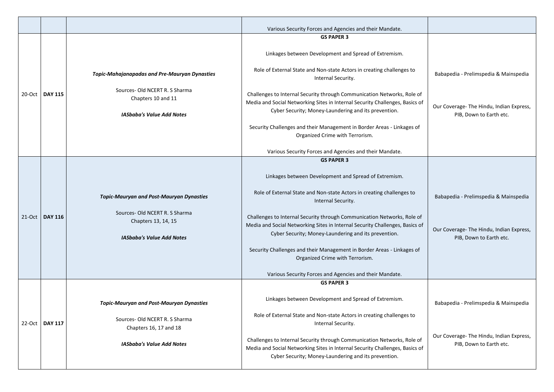|           |                |                                                          | Various Security Forces and Agencies and their Mandate.                                                                                                                                                         |                                                                     |
|-----------|----------------|----------------------------------------------------------|-----------------------------------------------------------------------------------------------------------------------------------------------------------------------------------------------------------------|---------------------------------------------------------------------|
|           |                |                                                          | <b>GS PAPER 3</b>                                                                                                                                                                                               |                                                                     |
|           |                |                                                          | Linkages between Development and Spread of Extremism.                                                                                                                                                           |                                                                     |
|           |                | <b>Topic-Mahajanapadas and Pre-Mauryan Dynasties</b>     | Role of External State and Non-state Actors in creating challenges to<br>Internal Security.                                                                                                                     | Babapedia - Prelimspedia & Mainspedia                               |
| 20-Oct    | <b>DAY 115</b> | Sources- Old NCERT R. S Sharma<br>Chapters 10 and 11     | Challenges to Internal Security through Communication Networks, Role of<br>Media and Social Networking Sites in Internal Security Challenges, Basics of                                                         |                                                                     |
|           |                | <b>IASbaba's Value Add Notes</b>                         | Cyber Security; Money-Laundering and its prevention.                                                                                                                                                            | Our Coverage- The Hindu, Indian Express,<br>PIB, Down to Earth etc. |
|           |                |                                                          | Security Challenges and their Management in Border Areas - Linkages of<br>Organized Crime with Terrorism.                                                                                                       |                                                                     |
|           |                |                                                          | Various Security Forces and Agencies and their Mandate.                                                                                                                                                         |                                                                     |
|           |                |                                                          | <b>GS PAPER 3</b>                                                                                                                                                                                               |                                                                     |
|           |                |                                                          | Linkages between Development and Spread of Extremism.                                                                                                                                                           |                                                                     |
|           |                | <b>Topic-Mauryan and Post-Mauryan Dynasties</b>          | Role of External State and Non-state Actors in creating challenges to<br>Internal Security.                                                                                                                     | Babapedia - Prelimspedia & Mainspedia                               |
| $21$ -Oct | <b>DAY 116</b> | Sources- Old NCERT R. S Sharma                           | Challenges to Internal Security through Communication Networks, Role of                                                                                                                                         |                                                                     |
|           |                | Chapters 13, 14, 15                                      | Media and Social Networking Sites in Internal Security Challenges, Basics of                                                                                                                                    | Our Coverage- The Hindu, Indian Express,                            |
|           |                | <b>IASbaba's Value Add Notes</b>                         | Cyber Security; Money-Laundering and its prevention.                                                                                                                                                            | PIB, Down to Earth etc.                                             |
|           |                |                                                          | Security Challenges and their Management in Border Areas - Linkages of<br>Organized Crime with Terrorism.                                                                                                       |                                                                     |
|           |                |                                                          | Various Security Forces and Agencies and their Mandate.                                                                                                                                                         |                                                                     |
|           |                |                                                          | <b>GS PAPER 3</b>                                                                                                                                                                                               |                                                                     |
|           |                | <b>Topic-Mauryan and Post-Mauryan Dynasties</b>          | Linkages between Development and Spread of Extremism.                                                                                                                                                           | Babapedia - Prelimspedia & Mainspedia                               |
| $22-Oct$  | <b>DAY 117</b> | Sources- Old NCERT R. S Sharma<br>Chapters 16, 17 and 18 | Role of External State and Non-state Actors in creating challenges to<br>Internal Security.                                                                                                                     |                                                                     |
|           |                | <b>IASbaba's Value Add Notes</b>                         | Challenges to Internal Security through Communication Networks, Role of<br>Media and Social Networking Sites in Internal Security Challenges, Basics of<br>Cyber Security; Money-Laundering and its prevention. | Our Coverage- The Hindu, Indian Express,<br>PIB, Down to Earth etc. |
|           |                |                                                          |                                                                                                                                                                                                                 |                                                                     |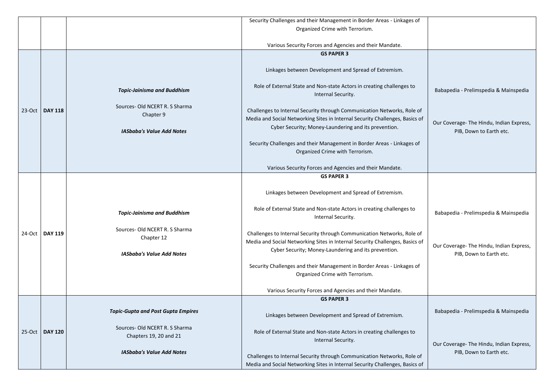|          |                  |                                                          | Security Challenges and their Management in Border Areas - Linkages of                                                                                  |                                                                     |
|----------|------------------|----------------------------------------------------------|---------------------------------------------------------------------------------------------------------------------------------------------------------|---------------------------------------------------------------------|
|          |                  |                                                          | Organized Crime with Terrorism.                                                                                                                         |                                                                     |
|          |                  |                                                          |                                                                                                                                                         |                                                                     |
|          |                  |                                                          | Various Security Forces and Agencies and their Mandate.                                                                                                 |                                                                     |
|          |                  |                                                          | <b>GS PAPER 3</b>                                                                                                                                       |                                                                     |
|          |                  |                                                          | Linkages between Development and Spread of Extremism.                                                                                                   |                                                                     |
|          |                  | <b>Topic-Jainisma and Buddhism</b>                       | Role of External State and Non-state Actors in creating challenges to<br>Internal Security.                                                             | Babapedia - Prelimspedia & Mainspedia                               |
| $23-Oct$ | DAY 118          | Sources- Old NCERT R. S Sharma<br>Chapter 9              | Challenges to Internal Security through Communication Networks, Role of<br>Media and Social Networking Sites in Internal Security Challenges, Basics of |                                                                     |
|          |                  | <b>IASbaba's Value Add Notes</b>                         | Cyber Security; Money-Laundering and its prevention.                                                                                                    | Our Coverage- The Hindu, Indian Express,<br>PIB, Down to Earth etc. |
|          |                  |                                                          | Security Challenges and their Management in Border Areas - Linkages of<br>Organized Crime with Terrorism.                                               |                                                                     |
|          |                  |                                                          |                                                                                                                                                         |                                                                     |
|          |                  |                                                          | Various Security Forces and Agencies and their Mandate.                                                                                                 |                                                                     |
|          |                  |                                                          | <b>GS PAPER 3</b>                                                                                                                                       |                                                                     |
|          |                  |                                                          | Linkages between Development and Spread of Extremism.                                                                                                   |                                                                     |
|          |                  | <b>Topic-Jainisma and Buddhism</b>                       | Role of External State and Non-state Actors in creating challenges to<br>Internal Security.                                                             | Babapedia - Prelimspedia & Mainspedia                               |
|          | 24-Oct   DAY 119 | Sources-Old NCERT R. S Sharma<br>Chapter 12              | Challenges to Internal Security through Communication Networks, Role of<br>Media and Social Networking Sites in Internal Security Challenges, Basics of |                                                                     |
|          |                  | <b>IASbaba's Value Add Notes</b>                         | Cyber Security; Money-Laundering and its prevention.                                                                                                    | Our Coverage- The Hindu, Indian Express,<br>PIB, Down to Earth etc. |
|          |                  |                                                          | Security Challenges and their Management in Border Areas - Linkages of<br>Organized Crime with Terrorism.                                               |                                                                     |
|          |                  |                                                          |                                                                                                                                                         |                                                                     |
|          |                  |                                                          | Various Security Forces and Agencies and their Mandate.                                                                                                 |                                                                     |
|          |                  |                                                          | <b>GS PAPER 3</b>                                                                                                                                       |                                                                     |
|          |                  | <b>Topic-Gupta and Post Gupta Empires</b>                | Linkages between Development and Spread of Extremism.                                                                                                   | Babapedia - Prelimspedia & Mainspedia                               |
|          | 25-Oct   DAY 120 | Sources- Old NCERT R. S Sharma<br>Chapters 19, 20 and 21 | Role of External State and Non-state Actors in creating challenges to<br>Internal Security.                                                             |                                                                     |
|          |                  |                                                          |                                                                                                                                                         | Our Coverage- The Hindu, Indian Express,                            |
|          |                  | <b>IASbaba's Value Add Notes</b>                         | Challenges to Internal Security through Communication Networks, Role of                                                                                 | PIB, Down to Earth etc.                                             |
|          |                  |                                                          | Media and Social Networking Sites in Internal Security Challenges, Basics of                                                                            |                                                                     |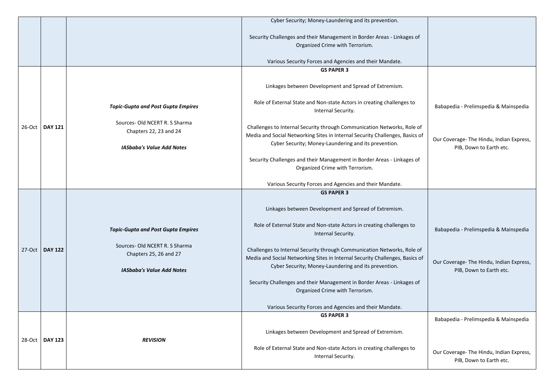|        |                  |                                                          | Cyber Security; Money-Laundering and its prevention.                                                                                 |                                                                     |
|--------|------------------|----------------------------------------------------------|--------------------------------------------------------------------------------------------------------------------------------------|---------------------------------------------------------------------|
|        |                  |                                                          |                                                                                                                                      |                                                                     |
|        |                  |                                                          | Security Challenges and their Management in Border Areas - Linkages of                                                               |                                                                     |
|        |                  |                                                          |                                                                                                                                      |                                                                     |
|        |                  |                                                          | Organized Crime with Terrorism.                                                                                                      |                                                                     |
|        |                  |                                                          | Various Security Forces and Agencies and their Mandate.                                                                              |                                                                     |
|        |                  |                                                          | <b>GS PAPER 3</b>                                                                                                                    |                                                                     |
|        |                  |                                                          |                                                                                                                                      |                                                                     |
|        |                  |                                                          | Linkages between Development and Spread of Extremism.                                                                                |                                                                     |
|        |                  | <b>Topic-Gupta and Post Gupta Empires</b>                | Role of External State and Non-state Actors in creating challenges to<br>Internal Security.                                          | Babapedia - Prelimspedia & Mainspedia                               |
| 26-Oct | <b>DAY 121</b>   | Sources- Old NCERT R. S Sharma<br>Chapters 22, 23 and 24 | Challenges to Internal Security through Communication Networks, Role of                                                              |                                                                     |
|        |                  | <b>IASbaba's Value Add Notes</b>                         | Media and Social Networking Sites in Internal Security Challenges, Basics of<br>Cyber Security; Money-Laundering and its prevention. | Our Coverage- The Hindu, Indian Express,<br>PIB, Down to Earth etc. |
|        |                  |                                                          | Security Challenges and their Management in Border Areas - Linkages of<br>Organized Crime with Terrorism.                            |                                                                     |
|        |                  |                                                          |                                                                                                                                      |                                                                     |
|        |                  |                                                          | Various Security Forces and Agencies and their Mandate.                                                                              |                                                                     |
|        |                  |                                                          | <b>GS PAPER 3</b>                                                                                                                    |                                                                     |
|        |                  |                                                          |                                                                                                                                      |                                                                     |
|        |                  |                                                          | Linkages between Development and Spread of Extremism.                                                                                |                                                                     |
|        |                  | <b>Topic-Gupta and Post Gupta Empires</b>                | Role of External State and Non-state Actors in creating challenges to<br>Internal Security.                                          | Babapedia - Prelimspedia & Mainspedia                               |
|        |                  |                                                          |                                                                                                                                      |                                                                     |
| 27-Oct | <b>DAY 122</b>   | Sources- Old NCERT R. S Sharma                           | Challenges to Internal Security through Communication Networks, Role of                                                              |                                                                     |
|        |                  | Chapters 25, 26 and 27                                   | Media and Social Networking Sites in Internal Security Challenges, Basics of                                                         |                                                                     |
|        |                  | <b>IASbaba's Value Add Notes</b>                         | Cyber Security; Money-Laundering and its prevention.                                                                                 | Our Coverage- The Hindu, Indian Express,<br>PIB, Down to Earth etc. |
|        |                  |                                                          |                                                                                                                                      |                                                                     |
|        |                  |                                                          | Security Challenges and their Management in Border Areas - Linkages of                                                               |                                                                     |
|        |                  |                                                          | Organized Crime with Terrorism.                                                                                                      |                                                                     |
|        |                  |                                                          |                                                                                                                                      |                                                                     |
|        |                  |                                                          | Various Security Forces and Agencies and their Mandate.                                                                              |                                                                     |
|        |                  |                                                          | <b>GS PAPER 3</b>                                                                                                                    | Babapedia - Prelimspedia & Mainspedia                               |
|        |                  |                                                          |                                                                                                                                      |                                                                     |
|        |                  | <b>REVISION</b>                                          | Linkages between Development and Spread of Extremism.                                                                                |                                                                     |
|        |                  |                                                          |                                                                                                                                      |                                                                     |
|        | 28-Oct   DAY 123 |                                                          |                                                                                                                                      |                                                                     |
|        |                  |                                                          | Role of External State and Non-state Actors in creating challenges to<br>Internal Security.                                          | Our Coverage- The Hindu, Indian Express,                            |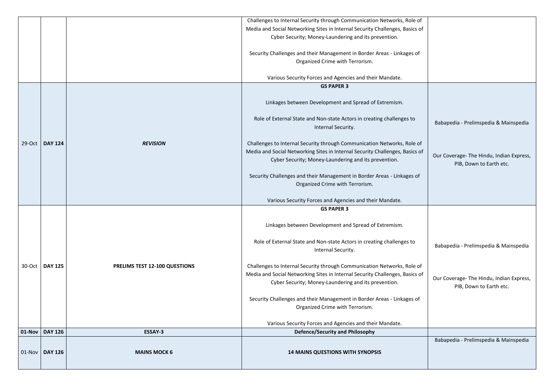|          |                  |                               | Challenges to Internal Security through Communication Networks, Role of      |                                          |
|----------|------------------|-------------------------------|------------------------------------------------------------------------------|------------------------------------------|
|          |                  |                               | Media and Social Networking Sites in Internal Security Challenges, Basics of |                                          |
|          |                  |                               | Cyber Security; Money-Laundering and its prevention.                         |                                          |
|          |                  |                               |                                                                              |                                          |
|          |                  |                               | Security Challenges and their Management in Border Areas - Linkages of       |                                          |
|          |                  |                               | Organized Crime with Terrorism.                                              |                                          |
|          |                  |                               |                                                                              |                                          |
|          |                  |                               | Various Security Forces and Agencies and their Mandate.                      |                                          |
|          |                  |                               | <b>GS PAPER 3</b>                                                            |                                          |
|          |                  |                               |                                                                              |                                          |
|          |                  |                               | Linkages between Development and Spread of Extremism.                        |                                          |
|          |                  |                               |                                                                              |                                          |
|          |                  |                               | Role of External State and Non-state Actors in creating challenges to        |                                          |
|          |                  |                               | Internal Security.                                                           | Babapedia - Prelimspedia & Mainspedia    |
|          |                  |                               |                                                                              |                                          |
|          | 29-Oct   DAY 124 | <b>REVISION</b>               | Challenges to Internal Security through Communication Networks, Role of      |                                          |
|          |                  |                               | Media and Social Networking Sites in Internal Security Challenges, Basics of |                                          |
|          |                  |                               | Cyber Security; Money-Laundering and its prevention.                         | Our Coverage- The Hindu, Indian Express, |
|          |                  |                               |                                                                              | PIB, Down to Earth etc.                  |
|          |                  |                               | Security Challenges and their Management in Border Areas - Linkages of       |                                          |
|          |                  |                               | Organized Crime with Terrorism.                                              |                                          |
|          |                  |                               |                                                                              |                                          |
|          |                  |                               | Various Security Forces and Agencies and their Mandate.                      |                                          |
|          |                  |                               | <b>GS PAPER 3</b>                                                            |                                          |
|          |                  |                               |                                                                              |                                          |
|          |                  |                               | Linkages between Development and Spread of Extremism.                        |                                          |
|          |                  |                               |                                                                              |                                          |
|          |                  |                               | Role of External State and Non-state Actors in creating challenges to        | Babapedia - Prelimspedia & Mainspedia    |
|          |                  |                               | Internal Security.                                                           |                                          |
|          | 30-Oct   DAY 125 | PRELIMS TEST 12-100 QUESTIONS | Challenges to Internal Security through Communication Networks, Role of      |                                          |
|          |                  |                               | Media and Social Networking Sites in Internal Security Challenges, Basics of |                                          |
|          |                  |                               | Cyber Security; Money-Laundering and its prevention.                         | Our Coverage- The Hindu, Indian Express, |
|          |                  |                               |                                                                              | PIB, Down to Earth etc.                  |
|          |                  |                               | Security Challenges and their Management in Border Areas - Linkages of       |                                          |
|          |                  |                               | Organized Crime with Terrorism.                                              |                                          |
|          |                  |                               |                                                                              |                                          |
|          |                  |                               | Various Security Forces and Agencies and their Mandate.                      |                                          |
| $01-Nov$ | <b>DAY 126</b>   | <b>ESSAY-3</b>                | <b>Defence/Security and Philosophy</b>                                       |                                          |
|          |                  |                               |                                                                              | Babapedia - Prelimspedia & Mainspedia    |
|          |                  |                               |                                                                              |                                          |
|          | $01-Nov$ DAY 126 | <b>MAINS MOCK 6</b>           | <b>14 MAINS QUESTIONS WITH SYNOPSIS</b>                                      |                                          |
|          |                  |                               |                                                                              |                                          |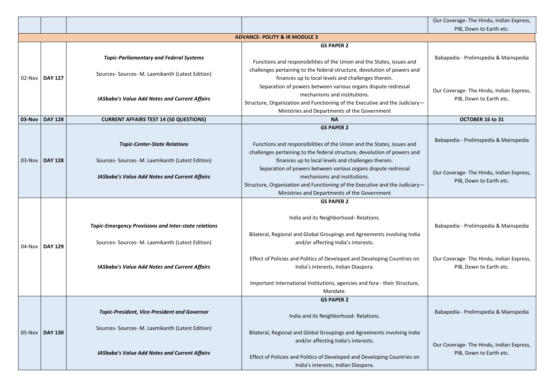|        |                                          |                                                                                                          |                                                                                                                                                                                                                                                                                     | Our Coverage- The Hindu, Ind                          |  |  |  |
|--------|------------------------------------------|----------------------------------------------------------------------------------------------------------|-------------------------------------------------------------------------------------------------------------------------------------------------------------------------------------------------------------------------------------------------------------------------------------|-------------------------------------------------------|--|--|--|
|        |                                          |                                                                                                          |                                                                                                                                                                                                                                                                                     | PIB, Down to Earth e                                  |  |  |  |
|        | <b>ADVANCE- POLITY &amp; IR MODULE 3</b> |                                                                                                          |                                                                                                                                                                                                                                                                                     |                                                       |  |  |  |
|        |                                          |                                                                                                          | <b>GS PAPER 2</b>                                                                                                                                                                                                                                                                   |                                                       |  |  |  |
|        |                                          | <b>Topic-Parliamentary and Federal Systems</b>                                                           | Functions and responsibilities of the Union and the States, issues and                                                                                                                                                                                                              | Babapedia - Prelimspedia & N                          |  |  |  |
|        | 02-Nov   DAY 127                         | Sources- Sources- M. Laxmikanth (Latest Edition)                                                         | challenges pertaining to the federal structure, devolution of powers and<br>finances up to local levels and challenges therein.                                                                                                                                                     |                                                       |  |  |  |
|        |                                          | <b>IASbaba's Value Add Notes and Current Affairs</b>                                                     | Separation of powers between various organs dispute redressal<br>mechanisms and institutions.<br>Structure, Organization and Functioning of the Executive and the Judiciary-<br>Ministries and Departments of the Government                                                        | Our Coverage- The Hindu, Ind<br>PIB, Down to Earth e  |  |  |  |
| 03-Nov | <b>DAY 128</b>                           | <b>CURRENT AFFAIRS TEST 14 (50 QUESTIONS)</b>                                                            | <b>NA</b>                                                                                                                                                                                                                                                                           | OCTOBER 16 to 31                                      |  |  |  |
|        |                                          |                                                                                                          | <b>GS PAPER 2</b>                                                                                                                                                                                                                                                                   |                                                       |  |  |  |
|        |                                          | <b>Topic-Center-State Relations</b>                                                                      | Functions and responsibilities of the Union and the States, issues and<br>challenges pertaining to the federal structure, devolution of powers and                                                                                                                                  | Babapedia - Prelimspedia & N                          |  |  |  |
|        | 03-Nov   DAY 128                         | Sources- Sources- M. Laxmikanth (Latest Edition)<br><b>IASbaba's Value Add Notes and Current Affairs</b> | finances up to local levels and challenges therein.<br>Separation of powers between various organs dispute redressal<br>mechanisms and institutions.<br>Structure, Organization and Functioning of the Executive and the Judiciary-<br>Ministries and Departments of the Government | Our Coverage- The Hindu, Ind<br>PIB, Down to Earth e  |  |  |  |
|        |                                          |                                                                                                          | <b>GS PAPER 2</b>                                                                                                                                                                                                                                                                   |                                                       |  |  |  |
|        |                                          | <b>Topic-Emergency Provisions and Inter-state relations</b>                                              | India and its Neighborhood-Relations.                                                                                                                                                                                                                                               | Babapedia - Prelimspedia & N                          |  |  |  |
|        | 04-Nov   DAY 129                         | Sources- Sources- M. Laxmikanth (Latest Edition)                                                         | Bilateral, Regional and Global Groupings and Agreements involving India<br>and/or affecting India's interests.                                                                                                                                                                      |                                                       |  |  |  |
|        |                                          | <b>IASbaba's Value Add Notes and Current Affairs</b>                                                     | Effect of Policies and Politics of Developed and Developing Countries on<br>India's interests, Indian Diaspora.                                                                                                                                                                     | Our Coverage- The Hindu, Indi<br>PIB, Down to Earth e |  |  |  |
|        |                                          |                                                                                                          | Important International Institutions, agencies and fora - their Structure,<br>Mandate.                                                                                                                                                                                              |                                                       |  |  |  |
|        |                                          |                                                                                                          | <b>GS PAPER 2</b>                                                                                                                                                                                                                                                                   |                                                       |  |  |  |
|        |                                          | <b>Topic-President, Vice-President and Governor</b>                                                      | India and its Neighborhood-Relations.                                                                                                                                                                                                                                               | Babapedia - Prelimspedia & N                          |  |  |  |
|        | 05-Nov   DAY 130                         | Sources- Sources- M. Laxmikanth (Latest Edition)                                                         | Bilateral, Regional and Global Groupings and Agreements involving India<br>and/or affecting India's interests.                                                                                                                                                                      |                                                       |  |  |  |
|        |                                          | <b>IASbaba's Value Add Notes and Current Affairs</b>                                                     | Effect of Policies and Politics of Developed and Developing Countries on<br>India's interests, Indian Diaspora.                                                                                                                                                                     | Our Coverage- The Hindu, Indi<br>PIB, Down to Earth e |  |  |  |
|        |                                          |                                                                                                          |                                                                                                                                                                                                                                                                                     |                                                       |  |  |  |

|   | Our Coverage- The Hindu, Indian Express,<br>PIB, Down to Earth etc.                                          |
|---|--------------------------------------------------------------------------------------------------------------|
|   |                                                                                                              |
| l | Babapedia - Prelimspedia & Mainspedia                                                                        |
|   | Our Coverage- The Hindu, Indian Express,<br>PIB, Down to Earth etc.                                          |
|   | <b>OCTOBER 16 to 31</b>                                                                                      |
| l | Babapedia - Prelimspedia & Mainspedia                                                                        |
|   | Our Coverage- The Hindu, Indian Express,<br>PIB, Down to Earth etc.                                          |
| Э | Babapedia - Prelimspedia & Mainspedia<br>Our Coverage- The Hindu, Indian Express,<br>PIB, Down to Earth etc. |
|   | Babapedia - Prelimspedia & Mainspedia                                                                        |
| Э | Our Coverage- The Hindu, Indian Express,<br>PIB, Down to Earth etc.                                          |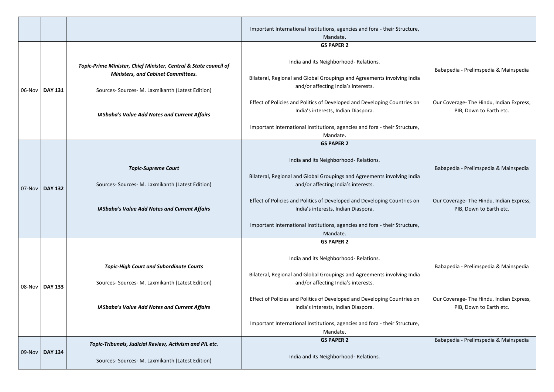|          |                  |                                                                                                                                                                   | Important International Institutions, agencies and fora - their Structure,<br>Mandate.<br><b>GS PAPER 2</b>                                                                                                                         |                                                                                   |
|----------|------------------|-------------------------------------------------------------------------------------------------------------------------------------------------------------------|-------------------------------------------------------------------------------------------------------------------------------------------------------------------------------------------------------------------------------------|-----------------------------------------------------------------------------------|
|          | 06-Nov   DAY 131 | Topic-Prime Minister, Chief Minister, Central & State council of<br><b>Ministers, and Cabinet Committees.</b><br>Sources- Sources- M. Laxmikanth (Latest Edition) | India and its Neighborhood-Relations.<br>Bilateral, Regional and Global Groupings and Agreements involving India<br>and/or affecting India's interests.<br>Effect of Policies and Politics of Developed and Developing Countries on | Babapedia - Prelimspedia & Mainspedia<br>Our Coverage- The Hindu, Indian Express, |
|          |                  | <b>IASbaba's Value Add Notes and Current Affairs</b>                                                                                                              | India's interests, Indian Diaspora.<br>Important International Institutions, agencies and fora - their Structure,<br>Mandate.                                                                                                       | PIB, Down to Earth etc.                                                           |
| 07-Nov   | <b>DAY 132</b>   | <b>Topic-Supreme Court</b><br>Sources- Sources- M. Laxmikanth (Latest Edition)                                                                                    | <b>GS PAPER 2</b><br>India and its Neighborhood-Relations.<br>Bilateral, Regional and Global Groupings and Agreements involving India<br>and/or affecting India's interests.                                                        | Babapedia - Prelimspedia & Mainspedia                                             |
|          |                  | <b>IASbaba's Value Add Notes and Current Affairs</b>                                                                                                              | Effect of Policies and Politics of Developed and Developing Countries on<br>India's interests, Indian Diaspora.<br>Important International Institutions, agencies and fora - their Structure,<br>Mandate.                           | Our Coverage- The Hindu, Indian Express,<br>PIB, Down to Earth etc.               |
| $08-Nov$ | <b>DAY 133</b>   | <b>Topic-High Court and Subordinate Courts</b><br>Sources- Sources- M. Laxmikanth (Latest Edition)                                                                | <b>GS PAPER 2</b><br>India and its Neighborhood-Relations.<br>Bilateral, Regional and Global Groupings and Agreements involving India<br>and/or affecting India's interests.                                                        | Babapedia - Prelimspedia & Mainspedia                                             |
|          |                  | <b>IASbaba's Value Add Notes and Current Affairs</b>                                                                                                              | Effect of Policies and Politics of Developed and Developing Countries on<br>India's interests, Indian Diaspora.<br>Important International Institutions, agencies and fora - their Structure,<br>Mandate.                           | Our Coverage- The Hindu, Indian Express,<br>PIB, Down to Earth etc.               |
|          | 09-Nov   DAY 134 | Topic-Tribunals, Judicial Review, Activism and PIL etc.<br>Sources- Sources- M. Laxmikanth (Latest Edition)                                                       | <b>GS PAPER 2</b><br>India and its Neighborhood-Relations.                                                                                                                                                                          | Babapedia - Prelimspedia & Mainspedia                                             |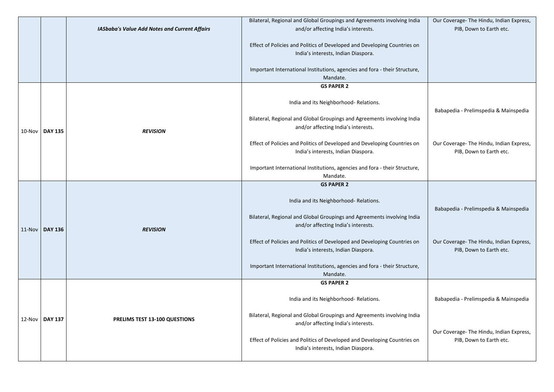|                  |                                                      | Bilateral, Regional and Global Groupings and Agreements involving India                                        | Our Coverage- The Hindu, Indian Express,                            |
|------------------|------------------------------------------------------|----------------------------------------------------------------------------------------------------------------|---------------------------------------------------------------------|
|                  | <b>IASbaba's Value Add Notes and Current Affairs</b> | and/or affecting India's interests.                                                                            | PIB, Down to Earth etc.                                             |
|                  |                                                      | Effect of Policies and Politics of Developed and Developing Countries on                                       |                                                                     |
|                  |                                                      | India's interests, Indian Diaspora.                                                                            |                                                                     |
|                  |                                                      |                                                                                                                |                                                                     |
|                  |                                                      | Important International Institutions, agencies and fora - their Structure,                                     |                                                                     |
|                  |                                                      | Mandate.<br><b>GS PAPER 2</b>                                                                                  |                                                                     |
|                  |                                                      |                                                                                                                |                                                                     |
|                  |                                                      | India and its Neighborhood-Relations.                                                                          |                                                                     |
|                  |                                                      |                                                                                                                | Babapedia - Prelimspedia & Mainspedia                               |
|                  |                                                      | Bilateral, Regional and Global Groupings and Agreements involving India<br>and/or affecting India's interests. |                                                                     |
| 10-Nov   DAY 135 | <b>REVISION</b>                                      |                                                                                                                |                                                                     |
|                  |                                                      | Effect of Policies and Politics of Developed and Developing Countries on                                       | Our Coverage- The Hindu, Indian Express,                            |
|                  |                                                      | India's interests, Indian Diaspora.                                                                            | PIB, Down to Earth etc.                                             |
|                  |                                                      |                                                                                                                |                                                                     |
|                  |                                                      | Important International Institutions, agencies and fora - their Structure,<br>Mandate.                         |                                                                     |
|                  |                                                      | <b>GS PAPER 2</b>                                                                                              |                                                                     |
|                  |                                                      |                                                                                                                |                                                                     |
|                  |                                                      | India and its Neighborhood-Relations.                                                                          |                                                                     |
|                  |                                                      | Bilateral, Regional and Global Groupings and Agreements involving India                                        | Babapedia - Prelimspedia & Mainspedia                               |
|                  |                                                      | and/or affecting India's interests.                                                                            |                                                                     |
| $11-Nov$ DAY 136 | <b>REVISION</b>                                      |                                                                                                                |                                                                     |
|                  |                                                      | Effect of Policies and Politics of Developed and Developing Countries on                                       | Our Coverage- The Hindu, Indian Express,                            |
|                  |                                                      | India's interests, Indian Diaspora.                                                                            | PIB, Down to Earth etc.                                             |
|                  |                                                      | Important International Institutions, agencies and fora - their Structure,                                     |                                                                     |
|                  |                                                      | Mandate.                                                                                                       |                                                                     |
|                  |                                                      | <b>GS PAPER 2</b>                                                                                              |                                                                     |
|                  |                                                      | India and its Neighborhood-Relations.                                                                          | Babapedia - Prelimspedia & Mainspedia                               |
|                  |                                                      |                                                                                                                |                                                                     |
| 12-Nov   DAY 137 | PRELIMS TEST 13-100 QUESTIONS                        | Bilateral, Regional and Global Groupings and Agreements involving India                                        |                                                                     |
|                  |                                                      | and/or affecting India's interests.                                                                            |                                                                     |
|                  |                                                      | Effect of Policies and Politics of Developed and Developing Countries on                                       | Our Coverage- The Hindu, Indian Express,<br>PIB, Down to Earth etc. |
|                  |                                                      | India's interests, Indian Diaspora.                                                                            |                                                                     |
|                  |                                                      |                                                                                                                |                                                                     |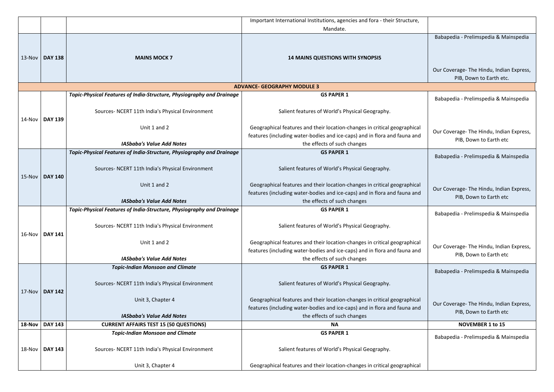|           |                  |                                                                       | Important International Institutions, agencies and fora - their Structure,                                                                             |                               |
|-----------|------------------|-----------------------------------------------------------------------|--------------------------------------------------------------------------------------------------------------------------------------------------------|-------------------------------|
|           |                  |                                                                       | Mandate.                                                                                                                                               |                               |
|           |                  |                                                                       |                                                                                                                                                        | Babapedia - Prelimspedia & M  |
|           |                  |                                                                       |                                                                                                                                                        |                               |
| 13-Nov    | <b>DAY 138</b>   | <b>MAINS MOCK 7</b>                                                   | <b>14 MAINS QUESTIONS WITH SYNOPSIS</b>                                                                                                                |                               |
|           |                  |                                                                       |                                                                                                                                                        | Our Coverage- The Hindu, Indi |
|           |                  |                                                                       |                                                                                                                                                        | PIB, Down to Earth et         |
|           |                  |                                                                       | <b>ADVANCE- GEOGRAPHY MODULE 3</b>                                                                                                                     |                               |
|           |                  | Topic-Physical Features of India-Structure, Physiography and Drainage | <b>GS PAPER 1</b>                                                                                                                                      | Babapedia - Prelimspedia & N  |
|           |                  |                                                                       |                                                                                                                                                        |                               |
|           |                  | Sources- NCERT 11th India's Physical Environment                      | Salient features of World's Physical Geography.                                                                                                        |                               |
|           | 14-Nov   DAY 139 | Unit 1 and 2                                                          | Geographical features and their location-changes in critical geographical                                                                              |                               |
|           |                  |                                                                       | features (including water-bodies and ice-caps) and in flora and fauna and                                                                              | Our Coverage- The Hindu, Indi |
|           |                  | <b>IASbaba's Value Add Notes</b>                                      | the effects of such changes                                                                                                                            | PIB, Down to Earth e          |
|           |                  | Topic-Physical Features of India-Structure, Physiography and Drainage | <b>GS PAPER 1</b>                                                                                                                                      | Babapedia - Prelimspedia & N  |
|           |                  |                                                                       |                                                                                                                                                        |                               |
|           |                  | Sources- NCERT 11th India's Physical Environment                      | Salient features of World's Physical Geography.                                                                                                        |                               |
| $15-Nov$  | <b>DAY 140</b>   |                                                                       |                                                                                                                                                        |                               |
|           |                  | Unit 1 and 2                                                          | Geographical features and their location-changes in critical geographical<br>features (including water-bodies and ice-caps) and in flora and fauna and | Our Coverage- The Hindu, Indi |
|           |                  | <b>IASbaba's Value Add Notes</b>                                      | the effects of such changes                                                                                                                            | PIB, Down to Earth e          |
|           |                  | Topic-Physical Features of India-Structure, Physiography and Drainage | <b>GS PAPER 1</b>                                                                                                                                      |                               |
|           | 16-Nov   DAY 141 |                                                                       |                                                                                                                                                        | Babapedia - Prelimspedia & N  |
|           |                  | Sources- NCERT 11th India's Physical Environment                      | Salient features of World's Physical Geography.                                                                                                        |                               |
|           |                  |                                                                       |                                                                                                                                                        |                               |
|           |                  | Unit 1 and 2                                                          | Geographical features and their location-changes in critical geographical                                                                              | Our Coverage- The Hindu, Indi |
|           |                  | <b>IASbaba's Value Add Notes</b>                                      | features (including water-bodies and ice-caps) and in flora and fauna and<br>the effects of such changes                                               | PIB, Down to Earth e          |
|           |                  | <b>Topic-Indian Monsoon and Climate</b>                               | <b>GS PAPER 1</b>                                                                                                                                      |                               |
|           |                  |                                                                       |                                                                                                                                                        | Babapedia - Prelimspedia & M  |
|           |                  | Sources- NCERT 11th India's Physical Environment                      | Salient features of World's Physical Geography.                                                                                                        |                               |
| $17$ -Nov | <b>DAY 142</b>   |                                                                       |                                                                                                                                                        |                               |
|           |                  | Unit 3, Chapter 4                                                     | Geographical features and their location-changes in critical geographical                                                                              | Our Coverage- The Hindu, Indi |
|           |                  |                                                                       | features (including water-bodies and ice-caps) and in flora and fauna and                                                                              | PIB, Down to Earth e          |
|           |                  | <b>IASbaba's Value Add Notes</b>                                      | the effects of such changes                                                                                                                            |                               |
|           | 18-Nov   DAY 143 | <b>CURRENT AFFAIRS TEST 15 (50 QUESTIONS)</b>                         | <b>NA</b><br><b>GS PAPER 1</b>                                                                                                                         | <b>NOVEMBER 1 to 15</b>       |
|           |                  | <b>Topic-Indian Monsoon and Climate</b>                               |                                                                                                                                                        | Babapedia - Prelimspedia & N  |
|           | 18-Nov   DAY 143 | Sources- NCERT 11th India's Physical Environment                      | Salient features of World's Physical Geography.                                                                                                        |                               |
|           |                  |                                                                       |                                                                                                                                                        |                               |
|           |                  |                                                                       |                                                                                                                                                        |                               |

|         | Babapedia - Prelimspedia & Mainspedia                              |
|---------|--------------------------------------------------------------------|
|         | Our Coverage-The Hindu, Indian Express,<br>PIB, Down to Earth etc. |
|         |                                                                    |
|         | Babapedia - Prelimspedia & Mainspedia                              |
| ı<br>d  | Our Coverage- The Hindu, Indian Express,<br>PIB, Down to Earth etc |
|         | Babapedia - Prelimspedia & Mainspedia                              |
| ıl<br>d | Our Coverage- The Hindu, Indian Express,<br>PIB, Down to Earth etc |
|         | Babapedia - Prelimspedia & Mainspedia                              |
| ıl<br>d | Our Coverage-The Hindu, Indian Express,<br>PIB, Down to Earth etc  |
|         | Babapedia - Prelimspedia & Mainspedia                              |
| ıl<br>d | Our Coverage- The Hindu, Indian Express,<br>PIB, Down to Earth etc |
|         | <b>NOVEMBER 1 to 15</b>                                            |
| a I     | Babapedia - Prelimspedia & Mainspedia                              |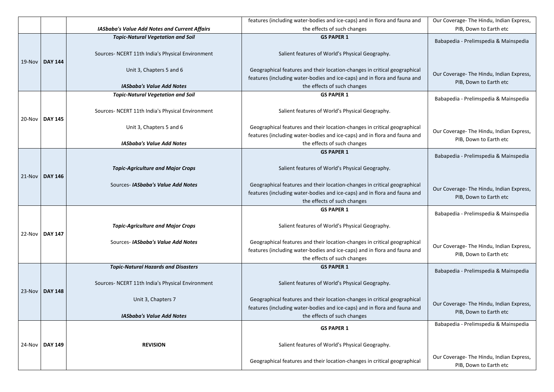|        |                |                                                              | features (including water-bodies and ice-caps) and in flora and fauna and                                                                                                             | Our Coverage- The Hindu, Indian Express,                           |
|--------|----------------|--------------------------------------------------------------|---------------------------------------------------------------------------------------------------------------------------------------------------------------------------------------|--------------------------------------------------------------------|
|        |                | <b>IASbaba's Value Add Notes and Current Affairs</b>         | the effects of such changes                                                                                                                                                           | PIB, Down to Earth etc                                             |
|        |                | <b>Topic-Natural Vegetation and Soil</b>                     | <b>GS PAPER 1</b>                                                                                                                                                                     | Babapedia - Prelimspedia & Mainspedia                              |
| 19-Nov | <b>DAY 144</b> | Sources- NCERT 11th India's Physical Environment             | Salient features of World's Physical Geography.                                                                                                                                       |                                                                    |
|        |                | Unit 3, Chapters 5 and 6                                     | Geographical features and their location-changes in critical geographical                                                                                                             | Our Coverage- The Hindu, Indian Express,                           |
|        |                | <b>IASbaba's Value Add Notes</b>                             | features (including water-bodies and ice-caps) and in flora and fauna and<br>the effects of such changes                                                                              | PIB, Down to Earth etc                                             |
|        |                | <b>Topic-Natural Vegetation and Soil</b>                     | <b>GS PAPER 1</b>                                                                                                                                                                     | Babapedia - Prelimspedia & Mainspedia                              |
| 20-Nov | <b>DAY 145</b> | Sources- NCERT 11th India's Physical Environment             | Salient features of World's Physical Geography.                                                                                                                                       |                                                                    |
|        |                | Unit 3, Chapters 5 and 6<br><b>IASbaba's Value Add Notes</b> | Geographical features and their location-changes in critical geographical<br>features (including water-bodies and ice-caps) and in flora and fauna and<br>the effects of such changes | Our Coverage- The Hindu, Indian Express,<br>PIB, Down to Earth etc |
|        |                |                                                              | <b>GS PAPER 1</b>                                                                                                                                                                     |                                                                    |
|        |                |                                                              |                                                                                                                                                                                       | Babapedia - Prelimspedia & Mainspedia                              |
| 21-Nov | <b>DAY 146</b> | <b>Topic-Agriculture and Major Crops</b>                     | Salient features of World's Physical Geography.                                                                                                                                       |                                                                    |
|        |                | Sources- IASbaba's Value Add Notes                           | Geographical features and their location-changes in critical geographical<br>features (including water-bodies and ice-caps) and in flora and fauna and<br>the effects of such changes | Our Coverage- The Hindu, Indian Express,<br>PIB, Down to Earth etc |
|        |                |                                                              | <b>GS PAPER 1</b>                                                                                                                                                                     | Babapedia - Prelimspedia & Mainspedia                              |
| 22-Nov | <b>DAY 147</b> | <b>Topic-Agriculture and Major Crops</b>                     | Salient features of World's Physical Geography.                                                                                                                                       |                                                                    |
|        |                | Sources- IASbaba's Value Add Notes                           | Geographical features and their location-changes in critical geographical<br>features (including water-bodies and ice-caps) and in flora and fauna and<br>the effects of such changes | Our Coverage- The Hindu, Indian Express,<br>PIB, Down to Earth etc |
|        |                | <b>Topic-Natural Hazards and Disasters</b>                   | <b>GS PAPER 1</b>                                                                                                                                                                     | Babapedia - Prelimspedia & Mainspedia                              |
| 23-Nov | <b>DAY 148</b> | Sources- NCERT 11th India's Physical Environment             | Salient features of World's Physical Geography.                                                                                                                                       |                                                                    |
|        |                | Unit 3, Chapters 7<br><b>IASbaba's Value Add Notes</b>       | Geographical features and their location-changes in critical geographical<br>features (including water-bodies and ice-caps) and in flora and fauna and<br>the effects of such changes | Our Coverage- The Hindu, Indian Express,<br>PIB, Down to Earth etc |
| 24-Nov |                |                                                              | <b>GS PAPER 1</b>                                                                                                                                                                     | Babapedia - Prelimspedia & Mainspedia                              |
|        | <b>DAY 149</b> | <b>REVISION</b>                                              | Salient features of World's Physical Geography.                                                                                                                                       |                                                                    |
|        |                |                                                              | Geographical features and their location-changes in critical geographical                                                                                                             | Our Coverage- The Hindu, Indian Express,<br>PIB, Down to Earth etc |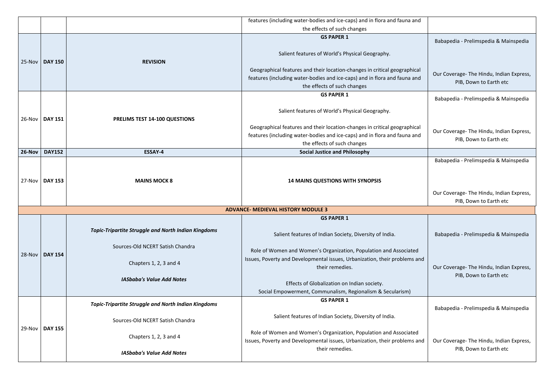|        |                |                                                                                                | features (including water-bodies and ice-caps) and in flora and fauna and                                                                                                                                                                                     |
|--------|----------------|------------------------------------------------------------------------------------------------|---------------------------------------------------------------------------------------------------------------------------------------------------------------------------------------------------------------------------------------------------------------|
|        |                |                                                                                                | the effects of such changes                                                                                                                                                                                                                                   |
|        |                |                                                                                                | <b>GS PAPER 1</b><br>Salient features of World's Physical Geography.                                                                                                                                                                                          |
| 25-Nov | <b>DAY 150</b> | <b>REVISION</b>                                                                                | Geographical features and their location-changes in critical geographical<br>features (including water-bodies and ice-caps) and in flora and fauna and<br>the effects of such changes                                                                         |
| 26-Nov | <b>DAY 151</b> | <b>PRELIMS TEST 14-100 QUESTIONS</b>                                                           | <b>GS PAPER 1</b><br>Salient features of World's Physical Geography.<br>Geographical features and their location-changes in critical geographical<br>features (including water-bodies and ice-caps) and in flora and fauna and<br>the effects of such changes |
| 26-Nov | <b>DAY152</b>  | <b>ESSAY-4</b>                                                                                 | <b>Social Justice and Philosophy</b>                                                                                                                                                                                                                          |
| 27-Nov | <b>DAY 153</b> | <b>MAINS MOCK 8</b>                                                                            | <b>14 MAINS QUESTIONS WITH SYNOPSIS</b>                                                                                                                                                                                                                       |
|        |                |                                                                                                |                                                                                                                                                                                                                                                               |
|        |                |                                                                                                | <b>ADVANCE- MEDIEVAL HISTORY MODULE 3</b>                                                                                                                                                                                                                     |
|        |                | <b>Topic-Tripartite Struggle and North Indian Kingdoms</b>                                     | <b>GS PAPER 1</b><br>Salient features of Indian Society, Diversity of India.                                                                                                                                                                                  |
| 28-Nov | <b>DAY 154</b> | Sources-Old NCERT Satish Chandra                                                               | Role of Women and Women's Organization, Population and Associated                                                                                                                                                                                             |
|        |                | Chapters 1, 2, 3 and 4                                                                         | Issues, Poverty and Developmental issues, Urbanization, their problems and<br>their remedies.                                                                                                                                                                 |
|        |                | <b>IASbaba's Value Add Notes</b>                                                               | Effects of Globalization on Indian society.<br>Social Empowerment, Communalism, Regionalism & Secularism)                                                                                                                                                     |
|        |                |                                                                                                | <b>GS PAPER 1</b>                                                                                                                                                                                                                                             |
|        |                | <b>Topic-Tripartite Struggle and North Indian Kingdoms</b><br>Sources-Old NCERT Satish Chandra | Salient features of Indian Society, Diversity of India.                                                                                                                                                                                                       |
| 29-Nov | <b>DAY 155</b> | Chapters 1, 2, 3 and 4                                                                         | Role of Women and Women's Organization, Population and Associated<br>Issues, Poverty and Developmental issues, Urbanization, their problems and<br>their remedies.                                                                                            |

| d       |                                                                                                             |
|---------|-------------------------------------------------------------------------------------------------------------|
|         | Babapedia - Prelimspedia & Mainspedia                                                                       |
| ıl<br>d | Our Coverage- The Hindu, Indian Express,<br>PIB, Down to Earth etc                                          |
|         | Babapedia - Prelimspedia & Mainspedia                                                                       |
| ıl<br>d | Our Coverage- The Hindu, Indian Express,<br>PIB, Down to Earth etc                                          |
|         |                                                                                                             |
|         | Babapedia - Prelimspedia & Mainspedia<br>Our Coverage- The Hindu, Indian Express,<br>PIB, Down to Earth etc |
|         |                                                                                                             |
|         |                                                                                                             |
|         | Babapedia - Prelimspedia & Mainspedia                                                                       |
| nd      | Our Coverage-The Hindu, Indian Express,<br>PIB, Down to Earth etc                                           |
|         | Babapedia - Prelimspedia & Mainspedia                                                                       |
| nd      | Our Coverage- The Hindu, Indian Express,<br>PIB, Down to Earth etc                                          |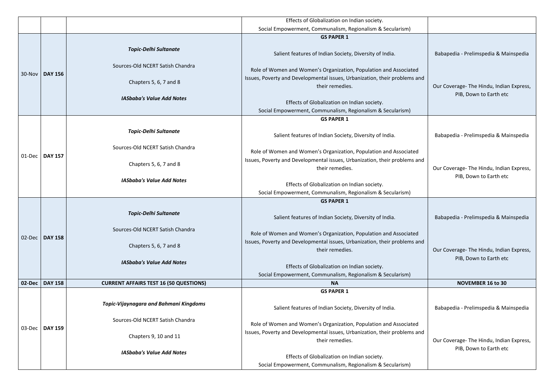| Social Empowerment, Communalism, Regionalism & Secularism)<br><b>GS PAPER 1</b><br><b>Topic-Delhi Sultanate</b><br>Salient features of Indian Society, Diversity of India.<br>Sources-Old NCERT Satish Chandra<br>Role of Women and Women's Organization, Population and Associated<br>30-Nov<br><b>DAY 156</b><br>Issues, Poverty and Developmental issues, Urbanization, their problems and<br>Chapters 5, 6, 7 and 8<br>their remedies.<br><b>IASbaba's Value Add Notes</b><br>Effects of Globalization on Indian society. | Babapedia - Prelimspedia & Mainspedia<br>Our Coverage- The Hindu, Indian Express, |
|-------------------------------------------------------------------------------------------------------------------------------------------------------------------------------------------------------------------------------------------------------------------------------------------------------------------------------------------------------------------------------------------------------------------------------------------------------------------------------------------------------------------------------|-----------------------------------------------------------------------------------|
|                                                                                                                                                                                                                                                                                                                                                                                                                                                                                                                               |                                                                                   |
|                                                                                                                                                                                                                                                                                                                                                                                                                                                                                                                               |                                                                                   |
|                                                                                                                                                                                                                                                                                                                                                                                                                                                                                                                               |                                                                                   |
|                                                                                                                                                                                                                                                                                                                                                                                                                                                                                                                               |                                                                                   |
|                                                                                                                                                                                                                                                                                                                                                                                                                                                                                                                               |                                                                                   |
|                                                                                                                                                                                                                                                                                                                                                                                                                                                                                                                               | PIB, Down to Earth etc                                                            |
| Social Empowerment, Communalism, Regionalism & Secularism)                                                                                                                                                                                                                                                                                                                                                                                                                                                                    |                                                                                   |
| <b>GS PAPER 1</b>                                                                                                                                                                                                                                                                                                                                                                                                                                                                                                             |                                                                                   |
| <b>Topic-Delhi Sultanate</b><br>Salient features of Indian Society, Diversity of India.                                                                                                                                                                                                                                                                                                                                                                                                                                       | Babapedia - Prelimspedia & Mainspedia                                             |
| Sources-Old NCERT Satish Chandra<br>Role of Women and Women's Organization, Population and Associated                                                                                                                                                                                                                                                                                                                                                                                                                         |                                                                                   |
| <b>DAY 157</b><br>01-Dec<br>Issues, Poverty and Developmental issues, Urbanization, their problems and<br>Chapters 5, 6, 7 and 8<br>their remedies.                                                                                                                                                                                                                                                                                                                                                                           | Our Coverage- The Hindu, Indian Express,                                          |
| <b>IASbaba's Value Add Notes</b><br>Effects of Globalization on Indian society.<br>Social Empowerment, Communalism, Regionalism & Secularism)                                                                                                                                                                                                                                                                                                                                                                                 | PIB, Down to Earth etc                                                            |
| <b>GS PAPER 1</b>                                                                                                                                                                                                                                                                                                                                                                                                                                                                                                             |                                                                                   |
| <b>Topic-Delhi Sultanate</b><br>Salient features of Indian Society, Diversity of India.                                                                                                                                                                                                                                                                                                                                                                                                                                       | Babapedia - Prelimspedia & Mainspedia                                             |
| Sources-Old NCERT Satish Chandra<br>Role of Women and Women's Organization, Population and Associated<br><b>DAY 158</b><br>02-Dec                                                                                                                                                                                                                                                                                                                                                                                             |                                                                                   |
| Issues, Poverty and Developmental issues, Urbanization, their problems and<br>Chapters 5, 6, 7 and 8<br>their remedies.                                                                                                                                                                                                                                                                                                                                                                                                       | Our Coverage- The Hindu, Indian Express,                                          |
| <b>IASbaba's Value Add Notes</b><br>Effects of Globalization on Indian society.<br>Social Empowerment, Communalism, Regionalism & Secularism)                                                                                                                                                                                                                                                                                                                                                                                 | PIB, Down to Earth etc                                                            |
| $02$ -Dec<br><b>DAY 158</b><br><b>CURRENT AFFAIRS TEST 16 (50 QUESTIONS)</b><br><b>NA</b>                                                                                                                                                                                                                                                                                                                                                                                                                                     | <b>NOVEMBER 16 to 30</b>                                                          |
| <b>GS PAPER 1</b>                                                                                                                                                                                                                                                                                                                                                                                                                                                                                                             |                                                                                   |
| <b>Topic-Vijaynagara and Bahmani Kingdoms</b><br>Salient features of Indian Society, Diversity of India.                                                                                                                                                                                                                                                                                                                                                                                                                      | Babapedia - Prelimspedia & Mainspedia                                             |
| Sources-Old NCERT Satish Chandra<br>Role of Women and Women's Organization, Population and Associated<br>$03$ -Dec<br><b>DAY 159</b>                                                                                                                                                                                                                                                                                                                                                                                          |                                                                                   |
| Issues, Poverty and Developmental issues, Urbanization, their problems and<br>Chapters 9, 10 and 11<br>their remedies.                                                                                                                                                                                                                                                                                                                                                                                                        | Our Coverage- The Hindu, Indian Express,                                          |
| <b>IASbaba's Value Add Notes</b>                                                                                                                                                                                                                                                                                                                                                                                                                                                                                              | PIB, Down to Earth etc                                                            |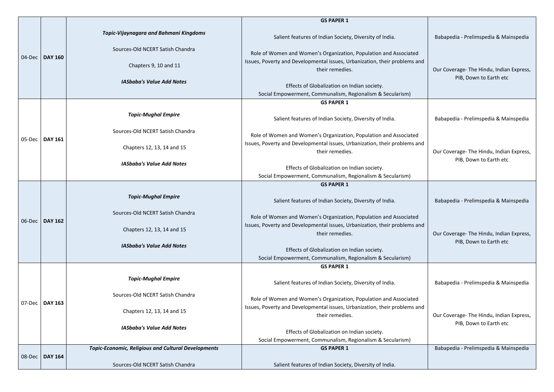|        |                     |                                                                                   | <b>GS PAPER 1</b>                                                                                                                                                  |                                                                    |
|--------|---------------------|-----------------------------------------------------------------------------------|--------------------------------------------------------------------------------------------------------------------------------------------------------------------|--------------------------------------------------------------------|
|        | <b>DAY 160</b>      | <b>Topic-Vijaynagara and Bahmani Kingdoms</b><br>Sources-Old NCERT Satish Chandra | Salient features of Indian Society, Diversity of India.                                                                                                            | Babapedia - Prelimspedia & Mainspedia                              |
| 04-Dec |                     | Chapters 9, 10 and 11                                                             | Role of Women and Women's Organization, Population and Associated<br>Issues, Poverty and Developmental issues, Urbanization, their problems and<br>their remedies. | Our Coverage- The Hindu, Indian Express,<br>PIB, Down to Earth etc |
|        |                     | <b>IASbaba's Value Add Notes</b>                                                  | Effects of Globalization on Indian society.<br>Social Empowerment, Communalism, Regionalism & Secularism)                                                          |                                                                    |
|        |                     |                                                                                   | <b>GS PAPER 1</b>                                                                                                                                                  |                                                                    |
|        |                     | <b>Topic-Mughal Empire</b>                                                        | Salient features of Indian Society, Diversity of India.                                                                                                            | Babapedia - Prelimspedia & Mainspedia                              |
| 05-Dec | <b>DAY 161</b>      | Sources-Old NCERT Satish Chandra                                                  | Role of Women and Women's Organization, Population and Associated<br>Issues, Poverty and Developmental issues, Urbanization, their problems and                    |                                                                    |
|        |                     | Chapters 12, 13, 14 and 15                                                        | their remedies.                                                                                                                                                    | Our Coverage- The Hindu, Indian Express,<br>PIB, Down to Earth etc |
|        |                     | <b>IASbaba's Value Add Notes</b>                                                  | Effects of Globalization on Indian society.<br>Social Empowerment, Communalism, Regionalism & Secularism)                                                          |                                                                    |
|        |                     |                                                                                   | <b>GS PAPER 1</b>                                                                                                                                                  |                                                                    |
|        |                     | <b>Topic-Mughal Empire</b>                                                        | Salient features of Indian Society, Diversity of India.                                                                                                            | Babapedia - Prelimspedia & Mainspedia                              |
|        | $06$ -Dec   DAY 162 | Sources-Old NCERT Satish Chandra                                                  | Role of Women and Women's Organization, Population and Associated<br>Issues, Poverty and Developmental issues, Urbanization, their problems and                    |                                                                    |
|        |                     | Chapters 12, 13, 14 and 15                                                        | their remedies.                                                                                                                                                    | Our Coverage- The Hindu, Indian Express,<br>PIB, Down to Earth etc |
|        |                     | <b>IASbaba's Value Add Notes</b>                                                  | Effects of Globalization on Indian society.<br>Social Empowerment, Communalism, Regionalism & Secularism)                                                          |                                                                    |
|        |                     |                                                                                   | <b>GS PAPER 1</b>                                                                                                                                                  |                                                                    |
|        |                     | <b>Topic-Mughal Empire</b>                                                        | Salient features of Indian Society, Diversity of India.                                                                                                            | Babapedia - Prelimspedia & Mainspedia                              |
| 07-Dec | <b>DAY 163</b>      | Sources-Old NCERT Satish Chandra                                                  | Role of Women and Women's Organization, Population and Associated                                                                                                  |                                                                    |
|        |                     | Chapters 12, 13, 14 and 15                                                        | Issues, Poverty and Developmental issues, Urbanization, their problems and<br>their remedies.                                                                      | Our Coverage-The Hindu, Indian Express,<br>PIB, Down to Earth etc  |
|        |                     | <b>IASbaba's Value Add Notes</b>                                                  | Effects of Globalization on Indian society.<br>Social Empowerment, Communalism, Regionalism & Secularism)                                                          |                                                                    |
|        |                     | <b>Topic-Economic, Religious and Cultural Developments</b>                        | <b>GS PAPER 1</b>                                                                                                                                                  | Babapedia - Prelimspedia & Mainspedia                              |
| 08-Dec | <b>DAY 164</b>      | Sources-Old NCERT Satish Chandra                                                  | Salient features of Indian Society, Diversity of India.                                                                                                            |                                                                    |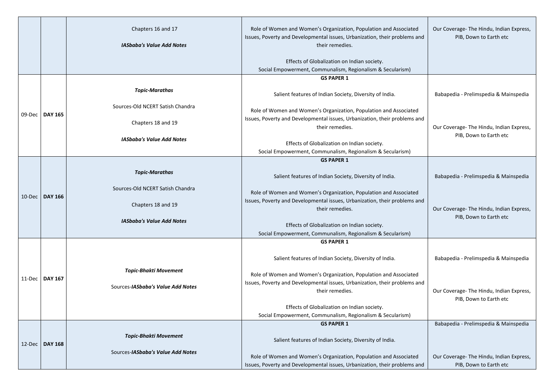|        |                | Chapters 16 and 17<br><b>IASbaba's Value Add Notes</b> | Role of Women and Women's Organization, Population and Associated<br>Issues, Poverty and Developmental issues, Urbanization, their problems and<br>their remedies. |
|--------|----------------|--------------------------------------------------------|--------------------------------------------------------------------------------------------------------------------------------------------------------------------|
|        |                |                                                        | Effects of Globalization on Indian society.<br>Social Empowerment, Communalism, Regionalism & Secularism)                                                          |
|        |                |                                                        | <b>GS PAPER 1</b>                                                                                                                                                  |
|        |                | <b>Topic-Marathas</b>                                  | Salient features of Indian Society, Diversity of India.                                                                                                            |
| 09-Dec | <b>DAY 165</b> | Sources-Old NCERT Satish Chandra                       | Role of Women and Women's Organization, Population and Associated                                                                                                  |
|        |                | Chapters 18 and 19                                     | Issues, Poverty and Developmental issues, Urbanization, their problems and<br>their remedies.                                                                      |
|        |                | <b>IASbaba's Value Add Notes</b>                       | Effects of Globalization on Indian society.                                                                                                                        |
|        |                |                                                        | Social Empowerment, Communalism, Regionalism & Secularism)                                                                                                         |
|        |                | <b>Topic-Marathas</b>                                  | <b>GS PAPER 1</b><br>Salient features of Indian Society, Diversity of India.                                                                                       |
| 10-Dec | <b>DAY 166</b> | Sources-Old NCERT Satish Chandra                       | Role of Women and Women's Organization, Population and Associated                                                                                                  |
|        |                | Chapters 18 and 19                                     | Issues, Poverty and Developmental issues, Urbanization, their problems and<br>their remedies.                                                                      |
|        |                | <b>IASbaba's Value Add Notes</b>                       | Effects of Globalization on Indian society.                                                                                                                        |
|        |                |                                                        | Social Empowerment, Communalism, Regionalism & Secularism)                                                                                                         |
|        |                |                                                        | <b>GS PAPER 1</b>                                                                                                                                                  |
|        |                |                                                        | Salient features of Indian Society, Diversity of India.                                                                                                            |
|        |                | <b>Topic-Bhakti Movement</b>                           | Role of Women and Women's Organization, Population and Associated                                                                                                  |
| 11-Dec | <b>DAY 167</b> | Sources- <i>IASbaba's Value Add Notes</i>              | Issues, Poverty and Developmental issues, Urbanization, their problems and<br>their remedies.                                                                      |
|        |                |                                                        | Effects of Globalization on Indian society.                                                                                                                        |
|        |                |                                                        | Social Empowerment, Communalism, Regionalism & Secularism)                                                                                                         |
|        |                |                                                        | <b>GS PAPER 1</b>                                                                                                                                                  |
| 12-Dec | <b>DAY 168</b> | <b>Topic-Bhakti Movement</b>                           | Salient features of Indian Society, Diversity of India.                                                                                                            |
|        |                | Sources-IASbaba's Value Add Notes                      | Role of Women and Women's Organization, Population and Associated<br>Issues, Poverty and Developmental issues, Urbanization, their problems and                    |

| nd | Our Coverage- The Hindu, Indian Express,<br>PIB, Down to Earth etc |
|----|--------------------------------------------------------------------|
|    | Babapedia - Prelimspedia & Mainspedia                              |
| nd | Our Coverage- The Hindu, Indian Express,<br>PIB, Down to Earth etc |
|    | Babapedia - Prelimspedia & Mainspedia                              |
| nd | Our Coverage- The Hindu, Indian Express,<br>PIB, Down to Earth etc |
|    | Babapedia - Prelimspedia & Mainspedia                              |
| nd | Our Coverage- The Hindu, Indian Express,<br>PIB, Down to Earth etc |
|    | Babapedia - Prelimspedia & Mainspedia                              |
| nd | Our Coverage- The Hindu, Indian Express,<br>PIB, Down to Earth etc |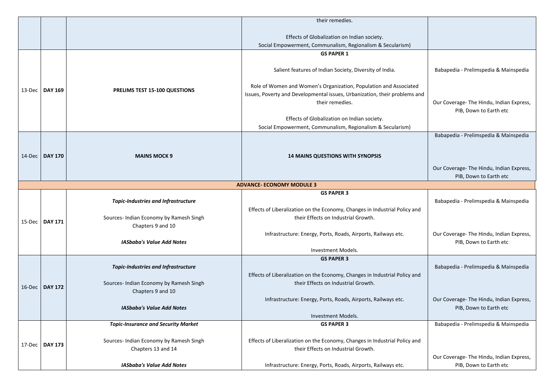|           |                  | their remedies.                            |                                                                            |                                          |
|-----------|------------------|--------------------------------------------|----------------------------------------------------------------------------|------------------------------------------|
|           |                  |                                            |                                                                            |                                          |
|           |                  |                                            | Effects of Globalization on Indian society.                                |                                          |
|           |                  |                                            | Social Empowerment, Communalism, Regionalism & Secularism)                 |                                          |
|           |                  |                                            | <b>GS PAPER 1</b>                                                          |                                          |
|           |                  |                                            |                                                                            |                                          |
|           |                  |                                            | Salient features of Indian Society, Diversity of India.                    | Babapedia - Prelimspedia & Mainspedia    |
|           |                  |                                            |                                                                            |                                          |
|           |                  |                                            | Role of Women and Women's Organization, Population and Associated          |                                          |
|           | 13-Dec   DAY 169 | <b>PRELIMS TEST 15-100 QUESTIONS</b>       | Issues, Poverty and Developmental issues, Urbanization, their problems and |                                          |
|           |                  |                                            | their remedies.                                                            | Our Coverage- The Hindu, Indian Express, |
|           |                  |                                            |                                                                            | PIB, Down to Earth etc                   |
|           |                  |                                            | Effects of Globalization on Indian society.                                |                                          |
|           |                  |                                            | Social Empowerment, Communalism, Regionalism & Secularism)                 |                                          |
|           |                  |                                            |                                                                            | Babapedia - Prelimspedia & Mainspedia    |
|           |                  |                                            |                                                                            |                                          |
| $14$ -Dec | <b>DAY 170</b>   | <b>MAINS MOCK 9</b>                        | <b>14 MAINS QUESTIONS WITH SYNOPSIS</b>                                    |                                          |
|           |                  |                                            |                                                                            |                                          |
|           |                  |                                            |                                                                            | Our Coverage- The Hindu, Indian Express, |
|           |                  |                                            | <b>ADVANCE- ECONOMY MODULE 3</b>                                           | PIB, Down to Earth etc                   |
|           |                  | <b>GS PAPER 3</b>                          |                                                                            |                                          |
|           |                  | <b>Topic-Industries and Infrastructure</b> |                                                                            | Babapedia - Prelimspedia & Mainspedia    |
|           |                  |                                            | Effects of Liberalization on the Economy, Changes in Industrial Policy and |                                          |
|           |                  | Sources- Indian Economy by Ramesh Singh    | their Effects on Industrial Growth.                                        |                                          |
|           | 15-Dec   DAY 171 | Chapters 9 and 10                          |                                                                            |                                          |
|           |                  |                                            | Infrastructure: Energy, Ports, Roads, Airports, Railways etc.              | Our Coverage- The Hindu, Indian Express, |
|           |                  | <b>IASbaba's Value Add Notes</b>           |                                                                            | PIB, Down to Earth etc                   |
|           |                  |                                            | Investment Models.                                                         |                                          |
|           |                  |                                            | <b>GS PAPER 3</b>                                                          |                                          |
|           |                  | <b>Topic-Industries and Infrastructure</b> |                                                                            | Babapedia - Prelimspedia & Mainspedia    |
|           |                  |                                            | Effects of Liberalization on the Economy, Changes in Industrial Policy and |                                          |
| 16-Dec    | <b>DAY 172</b>   | Sources- Indian Economy by Ramesh Singh    | their Effects on Industrial Growth.                                        |                                          |
|           |                  | Chapters 9 and 10                          |                                                                            |                                          |
|           |                  | <b>IASbaba's Value Add Notes</b>           | Infrastructure: Energy, Ports, Roads, Airports, Railways etc.              | Our Coverage- The Hindu, Indian Express, |
|           |                  |                                            | Investment Models.                                                         | PIB, Down to Earth etc                   |
|           |                  | <b>Topic-Insurance and Security Market</b> | <b>GS PAPER 3</b>                                                          | Babapedia - Prelimspedia & Mainspedia    |
|           |                  |                                            |                                                                            |                                          |
|           |                  | Sources- Indian Economy by Ramesh Singh    | Effects of Liberalization on the Economy, Changes in Industrial Policy and |                                          |
| 17-Dec    | <b>DAY 173</b>   | Chapters 13 and 14                         | their Effects on Industrial Growth.                                        |                                          |
|           |                  |                                            |                                                                            | Our Coverage- The Hindu, Indian Express, |
|           |                  | <b>IASbaba's Value Add Notes</b>           | Infrastructure: Energy, Ports, Roads, Airports, Railways etc.              | PIB, Down to Earth etc                   |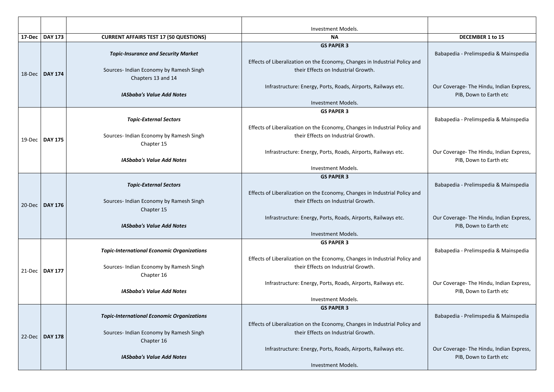|        |                                  |                                                                                                             | <b>Investment Models.</b>                                                                                                              |                                                       |
|--------|----------------------------------|-------------------------------------------------------------------------------------------------------------|----------------------------------------------------------------------------------------------------------------------------------------|-------------------------------------------------------|
|        | 17-Dec   DAY 173                 | <b>CURRENT AFFAIRS TEST 17 (50 QUESTIONS)</b>                                                               | <b>NA</b>                                                                                                                              | DECEMBER 1 to 15                                      |
| 18-Dec | <b>DAY 174</b>                   | <b>Topic-Insurance and Security Market</b><br>Sources- Indian Economy by Ramesh Singh<br>Chapters 13 and 14 | <b>GS PAPER 3</b><br>Effects of Liberalization on the Economy, Changes in Industrial Policy and<br>their Effects on Industrial Growth. | Babapedia - Prelimspedia & N                          |
|        |                                  | <b>IASbaba's Value Add Notes</b>                                                                            | Infrastructure: Energy, Ports, Roads, Airports, Railways etc.<br><b>Investment Models.</b>                                             | Our Coverage- The Hindu, Indi<br>PIB, Down to Earth e |
|        | 19-Dec   DAY 175                 | <b>Topic-External Sectors</b><br>Sources- Indian Economy by Ramesh Singh<br>Chapter 15                      | <b>GS PAPER 3</b><br>Effects of Liberalization on the Economy, Changes in Industrial Policy and<br>their Effects on Industrial Growth. | Babapedia - Prelimspedia & N                          |
|        |                                  | <b>IASbaba's Value Add Notes</b>                                                                            | Infrastructure: Energy, Ports, Roads, Airports, Railways etc.<br>Investment Models.                                                    | Our Coverage- The Hindu, Indi<br>PIB, Down to Earth e |
|        | 20-Dec   DAY 176                 | <b>Topic-External Sectors</b><br>Sources- Indian Economy by Ramesh Singh<br>Chapter 15                      | <b>GS PAPER 3</b><br>Effects of Liberalization on the Economy, Changes in Industrial Policy and<br>their Effects on Industrial Growth. | Babapedia - Prelimspedia & N                          |
|        |                                  | <b>IASbaba's Value Add Notes</b>                                                                            | Infrastructure: Energy, Ports, Roads, Airports, Railways etc.<br>Investment Models.                                                    | Our Coverage- The Hindu, Indi<br>PIB, Down to Earth e |
|        | 21-Dec   DAY 177                 | <b>Topic-International Economic Organizations</b><br>Sources- Indian Economy by Ramesh Singh<br>Chapter 16  | <b>GS PAPER 3</b><br>Effects of Liberalization on the Economy, Changes in Industrial Policy and<br>their Effects on Industrial Growth. | Babapedia - Prelimspedia & N                          |
|        | <b>IASbaba's Value Add Notes</b> | Infrastructure: Energy, Ports, Roads, Airports, Railways etc.<br>Investment Models.                         | Our Coverage- The Hindu, Indi<br>PIB, Down to Earth e                                                                                  |                                                       |
|        | 22-Dec   DAY 178                 | <b>Topic-International Economic Organizations</b><br>Sources- Indian Economy by Ramesh Singh<br>Chapter 16  | <b>GS PAPER 3</b><br>Effects of Liberalization on the Economy, Changes in Industrial Policy and<br>their Effects on Industrial Growth. | Babapedia - Prelimspedia & N                          |
|        |                                  | <b>IASbaba's Value Add Notes</b>                                                                            | Infrastructure: Energy, Ports, Roads, Airports, Railways etc.<br>Investment Models.                                                    | Our Coverage- The Hindu, Indi<br>PIB, Down to Earth e |

|   | <b>DECEMBER 1 to 15</b>                                            |
|---|--------------------------------------------------------------------|
| d | Babapedia - Prelimspedia & Mainspedia                              |
|   | Our Coverage- The Hindu, Indian Express,<br>PIB, Down to Earth etc |
| þ | Babapedia - Prelimspedia & Mainspedia                              |
|   | Our Coverage- The Hindu, Indian Express,<br>PIB, Down to Earth etc |
| d | Babapedia - Prelimspedia & Mainspedia                              |
|   | Our Coverage- The Hindu, Indian Express,<br>PIB, Down to Earth etc |
| d | Babapedia - Prelimspedia & Mainspedia                              |
|   | Our Coverage- The Hindu, Indian Express,<br>PIB, Down to Earth etc |
| d | Babapedia - Prelimspedia & Mainspedia                              |
|   | Our Coverage- The Hindu, Indian Express,<br>PIB, Down to Earth etc |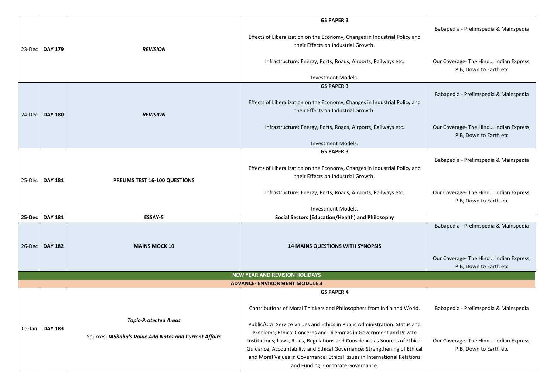|           |                  |                                                        | <b>GS PAPER 3</b>                                                           |                                          |
|-----------|------------------|--------------------------------------------------------|-----------------------------------------------------------------------------|------------------------------------------|
| $23$ -Dec |                  |                                                        |                                                                             | Babapedia - Prelimspedia & Mainspedia    |
|           |                  |                                                        |                                                                             |                                          |
|           |                  |                                                        | Effects of Liberalization on the Economy, Changes in Industrial Policy and  |                                          |
|           | <b>DAY 179</b>   | <b>REVISION</b>                                        | their Effects on Industrial Growth.                                         |                                          |
|           |                  |                                                        |                                                                             |                                          |
|           |                  |                                                        | Infrastructure: Energy, Ports, Roads, Airports, Railways etc.               | Our Coverage- The Hindu, Indian Express, |
|           |                  |                                                        |                                                                             | PIB, Down to Earth etc                   |
|           |                  |                                                        | Investment Models.                                                          |                                          |
|           |                  |                                                        | <b>GS PAPER 3</b>                                                           |                                          |
|           |                  |                                                        |                                                                             | Babapedia - Prelimspedia & Mainspedia    |
|           |                  |                                                        | Effects of Liberalization on the Economy, Changes in Industrial Policy and  |                                          |
|           |                  |                                                        | their Effects on Industrial Growth.                                         |                                          |
| $24$ -Dec | <b>DAY 180</b>   | <b>REVISION</b>                                        |                                                                             |                                          |
|           |                  |                                                        |                                                                             |                                          |
|           |                  |                                                        | Infrastructure: Energy, Ports, Roads, Airports, Railways etc.               | Our Coverage- The Hindu, Indian Express, |
|           |                  |                                                        |                                                                             | PIB, Down to Earth etc                   |
|           |                  |                                                        | Investment Models.                                                          |                                          |
|           |                  |                                                        | <b>GS PAPER 3</b>                                                           |                                          |
|           |                  | <b>DAY 181</b><br><b>PRELIMS TEST 16-100 QUESTIONS</b> |                                                                             | Babapedia - Prelimspedia & Mainspedia    |
|           |                  |                                                        | Effects of Liberalization on the Economy, Changes in Industrial Policy and  |                                          |
|           |                  |                                                        | their Effects on Industrial Growth.                                         |                                          |
| $25$ -Dec |                  |                                                        |                                                                             |                                          |
|           |                  |                                                        | Infrastructure: Energy, Ports, Roads, Airports, Railways etc.               | Our Coverage- The Hindu, Indian Express, |
|           |                  |                                                        |                                                                             | PIB, Down to Earth etc                   |
|           |                  |                                                        | <b>Investment Models.</b>                                                   |                                          |
| 25-Dec    | <b>DAY 181</b>   | <b>ESSAY-5</b>                                         | Social Sectors (Education/Health) and Philosophy                            |                                          |
|           |                  |                                                        |                                                                             | Babapedia - Prelimspedia & Mainspedia    |
|           |                  |                                                        |                                                                             |                                          |
|           |                  |                                                        |                                                                             |                                          |
|           | 26-Dec   DAY 182 | <b>MAINS MOCK 10</b>                                   | <b>14 MAINS QUESTIONS WITH SYNOPSIS</b>                                     |                                          |
|           |                  |                                                        |                                                                             | Our Coverage- The Hindu, Indian Express, |
|           |                  |                                                        |                                                                             | PIB, Down to Earth etc                   |
|           |                  |                                                        | <b>NEW YEAR AND REVISION HOLIDAYS</b>                                       |                                          |
|           |                  |                                                        | <b>ADVANCE- ENVIRONMENT MODULE 3</b>                                        |                                          |
|           |                  |                                                        | <b>GS PAPER 4</b>                                                           |                                          |
|           |                  |                                                        |                                                                             |                                          |
|           |                  |                                                        | Contributions of Moral Thinkers and Philosophers from India and World.      | Babapedia - Prelimspedia & Mainspedia    |
|           |                  |                                                        |                                                                             |                                          |
|           |                  | <b>Topic-Protected Areas</b>                           | Public/Civil Service Values and Ethics in Public Administration: Status and |                                          |
| 05-Jan    | <b>DAY 183</b>   |                                                        | Problems; Ethical Concerns and Dilemmas in Government and Private           |                                          |
|           |                  | Sources- IASbaba's Value Add Notes and Current Affairs | Institutions; Laws, Rules, Regulations and Conscience as Sources of Ethical | Our Coverage- The Hindu, Indian Express, |
|           |                  |                                                        |                                                                             |                                          |
|           |                  |                                                        | Guidance; Accountability and Ethical Governance; Strengthening of Ethical   | PIB, Down to Earth etc                   |
|           |                  |                                                        | and Moral Values in Governance; Ethical Issues in International Relations   |                                          |
|           |                  |                                                        | and Funding; Corporate Governance.                                          |                                          |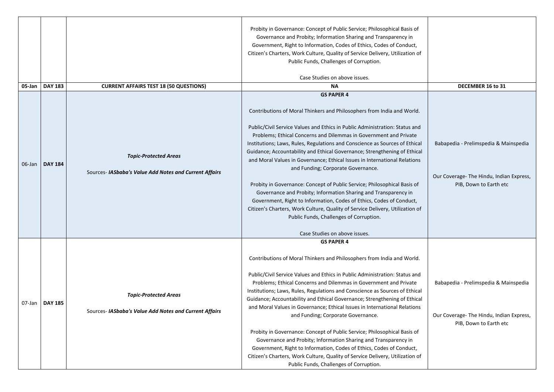| $05$ -Jan | <b>DAY 183</b>   |                                                                                        | Probity in Governance: Concept of Public Service; Philosophical Basis of<br>Governance and Probity; Information Sharing and Transparency in<br>Government, Right to Information, Codes of Ethics, Codes of Conduct,<br>Citizen's Charters, Work Culture, Quality of Service Delivery, Utilization of<br>Public Funds, Challenges of Corruption.<br>Case Studies on above issues.<br><b>NA</b>                                                                                                                                                                                                                                                                                                                                                                                                                                                                                                 | DECEMBER 16 to 31                                                                                           |
|-----------|------------------|----------------------------------------------------------------------------------------|-----------------------------------------------------------------------------------------------------------------------------------------------------------------------------------------------------------------------------------------------------------------------------------------------------------------------------------------------------------------------------------------------------------------------------------------------------------------------------------------------------------------------------------------------------------------------------------------------------------------------------------------------------------------------------------------------------------------------------------------------------------------------------------------------------------------------------------------------------------------------------------------------|-------------------------------------------------------------------------------------------------------------|
|           |                  | <b>CURRENT AFFAIRS TEST 18 (50 QUESTIONS)</b>                                          | <b>GS PAPER 4</b>                                                                                                                                                                                                                                                                                                                                                                                                                                                                                                                                                                                                                                                                                                                                                                                                                                                                             |                                                                                                             |
| 06-Jan    | <b>DAY 184</b>   | <b>Topic-Protected Areas</b><br>Sources- IASbaba's Value Add Notes and Current Affairs | Contributions of Moral Thinkers and Philosophers from India and World.<br>Public/Civil Service Values and Ethics in Public Administration: Status and<br>Problems; Ethical Concerns and Dilemmas in Government and Private<br>Institutions; Laws, Rules, Regulations and Conscience as Sources of Ethical<br>Guidance; Accountability and Ethical Governance; Strengthening of Ethical<br>and Moral Values in Governance; Ethical Issues in International Relations<br>and Funding; Corporate Governance.<br>Probity in Governance: Concept of Public Service; Philosophical Basis of<br>Governance and Probity; Information Sharing and Transparency in<br>Government, Right to Information, Codes of Ethics, Codes of Conduct,<br>Citizen's Charters, Work Culture, Quality of Service Delivery, Utilization of<br>Public Funds, Challenges of Corruption.<br>Case Studies on above issues. | Babapedia - Prelimspedia & Mainspedia<br>Our Coverage- The Hindu, Indian Express,<br>PIB, Down to Earth etc |
|           | 07-Jan   DAY 185 | <b>Topic-Protected Areas</b><br>Sources- IASbaba's Value Add Notes and Current Affairs | <b>GS PAPER 4</b><br>Contributions of Moral Thinkers and Philosophers from India and World.<br>Public/Civil Service Values and Ethics in Public Administration: Status and<br>Problems; Ethical Concerns and Dilemmas in Government and Private<br>Institutions; Laws, Rules, Regulations and Conscience as Sources of Ethical<br>Guidance; Accountability and Ethical Governance; Strengthening of Ethical<br>and Moral Values in Governance; Ethical Issues in International Relations<br>and Funding; Corporate Governance.<br>Probity in Governance: Concept of Public Service; Philosophical Basis of<br>Governance and Probity; Information Sharing and Transparency in<br>Government, Right to Information, Codes of Ethics, Codes of Conduct,<br>Citizen's Charters, Work Culture, Quality of Service Delivery, Utilization of<br>Public Funds, Challenges of Corruption.             | Babapedia - Prelimspedia & Mainspedia<br>Our Coverage- The Hindu, Indian Express,<br>PIB, Down to Earth etc |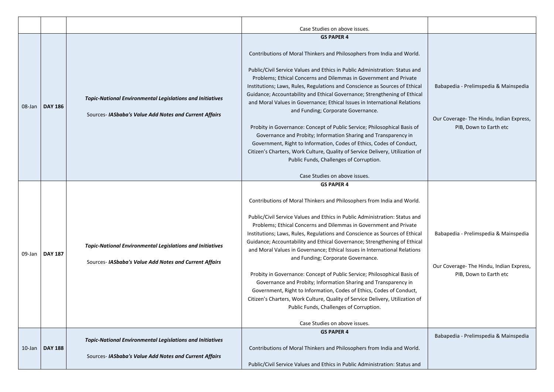|           |                |                                                                                                                            | Case Studies on above issues.                                                                                                                                                                                                                                                                                                                                                                                                   |  |
|-----------|----------------|----------------------------------------------------------------------------------------------------------------------------|---------------------------------------------------------------------------------------------------------------------------------------------------------------------------------------------------------------------------------------------------------------------------------------------------------------------------------------------------------------------------------------------------------------------------------|--|
|           |                |                                                                                                                            | <b>GS PAPER 4</b>                                                                                                                                                                                                                                                                                                                                                                                                               |  |
| 08-Jan    | <b>DAY 186</b> |                                                                                                                            | Contributions of Moral Thinkers and Philosophers from India and World.                                                                                                                                                                                                                                                                                                                                                          |  |
|           |                | <b>Topic-National Environmental Legislations and Initiatives</b><br>Sources- IASbaba's Value Add Notes and Current Affairs | Public/Civil Service Values and Ethics in Public Administration: Status and<br>Problems; Ethical Concerns and Dilemmas in Government and Private<br>Institutions; Laws, Rules, Regulations and Conscience as Sources of Ethical<br>Guidance; Accountability and Ethical Governance; Strengthening of Ethical<br>and Moral Values in Governance; Ethical Issues in International Relations<br>and Funding; Corporate Governance. |  |
|           |                |                                                                                                                            | Probity in Governance: Concept of Public Service; Philosophical Basis of<br>Governance and Probity; Information Sharing and Transparency in<br>Government, Right to Information, Codes of Ethics, Codes of Conduct,<br>Citizen's Charters, Work Culture, Quality of Service Delivery, Utilization of<br>Public Funds, Challenges of Corruption.                                                                                 |  |
|           |                |                                                                                                                            | Case Studies on above issues.                                                                                                                                                                                                                                                                                                                                                                                                   |  |
|           |                |                                                                                                                            | <b>GS PAPER 4</b>                                                                                                                                                                                                                                                                                                                                                                                                               |  |
| 09-Jan    | <b>DAY 187</b> |                                                                                                                            | Contributions of Moral Thinkers and Philosophers from India and World.                                                                                                                                                                                                                                                                                                                                                          |  |
|           |                | <b>Topic-National Environmental Legislations and Initiatives</b><br>Sources- IASbaba's Value Add Notes and Current Affairs | Public/Civil Service Values and Ethics in Public Administration: Status and<br>Problems; Ethical Concerns and Dilemmas in Government and Private<br>Institutions; Laws, Rules, Regulations and Conscience as Sources of Ethical<br>Guidance; Accountability and Ethical Governance; Strengthening of Ethical<br>and Moral Values in Governance; Ethical Issues in International Relations<br>and Funding; Corporate Governance. |  |
|           |                |                                                                                                                            | Probity in Governance: Concept of Public Service; Philosophical Basis of<br>Governance and Probity; Information Sharing and Transparency in<br>Government, Right to Information, Codes of Ethics, Codes of Conduct,<br>Citizen's Charters, Work Culture, Quality of Service Delivery, Utilization of<br>Public Funds, Challenges of Corruption.                                                                                 |  |
|           |                |                                                                                                                            | Case Studies on above issues.                                                                                                                                                                                                                                                                                                                                                                                                   |  |
|           |                | <b>Topic-National Environmental Legislations and Initiatives</b>                                                           | <b>GS PAPER 4</b>                                                                                                                                                                                                                                                                                                                                                                                                               |  |
| $10$ -Jan | <b>DAY 188</b> | Sources- IASbaba's Value Add Notes and Current Affairs                                                                     | Contributions of Moral Thinkers and Philosophers from India and World.                                                                                                                                                                                                                                                                                                                                                          |  |
|           |                |                                                                                                                            | Public/Civil Service Values and Ethics in Public Administration: Status and                                                                                                                                                                                                                                                                                                                                                     |  |

| d             |                                                                    |
|---------------|--------------------------------------------------------------------|
| al<br>al<br>S | Babapedia - Prelimspedia & Mainspedia                              |
|               | Our Coverage- The Hindu, Indian Express,<br>PIB, Down to Earth etc |
| λf            |                                                                    |
|               |                                                                    |
|               |                                                                    |
| d             |                                                                    |
| al<br>al<br>S | Babapedia - Prelimspedia & Mainspedia                              |
|               | Our Coverage- The Hindu, Indian Express,<br>PIB, Down to Earth etc |
| эf            |                                                                    |
|               |                                                                    |
|               | Babapedia - Prelimspedia & Mainspedia                              |
|               |                                                                    |
| d             |                                                                    |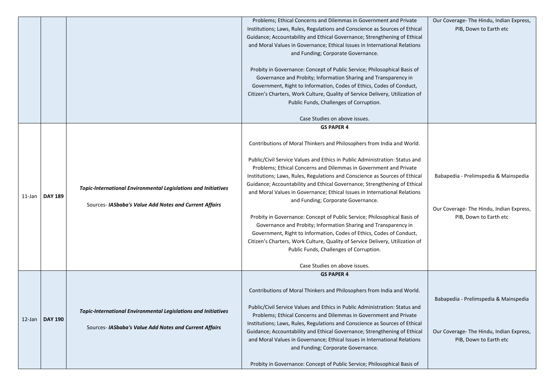|        |                |                                                                                                                                 | Problems; Ethical Concerns and Dilemmas in Government and Private<br>Institutions; Laws, Rules, Regulations and Conscience as Sources of Ethical<br>Guidance; Accountability and Ethical Governance; Strengthening of Ethical<br>and Moral Values in Governance; Ethical Issues in International Relations<br>and Funding; Corporate Governance.<br>Probity in Governance: Concept of Public Service; Philosophical Basis of<br>Governance and Probity; Information Sharing and Transparency in<br>Government, Right to Information, Codes of Ethics, Codes of Conduct,<br>Citizen's Charters, Work Culture, Quality of Service Delivery, Utilization of<br>Public Funds, Challenges of Corruption.<br>Case Studies on above issues. |
|--------|----------------|---------------------------------------------------------------------------------------------------------------------------------|--------------------------------------------------------------------------------------------------------------------------------------------------------------------------------------------------------------------------------------------------------------------------------------------------------------------------------------------------------------------------------------------------------------------------------------------------------------------------------------------------------------------------------------------------------------------------------------------------------------------------------------------------------------------------------------------------------------------------------------|
|        |                |                                                                                                                                 | <b>GS PAPER 4</b>                                                                                                                                                                                                                                                                                                                                                                                                                                                                                                                                                                                                                                                                                                                    |
|        |                |                                                                                                                                 | Contributions of Moral Thinkers and Philosophers from India and World.                                                                                                                                                                                                                                                                                                                                                                                                                                                                                                                                                                                                                                                               |
| 11-Jan | <b>DAY 189</b> | <b>Topic-International Environmental Legislations and Initiatives</b><br>Sources- IASbaba's Value Add Notes and Current Affairs | Public/Civil Service Values and Ethics in Public Administration: Status and<br>Problems; Ethical Concerns and Dilemmas in Government and Private<br>Institutions; Laws, Rules, Regulations and Conscience as Sources of Ethical<br>Guidance; Accountability and Ethical Governance; Strengthening of Ethical<br>and Moral Values in Governance; Ethical Issues in International Relations<br>and Funding; Corporate Governance.                                                                                                                                                                                                                                                                                                      |
|        |                |                                                                                                                                 | Probity in Governance: Concept of Public Service; Philosophical Basis of<br>Governance and Probity; Information Sharing and Transparency in<br>Government, Right to Information, Codes of Ethics, Codes of Conduct,<br>Citizen's Charters, Work Culture, Quality of Service Delivery, Utilization of<br>Public Funds, Challenges of Corruption.<br>Case Studies on above issues.                                                                                                                                                                                                                                                                                                                                                     |
|        |                |                                                                                                                                 | <b>GS PAPER 4</b>                                                                                                                                                                                                                                                                                                                                                                                                                                                                                                                                                                                                                                                                                                                    |
| 12-Jan | <b>DAY 190</b> | <b>Topic-International Environmental Legislations and Initiatives</b><br>Sources- IASbaba's Value Add Notes and Current Affairs | Contributions of Moral Thinkers and Philosophers from India and World.<br>Public/Civil Service Values and Ethics in Public Administration: Status and<br>Problems; Ethical Concerns and Dilemmas in Government and Private<br>Institutions; Laws, Rules, Regulations and Conscience as Sources of Ethical<br>Guidance; Accountability and Ethical Governance; Strengthening of Ethical<br>and Moral Values in Governance; Ethical Issues in International Relations<br>and Funding; Corporate Governance.                                                                                                                                                                                                                            |
|        |                |                                                                                                                                 | Probity in Governance: Concept of Public Service; Philosophical Basis of                                                                                                                                                                                                                                                                                                                                                                                                                                                                                                                                                                                                                                                             |

| эI<br>al<br>S<br>)f | Our Coverage- The Hindu, Indian Express,<br>PIB, Down to Earth etc |
|---------------------|--------------------------------------------------------------------|
|                     |                                                                    |
|                     |                                                                    |
| þ                   |                                                                    |
|                     |                                                                    |
| эl<br>al            | Babapedia - Prelimspedia & Mainspedia                              |
| S                   |                                                                    |
|                     | Our Coverage- The Hindu, Indian Express,<br>PIB, Down to Earth etc |
|                     |                                                                    |
| эf                  |                                                                    |
|                     |                                                                    |
|                     |                                                                    |
|                     |                                                                    |
| d                   | Babapedia - Prelimspedia & Mainspedia                              |
| аI                  |                                                                    |
| al                  | Our Coverage- The Hindu, Indian Express,                           |
| S                   | PIB, Down to Earth etc                                             |
|                     |                                                                    |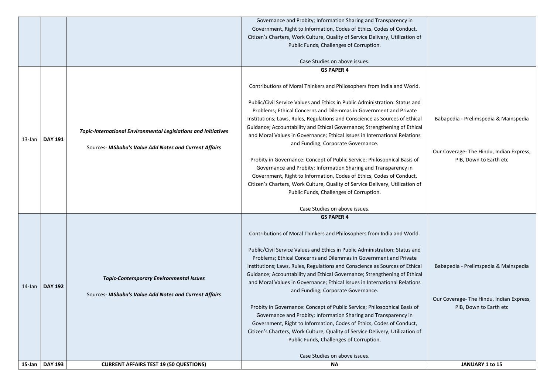|           |                  |                                                                                                                                 | Governance and Probity; Information Sharing and Transparency in                                                                                                                                                                                                                                                                                                                                                                                                                                                                                                                                                                                                                                                                                                                                                                                                                                                    |                                                                                  |
|-----------|------------------|---------------------------------------------------------------------------------------------------------------------------------|--------------------------------------------------------------------------------------------------------------------------------------------------------------------------------------------------------------------------------------------------------------------------------------------------------------------------------------------------------------------------------------------------------------------------------------------------------------------------------------------------------------------------------------------------------------------------------------------------------------------------------------------------------------------------------------------------------------------------------------------------------------------------------------------------------------------------------------------------------------------------------------------------------------------|----------------------------------------------------------------------------------|
|           |                  |                                                                                                                                 | Government, Right to Information, Codes of Ethics, Codes of Conduct,                                                                                                                                                                                                                                                                                                                                                                                                                                                                                                                                                                                                                                                                                                                                                                                                                                               |                                                                                  |
|           |                  |                                                                                                                                 | Citizen's Charters, Work Culture, Quality of Service Delivery, Utilization of                                                                                                                                                                                                                                                                                                                                                                                                                                                                                                                                                                                                                                                                                                                                                                                                                                      |                                                                                  |
|           |                  |                                                                                                                                 | Public Funds, Challenges of Corruption.                                                                                                                                                                                                                                                                                                                                                                                                                                                                                                                                                                                                                                                                                                                                                                                                                                                                            |                                                                                  |
|           |                  |                                                                                                                                 |                                                                                                                                                                                                                                                                                                                                                                                                                                                                                                                                                                                                                                                                                                                                                                                                                                                                                                                    |                                                                                  |
|           |                  |                                                                                                                                 | Case Studies on above issues.                                                                                                                                                                                                                                                                                                                                                                                                                                                                                                                                                                                                                                                                                                                                                                                                                                                                                      |                                                                                  |
|           | 13-Jan   DAY 191 | <b>Topic-International Environmental Legislations and Initiatives</b><br>Sources- IASbaba's Value Add Notes and Current Affairs | <b>GS PAPER 4</b><br>Contributions of Moral Thinkers and Philosophers from India and World.<br>Public/Civil Service Values and Ethics in Public Administration: Status and<br>Problems; Ethical Concerns and Dilemmas in Government and Private<br>Institutions; Laws, Rules, Regulations and Conscience as Sources of Ethical<br>Guidance; Accountability and Ethical Governance; Strengthening of Ethical<br>and Moral Values in Governance; Ethical Issues in International Relations<br>and Funding; Corporate Governance.<br>Probity in Governance: Concept of Public Service; Philosophical Basis of<br>Governance and Probity; Information Sharing and Transparency in<br>Government, Right to Information, Codes of Ethics, Codes of Conduct,<br>Citizen's Charters, Work Culture, Quality of Service Delivery, Utilization of<br>Public Funds, Challenges of Corruption.<br>Case Studies on above issues. | Babapedia - Prelimspedia &<br>Our Coverage- The Hindu, Inc<br>PIB, Down to Earth |
| $14$ -Jan | <b>DAY 192</b>   | <b>Topic-Contemporary Environmental Issues</b><br>Sources- IASbaba's Value Add Notes and Current Affairs                        | <b>GS PAPER 4</b><br>Contributions of Moral Thinkers and Philosophers from India and World.<br>Public/Civil Service Values and Ethics in Public Administration: Status and<br>Problems; Ethical Concerns and Dilemmas in Government and Private<br>Institutions; Laws, Rules, Regulations and Conscience as Sources of Ethical<br>Guidance; Accountability and Ethical Governance; Strengthening of Ethical<br>and Moral Values in Governance; Ethical Issues in International Relations<br>and Funding; Corporate Governance.<br>Probity in Governance: Concept of Public Service; Philosophical Basis of<br>Governance and Probity; Information Sharing and Transparency in<br>Government, Right to Information, Codes of Ethics, Codes of Conduct,<br>Citizen's Charters, Work Culture, Quality of Service Delivery, Utilization of<br>Public Funds, Challenges of Corruption.<br>Case Studies on above issues. | Babapedia - Prelimspedia &<br>Our Coverage- The Hindu, Ind<br>PIB, Down to Earth |
|           | 15-Jan   DAY 193 | <b>CURRENT AFFAIRS TEST 19 (50 QUESTIONS)</b>                                                                                   | <b>NA</b>                                                                                                                                                                                                                                                                                                                                                                                                                                                                                                                                                                                                                                                                                                                                                                                                                                                                                                          | <b>JANUARY 1 to 15</b>                                                           |

| d<br>Babapedia - Prelimspedia & Mainspedia<br>al<br>al<br>S<br>Our Coverage- The Hindu, Indian Express,<br>PIB, Down to Earth etc<br>эf<br>Babapedia - Prelimspedia & Mainspedia<br>Our Coverage- The Hindu, Indian Express,<br>PIB, Down to Earth etc |  |
|--------------------------------------------------------------------------------------------------------------------------------------------------------------------------------------------------------------------------------------------------------|--|
| d<br>al<br>al<br>S                                                                                                                                                                                                                                     |  |
| эf<br><b>JANUARY 1 to 15</b>                                                                                                                                                                                                                           |  |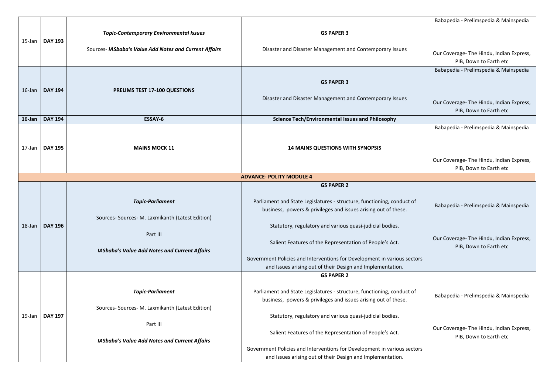|           |                  |                                                        |                                                                                                                                        | Babapedia - Prelimspedia & Mainspedia                              |
|-----------|------------------|--------------------------------------------------------|----------------------------------------------------------------------------------------------------------------------------------------|--------------------------------------------------------------------|
|           |                  | <b>Topic-Contemporary Environmental Issues</b>         | <b>GS PAPER 3</b>                                                                                                                      |                                                                    |
| 15-Jan    | <b>DAY 193</b>   |                                                        |                                                                                                                                        |                                                                    |
|           |                  | Sources- IASbaba's Value Add Notes and Current Affairs | Disaster and Disaster Management.and Contemporary Issues                                                                               |                                                                    |
|           |                  |                                                        |                                                                                                                                        | Our Coverage- The Hindu, Indian Express,                           |
|           |                  |                                                        |                                                                                                                                        | PIB, Down to Earth etc                                             |
|           |                  |                                                        |                                                                                                                                        | Babapedia - Prelimspedia & Mainspedia                              |
|           |                  |                                                        | <b>GS PAPER 3</b>                                                                                                                      |                                                                    |
| $16$ -Jan | <b>DAY 194</b>   | <b>PRELIMS TEST 17-100 QUESTIONS</b>                   |                                                                                                                                        |                                                                    |
|           |                  |                                                        | Disaster and Disaster Management.and Contemporary Issues                                                                               |                                                                    |
|           |                  |                                                        |                                                                                                                                        | Our Coverage- The Hindu, Indian Express,<br>PIB, Down to Earth etc |
| $16$ -Jan | <b>DAY 194</b>   | <b>ESSAY-6</b>                                         | <b>Science Tech/Environmental Issues and Philosophy</b>                                                                                |                                                                    |
|           |                  |                                                        |                                                                                                                                        | Babapedia - Prelimspedia & Mainspedia                              |
|           |                  |                                                        |                                                                                                                                        |                                                                    |
|           |                  |                                                        |                                                                                                                                        |                                                                    |
| 17-Jan    | <b>DAY 195</b>   | <b>MAINS MOCK 11</b>                                   | <b>14 MAINS QUESTIONS WITH SYNOPSIS</b>                                                                                                |                                                                    |
|           |                  |                                                        |                                                                                                                                        | Our Coverage- The Hindu, Indian Express,                           |
|           |                  |                                                        |                                                                                                                                        | PIB, Down to Earth etc                                             |
|           |                  |                                                        | <b>ADVANCE- POLITY MODULE 4</b>                                                                                                        |                                                                    |
|           |                  |                                                        | <b>GS PAPER 2</b>                                                                                                                      |                                                                    |
|           |                  |                                                        |                                                                                                                                        |                                                                    |
|           |                  | <b>Topic-Parliament</b>                                | Parliament and State Legislatures - structure, functioning, conduct of                                                                 | Babapedia - Prelimspedia & Mainspedia                              |
|           |                  |                                                        | business, powers & privileges and issues arising out of these.                                                                         |                                                                    |
|           |                  | Sources- Sources- M. Laxmikanth (Latest Edition)       |                                                                                                                                        |                                                                    |
|           | 18-Jan   DAY 196 |                                                        | Statutory, regulatory and various quasi-judicial bodies.                                                                               |                                                                    |
|           |                  | Part III                                               |                                                                                                                                        | Our Coverage-The Hindu, Indian Express,                            |
|           |                  |                                                        | Salient Features of the Representation of People's Act.                                                                                | PIB, Down to Earth etc                                             |
|           |                  | <b>IASbaba's Value Add Notes and Current Affairs</b>   |                                                                                                                                        |                                                                    |
|           |                  |                                                        | Government Policies and Interventions for Development in various sectors<br>and Issues arising out of their Design and Implementation. |                                                                    |
|           |                  |                                                        | <b>GS PAPER 2</b>                                                                                                                      |                                                                    |
|           |                  |                                                        |                                                                                                                                        |                                                                    |
|           |                  | <b>Topic-Parliament</b>                                | Parliament and State Legislatures - structure, functioning, conduct of                                                                 |                                                                    |
|           |                  |                                                        | business, powers & privileges and issues arising out of these.                                                                         | Babapedia - Prelimspedia & Mainspedia                              |
|           |                  | Sources- Sources- M. Laxmikanth (Latest Edition)       |                                                                                                                                        |                                                                    |
| 19-Jan    | <b>DAY 197</b>   |                                                        | Statutory, regulatory and various quasi-judicial bodies.                                                                               |                                                                    |
|           |                  | Part III                                               |                                                                                                                                        |                                                                    |
|           |                  |                                                        | Salient Features of the Representation of People's Act.                                                                                | Our Coverage- The Hindu, Indian Express,                           |
|           |                  | <b>IASbaba's Value Add Notes and Current Affairs</b>   |                                                                                                                                        | PIB, Down to Earth etc                                             |
|           |                  |                                                        | Government Policies and Interventions for Development in various sectors                                                               |                                                                    |
|           |                  |                                                        | and Issues arising out of their Design and Implementation.                                                                             |                                                                    |

| Babapedia - Prelimspedia & Mainspedia                                                                      |
|------------------------------------------------------------------------------------------------------------|
| Our Coverage- The Hindu, Indian Express,<br>PIB, Down to Earth etc                                         |
| Babapedia - Prelimspedia & Mainspedia<br>Our Coverage-The Hindu, Indian Express,<br>PIB, Down to Earth etc |
|                                                                                                            |
| Babapedia - Prelimspedia & Mainspedia                                                                      |
| Our Coverage- The Hindu, Indian Express,<br>PIB, Down to Earth etc                                         |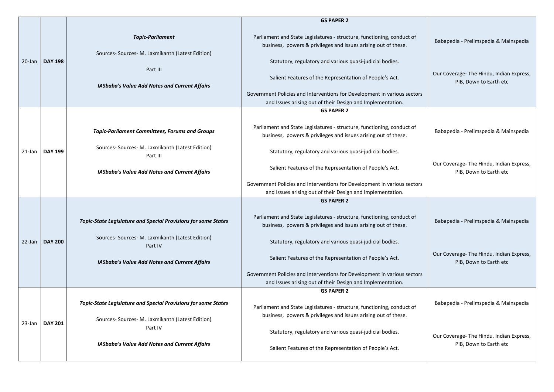|           |                |                                                                                                                                                 | <b>GS PAPER 2</b>                                                                                                                                                                                                                                                                                                                                                                                         |                                                                                                             |
|-----------|----------------|-------------------------------------------------------------------------------------------------------------------------------------------------|-----------------------------------------------------------------------------------------------------------------------------------------------------------------------------------------------------------------------------------------------------------------------------------------------------------------------------------------------------------------------------------------------------------|-------------------------------------------------------------------------------------------------------------|
| $20$ -Jan | <b>DAY 198</b> | <b>Topic-Parliament</b><br>Sources- Sources- M. Laxmikanth (Latest Edition)<br>Part III<br><b>IASbaba's Value Add Notes and Current Affairs</b> | Parliament and State Legislatures - structure, functioning, conduct of<br>business, powers & privileges and issues arising out of these.<br>Statutory, regulatory and various quasi-judicial bodies.<br>Salient Features of the Representation of People's Act.<br>Government Policies and Interventions for Development in various sectors<br>and Issues arising out of their Design and Implementation. | Babapedia - Prelimspedia & Mainspedia<br>Our Coverage- The Hindu, Indian Express,<br>PIB, Down to Earth etc |
|           |                |                                                                                                                                                 | <b>GS PAPER 2</b>                                                                                                                                                                                                                                                                                                                                                                                         |                                                                                                             |
| 21-Jan    | <b>DAY 199</b> | <b>Topic-Parliament Committees, Forums and Groups</b><br>Sources- Sources- M. Laxmikanth (Latest Edition)                                       | Parliament and State Legislatures - structure, functioning, conduct of<br>business, powers & privileges and issues arising out of these.<br>Statutory, regulatory and various quasi-judicial bodies.                                                                                                                                                                                                      | Babapedia - Prelimspedia & Mainspedia                                                                       |
|           |                | Part III<br><b>IASbaba's Value Add Notes and Current Affairs</b>                                                                                | Salient Features of the Representation of People's Act.<br>Government Policies and Interventions for Development in various sectors                                                                                                                                                                                                                                                                       | Our Coverage- The Hindu, Indian Express,<br>PIB, Down to Earth etc                                          |
|           |                |                                                                                                                                                 | and Issues arising out of their Design and Implementation.                                                                                                                                                                                                                                                                                                                                                |                                                                                                             |
|           |                |                                                                                                                                                 | <b>GS PAPER 2</b>                                                                                                                                                                                                                                                                                                                                                                                         |                                                                                                             |
|           |                | <b>Topic-State Legislature and Special Provisions for some States</b>                                                                           | Parliament and State Legislatures - structure, functioning, conduct of<br>business, powers & privileges and issues arising out of these.                                                                                                                                                                                                                                                                  | Babapedia - Prelimspedia & Mainspedia                                                                       |
| 22-Jan    | <b>DAY 200</b> | Sources- Sources- M. Laxmikanth (Latest Edition)<br>Part IV                                                                                     | Statutory, regulatory and various quasi-judicial bodies.                                                                                                                                                                                                                                                                                                                                                  |                                                                                                             |
|           |                | <b>IASbaba's Value Add Notes and Current Affairs</b>                                                                                            | Salient Features of the Representation of People's Act.                                                                                                                                                                                                                                                                                                                                                   | Our Coverage- The Hindu, Indian Express,<br>PIB, Down to Earth etc                                          |
|           |                |                                                                                                                                                 | Government Policies and Interventions for Development in various sectors<br>and Issues arising out of their Design and Implementation.                                                                                                                                                                                                                                                                    |                                                                                                             |
|           |                |                                                                                                                                                 | <b>GS PAPER 2</b>                                                                                                                                                                                                                                                                                                                                                                                         |                                                                                                             |
|           |                | <b>Topic-State Legislature and Special Provisions for some States</b><br>Sources- Sources- M. Laxmikanth (Latest Edition)                       | Parliament and State Legislatures - structure, functioning, conduct of<br>business, powers & privileges and issues arising out of these.                                                                                                                                                                                                                                                                  | Babapedia - Prelimspedia & Mainspedia                                                                       |
| 23-Jan    | <b>DAY 201</b> | Part IV                                                                                                                                         | Statutory, regulatory and various quasi-judicial bodies.                                                                                                                                                                                                                                                                                                                                                  | Our Coverage-The Hindu, Indian Express,                                                                     |
|           |                | <b>IASbaba's Value Add Notes and Current Affairs</b>                                                                                            | Salient Features of the Representation of People's Act.                                                                                                                                                                                                                                                                                                                                                   | PIB, Down to Earth etc                                                                                      |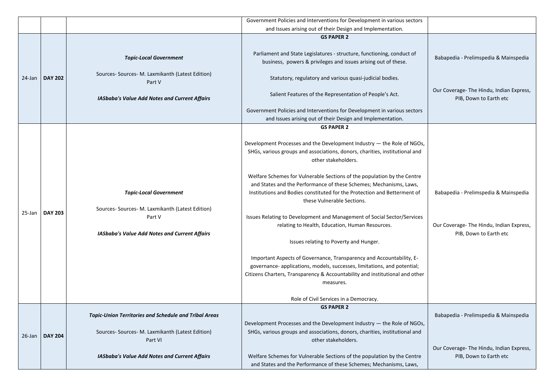|           |                | Government Policies and Interventions for Development in various sectors |                                                                                                                                          |                                                                    |
|-----------|----------------|--------------------------------------------------------------------------|------------------------------------------------------------------------------------------------------------------------------------------|--------------------------------------------------------------------|
|           |                |                                                                          |                                                                                                                                          |                                                                    |
|           |                |                                                                          | <b>GS PAPER 2</b>                                                                                                                        |                                                                    |
|           |                | <b>Topic-Local Government</b>                                            | Parliament and State Legislatures - structure, functioning, conduct of<br>business, powers & privileges and issues arising out of these. | Babapedia - Prelimspedia & Mainspedia                              |
| 24-Jan    | <b>DAY 202</b> | Sources- Sources- M. Laxmikanth (Latest Edition)<br>Part V               | Statutory, regulatory and various quasi-judicial bodies.                                                                                 |                                                                    |
|           |                | <b>IASbaba's Value Add Notes and Current Affairs</b>                     | Salient Features of the Representation of People's Act.                                                                                  | Our Coverage- The Hindu, Indian Express,<br>PIB, Down to Earth etc |
|           |                |                                                                          | Government Policies and Interventions for Development in various sectors                                                                 |                                                                    |
|           |                |                                                                          | and Issues arising out of their Design and Implementation.                                                                               |                                                                    |
|           |                |                                                                          | <b>GS PAPER 2</b>                                                                                                                        |                                                                    |
|           |                |                                                                          | Development Processes and the Development Industry - the Role of NGOs,                                                                   |                                                                    |
|           |                |                                                                          | SHGs, various groups and associations, donors, charities, institutional and                                                              |                                                                    |
|           |                |                                                                          | other stakeholders.                                                                                                                      |                                                                    |
|           |                |                                                                          | Welfare Schemes for Vulnerable Sections of the population by the Centre                                                                  |                                                                    |
|           |                |                                                                          | and States and the Performance of these Schemes; Mechanisms, Laws,                                                                       |                                                                    |
|           |                | <b>Topic-Local Government</b>                                            | Institutions and Bodies constituted for the Protection and Betterment of                                                                 | Babapedia - Prelimspedia & Mainspedia                              |
|           |                |                                                                          | these Vulnerable Sections.                                                                                                               |                                                                    |
| 25-Jan    | <b>DAY 203</b> | Sources- Sources- M. Laxmikanth (Latest Edition)                         |                                                                                                                                          |                                                                    |
|           |                | Part V                                                                   | Issues Relating to Development and Management of Social Sector/Services                                                                  |                                                                    |
|           |                | <b>IASbaba's Value Add Notes and Current Affairs</b>                     | relating to Health, Education, Human Resources.                                                                                          | Our Coverage- The Hindu, Indian Express,<br>PIB, Down to Earth etc |
|           |                |                                                                          | Issues relating to Poverty and Hunger.                                                                                                   |                                                                    |
|           |                |                                                                          |                                                                                                                                          |                                                                    |
|           |                |                                                                          | Important Aspects of Governance, Transparency and Accountability, E-                                                                     |                                                                    |
|           |                |                                                                          | governance- applications, models, successes, limitations, and potential;                                                                 |                                                                    |
|           |                |                                                                          | Citizens Charters, Transparency & Accountability and institutional and other                                                             |                                                                    |
|           |                |                                                                          | measures.                                                                                                                                |                                                                    |
|           |                |                                                                          | Role of Civil Services in a Democracy.                                                                                                   |                                                                    |
|           |                |                                                                          | <b>GS PAPER 2</b>                                                                                                                        |                                                                    |
|           |                | <b>Topic-Union Territories and Schedule and Tribal Areas</b>             |                                                                                                                                          | Babapedia - Prelimspedia & Mainspedia                              |
|           |                |                                                                          | Development Processes and the Development Industry - the Role of NGOs,                                                                   |                                                                    |
| $26$ -Jan | <b>DAY 204</b> | Sources- Sources- M. Laxmikanth (Latest Edition)                         | SHGs, various groups and associations, donors, charities, institutional and                                                              |                                                                    |
|           |                | Part VI                                                                  | other stakeholders.                                                                                                                      | Our Coverage- The Hindu, Indian Express,                           |
|           |                | <b>IASbaba's Value Add Notes and Current Affairs</b>                     | Welfare Schemes for Vulnerable Sections of the population by the Centre                                                                  | PIB, Down to Earth etc                                             |
|           |                |                                                                          | and States and the Performance of these Schemes; Mechanisms, Laws,                                                                       |                                                                    |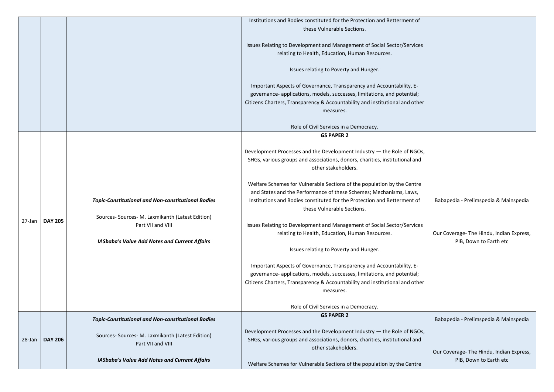|        |                |                                                                                                               | Institutions and Bodies constituted for the Protection and Betterment of                                                                                                                                                                                                                |
|--------|----------------|---------------------------------------------------------------------------------------------------------------|-----------------------------------------------------------------------------------------------------------------------------------------------------------------------------------------------------------------------------------------------------------------------------------------|
|        |                |                                                                                                               | these Vulnerable Sections.                                                                                                                                                                                                                                                              |
|        |                |                                                                                                               | Issues Relating to Development and Management of Social Sector/Services<br>relating to Health, Education, Human Resources.                                                                                                                                                              |
|        |                |                                                                                                               | Issues relating to Poverty and Hunger.                                                                                                                                                                                                                                                  |
|        |                |                                                                                                               | Important Aspects of Governance, Transparency and Accountability, E-<br>governance- applications, models, successes, limitations, and potential;<br>Citizens Charters, Transparency & Accountability and institutional and other<br>measures.<br>Role of Civil Services in a Democracy. |
|        |                |                                                                                                               | <b>GS PAPER 2</b>                                                                                                                                                                                                                                                                       |
|        |                |                                                                                                               | Development Processes and the Development Industry - the Role of NGOs,<br>SHGs, various groups and associations, donors, charities, institutional and<br>other stakeholders.                                                                                                            |
|        |                | <b>Topic-Constitutional and Non-constitutional Bodies</b><br>Sources- Sources- M. Laxmikanth (Latest Edition) | Welfare Schemes for Vulnerable Sections of the population by the Centre<br>and States and the Performance of these Schemes; Mechanisms, Laws,<br>Institutions and Bodies constituted for the Protection and Betterment of<br>these Vulnerable Sections.                                 |
| 27-Jan | <b>DAY 205</b> | Part VII and VIII<br><b>IASbaba's Value Add Notes and Current Affairs</b>                                     | Issues Relating to Development and Management of Social Sector/Services<br>relating to Health, Education, Human Resources.                                                                                                                                                              |
|        |                |                                                                                                               | Issues relating to Poverty and Hunger.                                                                                                                                                                                                                                                  |
|        |                |                                                                                                               | Important Aspects of Governance, Transparency and Accountability, E-<br>governance- applications, models, successes, limitations, and potential;<br>Citizens Charters, Transparency & Accountability and institutional and other<br>measures.                                           |
|        |                |                                                                                                               | Role of Civil Services in a Democracy.                                                                                                                                                                                                                                                  |
|        |                | <b>Topic-Constitutional and Non-constitutional Bodies</b>                                                     | <b>GS PAPER 2</b>                                                                                                                                                                                                                                                                       |
| 28-Jan | <b>DAY 206</b> | Sources- Sources- M. Laxmikanth (Latest Edition)<br>Part VII and VIII                                         | Development Processes and the Development Industry - the Role of NGOs,<br>SHGs, various groups and associations, donors, charities, institutional and<br>other stakeholders.                                                                                                            |
|        |                | <b>IASbaba's Value Add Notes and Current Affairs</b>                                                          | Welfare Schemes for Vulnerable Sections of the population by the Centre                                                                                                                                                                                                                 |

| f<br>es  |                                                                    |
|----------|--------------------------------------------------------------------|
| er       |                                                                    |
| Js,<br>d |                                                                    |
| e        |                                                                    |
| f        | Babapedia - Prelimspedia & Mainspedia                              |
| es       | Our Coverage- The Hindu, Indian Express,<br>PIB, Down to Earth etc |
| er       |                                                                    |
| Эs,<br>d | Babapedia - Prelimspedia & Mainspedia                              |
| e        | Our Coverage- The Hindu, Indian Express,<br>PIB, Down to Earth etc |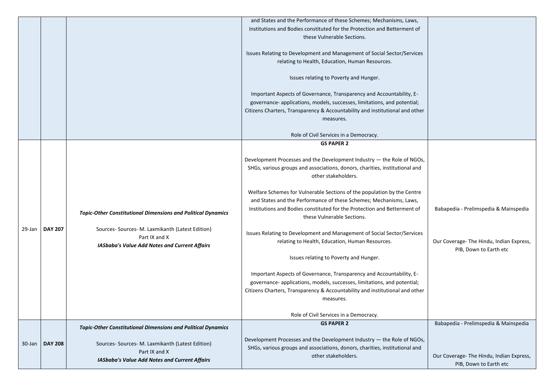|        |                |                                                                                                                                                                                                  | and States and the Performance of these Schemes; Mechanisms, Laws,<br>Institutions and Bodies constituted for the Protection and Betterment of<br>these Vulnerable Sections.<br>Issues Relating to Development and Management of Social Sector/Services<br>relating to Health, Education, Human Resources.<br>Issues relating to Poverty and Hunger.<br>Important Aspects of Governance, Transparency and Accountability, E-<br>governance- applications, models, successes, limitations, and potential;<br>Citizens Charters, Transparency & Accountability and institutional and other<br>measures.<br>Role of Civil Services in a Democracy.                                                                                                                                                                                                                                                                                 |
|--------|----------------|--------------------------------------------------------------------------------------------------------------------------------------------------------------------------------------------------|---------------------------------------------------------------------------------------------------------------------------------------------------------------------------------------------------------------------------------------------------------------------------------------------------------------------------------------------------------------------------------------------------------------------------------------------------------------------------------------------------------------------------------------------------------------------------------------------------------------------------------------------------------------------------------------------------------------------------------------------------------------------------------------------------------------------------------------------------------------------------------------------------------------------------------|
| 29-Jan | <b>DAY 207</b> | <b>Topic-Other Constitutional Dimensions and Political Dynamics</b><br>Sources- Sources- M. Laxmikanth (Latest Edition)<br>Part IX and X<br><b>IASbaba's Value Add Notes and Current Affairs</b> | <b>GS PAPER 2</b><br>Development Processes and the Development Industry - the Role of NGOs,<br>SHGs, various groups and associations, donors, charities, institutional and<br>other stakeholders.<br>Welfare Schemes for Vulnerable Sections of the population by the Centre<br>and States and the Performance of these Schemes; Mechanisms, Laws,<br>Institutions and Bodies constituted for the Protection and Betterment of<br>these Vulnerable Sections.<br>Issues Relating to Development and Management of Social Sector/Services<br>relating to Health, Education, Human Resources.<br>Issues relating to Poverty and Hunger.<br>Important Aspects of Governance, Transparency and Accountability, E-<br>governance- applications, models, successes, limitations, and potential;<br>Citizens Charters, Transparency & Accountability and institutional and other<br>measures.<br>Role of Civil Services in a Democracy. |
| 30-Jan | <b>DAY 208</b> | <b>Topic-Other Constitutional Dimensions and Political Dynamics</b><br>Sources- Sources- M. Laxmikanth (Latest Edition)<br>Part IX and X<br><b>IASbaba's Value Add Notes and Current Affairs</b> | <b>GS PAPER 2</b><br>Development Processes and the Development Industry - the Role of NGOs,<br>SHGs, various groups and associations, donors, charities, institutional and<br>other stakeholders.                                                                                                                                                                                                                                                                                                                                                                                                                                                                                                                                                                                                                                                                                                                               |

| f        |                                                                    |
|----------|--------------------------------------------------------------------|
| es       |                                                                    |
| er       |                                                                    |
| Эs,<br>d |                                                                    |
| e        |                                                                    |
| f        | Babapedia - Prelimspedia & Mainspedia                              |
| es       | Our Coverage- The Hindu, Indian Express,<br>PIB, Down to Earth etc |
| ıer      |                                                                    |
|          | Babapedia - Prelimspedia & Mainspedia                              |
| Эs,<br>d | Our Coverage- The Hindu, Indian Express,<br>PIB, Down to Earth etc |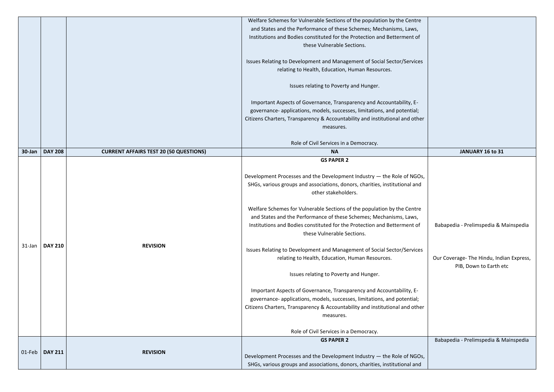|           |                |                                               | Welfare Schemes for Vulnerable Sections of the population by the Centre                                                                                                                                                                                                                 |                                                      |
|-----------|----------------|-----------------------------------------------|-----------------------------------------------------------------------------------------------------------------------------------------------------------------------------------------------------------------------------------------------------------------------------------------|------------------------------------------------------|
|           |                |                                               | and States and the Performance of these Schemes; Mechanisms, Laws,                                                                                                                                                                                                                      |                                                      |
|           |                |                                               | Institutions and Bodies constituted for the Protection and Betterment of                                                                                                                                                                                                                |                                                      |
|           |                |                                               | these Vulnerable Sections.                                                                                                                                                                                                                                                              |                                                      |
|           |                |                                               | Issues Relating to Development and Management of Social Sector/Services                                                                                                                                                                                                                 |                                                      |
|           |                |                                               | relating to Health, Education, Human Resources.                                                                                                                                                                                                                                         |                                                      |
|           |                |                                               | Issues relating to Poverty and Hunger.                                                                                                                                                                                                                                                  |                                                      |
|           |                |                                               | Important Aspects of Governance, Transparency and Accountability, E-                                                                                                                                                                                                                    |                                                      |
|           |                |                                               | governance- applications, models, successes, limitations, and potential;                                                                                                                                                                                                                |                                                      |
|           |                |                                               | Citizens Charters, Transparency & Accountability and institutional and other                                                                                                                                                                                                            |                                                      |
|           |                |                                               | measures.                                                                                                                                                                                                                                                                               |                                                      |
|           |                |                                               |                                                                                                                                                                                                                                                                                         |                                                      |
|           |                |                                               | Role of Civil Services in a Democracy.                                                                                                                                                                                                                                                  |                                                      |
| 30-Jan    | <b>DAY 208</b> | <b>CURRENT AFFAIRS TEST 20 (50 QUESTIONS)</b> | <b>NA</b>                                                                                                                                                                                                                                                                               | <b>JANUARY 16 to 31</b>                              |
|           |                |                                               | <b>GS PAPER 2</b><br>Development Processes and the Development Industry - the Role of NGOs,<br>SHGs, various groups and associations, donors, charities, institutional and<br>other stakeholders.                                                                                       |                                                      |
|           |                |                                               | Welfare Schemes for Vulnerable Sections of the population by the Centre<br>and States and the Performance of these Schemes; Mechanisms, Laws,<br>Institutions and Bodies constituted for the Protection and Betterment of<br>these Vulnerable Sections.                                 | Babapedia - Prelimspedia & M                         |
| $31$ -Jan | <b>DAY 210</b> | <b>REVISION</b>                               | Issues Relating to Development and Management of Social Sector/Services<br>relating to Health, Education, Human Resources.<br>Issues relating to Poverty and Hunger.                                                                                                                    | Our Coverage- The Hindu, Ind<br>PIB, Down to Earth e |
|           |                |                                               | Important Aspects of Governance, Transparency and Accountability, E-<br>governance- applications, models, successes, limitations, and potential;<br>Citizens Charters, Transparency & Accountability and institutional and other<br>measures.<br>Role of Civil Services in a Democracy. |                                                      |
|           |                |                                               | <b>GS PAPER 2</b>                                                                                                                                                                                                                                                                       | Babapedia - Prelimspedia & M                         |
|           |                |                                               |                                                                                                                                                                                                                                                                                         |                                                      |
| 01-Feb    | <b>DAY 211</b> | <b>REVISION</b>                               | Development Processes and the Development Industry - the Role of NGOs,                                                                                                                                                                                                                  |                                                      |
|           |                |                                               | SHGs, various groups and associations, donors, charities, institutional and                                                                                                                                                                                                             |                                                      |

| e        |                                                                    |
|----------|--------------------------------------------------------------------|
| f        |                                                                    |
| es       |                                                                    |
| er       |                                                                    |
|          | JANUARY 16 to 31                                                   |
|          |                                                                    |
| Эs,<br>d |                                                                    |
| e        |                                                                    |
| f        | Babapedia - Prelimspedia & Mainspedia                              |
| es       |                                                                    |
|          | Our Coverage- The Hindu, Indian Express,<br>PIB, Down to Earth etc |
|          |                                                                    |
| er       |                                                                    |
|          |                                                                    |
|          | Babapedia - Prelimspedia & Mainspedia                              |
| Js,<br>d |                                                                    |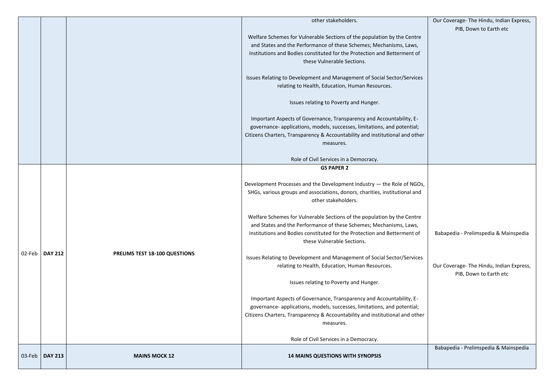|        |                |                               | other stakeholders.                                                                                                                                                                                                                                                                                                                                                                                                                                                                                                                                                                                                                                                                                                                                                                                                                                                                                                             |
|--------|----------------|-------------------------------|---------------------------------------------------------------------------------------------------------------------------------------------------------------------------------------------------------------------------------------------------------------------------------------------------------------------------------------------------------------------------------------------------------------------------------------------------------------------------------------------------------------------------------------------------------------------------------------------------------------------------------------------------------------------------------------------------------------------------------------------------------------------------------------------------------------------------------------------------------------------------------------------------------------------------------|
|        |                |                               | Welfare Schemes for Vulnerable Sections of the population by the Centre<br>and States and the Performance of these Schemes; Mechanisms, Laws,<br>Institutions and Bodies constituted for the Protection and Betterment of<br>these Vulnerable Sections.                                                                                                                                                                                                                                                                                                                                                                                                                                                                                                                                                                                                                                                                         |
|        |                |                               | Issues Relating to Development and Management of Social Sector/Services<br>relating to Health, Education, Human Resources.                                                                                                                                                                                                                                                                                                                                                                                                                                                                                                                                                                                                                                                                                                                                                                                                      |
|        |                |                               | Issues relating to Poverty and Hunger.                                                                                                                                                                                                                                                                                                                                                                                                                                                                                                                                                                                                                                                                                                                                                                                                                                                                                          |
|        |                |                               | Important Aspects of Governance, Transparency and Accountability, E-<br>governance- applications, models, successes, limitations, and potential;<br>Citizens Charters, Transparency & Accountability and institutional and other<br>measures.                                                                                                                                                                                                                                                                                                                                                                                                                                                                                                                                                                                                                                                                                   |
|        |                |                               | Role of Civil Services in a Democracy.                                                                                                                                                                                                                                                                                                                                                                                                                                                                                                                                                                                                                                                                                                                                                                                                                                                                                          |
| 02-Feb | <b>DAY 212</b> | PRELIMS TEST 18-100 QUESTIONS | <b>GS PAPER 2</b><br>Development Processes and the Development Industry - the Role of NGOs,<br>SHGs, various groups and associations, donors, charities, institutional and<br>other stakeholders.<br>Welfare Schemes for Vulnerable Sections of the population by the Centre<br>and States and the Performance of these Schemes; Mechanisms, Laws,<br>Institutions and Bodies constituted for the Protection and Betterment of<br>these Vulnerable Sections.<br>Issues Relating to Development and Management of Social Sector/Services<br>relating to Health, Education, Human Resources.<br>Issues relating to Poverty and Hunger.<br>Important Aspects of Governance, Transparency and Accountability, E-<br>governance- applications, models, successes, limitations, and potential;<br>Citizens Charters, Transparency & Accountability and institutional and other<br>measures.<br>Role of Civil Services in a Democracy. |
| 03-Feb | <b>DAY 213</b> | <b>MAINS MOCK 12</b>          | <b>14 MAINS QUESTIONS WITH SYNOPSIS</b>                                                                                                                                                                                                                                                                                                                                                                                                                                                                                                                                                                                                                                                                                                                                                                                                                                                                                         |

|          | Our Coverage- The Hindu, Indian Express,<br>PIB, Down to Earth etc |
|----------|--------------------------------------------------------------------|
| e        |                                                                    |
| f        |                                                                    |
| es       |                                                                    |
|          |                                                                    |
| er       |                                                                    |
|          |                                                                    |
| Эs,<br>d |                                                                    |
| e        |                                                                    |
| f        | Babapedia - Prelimspedia & Mainspedia                              |
| es       |                                                                    |
|          | Our Coverage- The Hindu, Indian Express,<br>PIB, Down to Earth etc |
|          |                                                                    |
| ıer      |                                                                    |
|          |                                                                    |
|          | Babapedia - Prelimspedia & Mainspedia                              |
|          |                                                                    |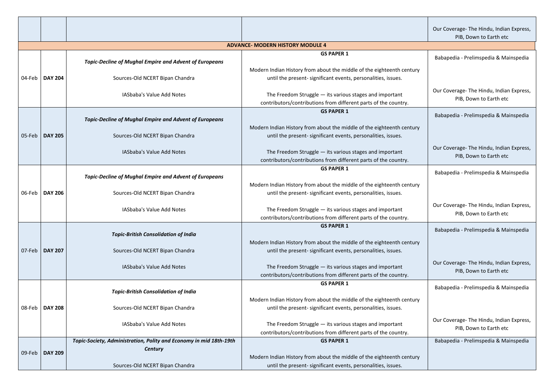| Our Coverage-The Hindu, Indian Express,<br>PIB, Down to Earth etc  |
|--------------------------------------------------------------------|
|                                                                    |
| Babapedia - Prelimspedia & Mainspedia                              |
| Our Coverage-The Hindu, Indian Express,<br>PIB, Down to Earth etc  |
| Babapedia - Prelimspedia & Mainspedia                              |
| Our Coverage- The Hindu, Indian Express,<br>PIB, Down to Earth etc |
| Babapedia - Prelimspedia & Mainspedia                              |
| Our Coverage- The Hindu, Indian Express,<br>PIB, Down to Earth etc |
| Babapedia - Prelimspedia & Mainspedia                              |
| Our Coverage- The Hindu, Indian Express,<br>PIB, Down to Earth etc |
| Babapedia - Prelimspedia & Mainspedia                              |
| Our Coverage- The Hindu, Indian Express,<br>PIB, Down to Earth etc |
| Babapedia - Prelimspedia & Mainspedia                              |

|        |                |                                                                                                                                      | <b>ADVANCE- MODERN HISTORY MODULE 4</b>                                                                                                                                                                                                                                                     |
|--------|----------------|--------------------------------------------------------------------------------------------------------------------------------------|---------------------------------------------------------------------------------------------------------------------------------------------------------------------------------------------------------------------------------------------------------------------------------------------|
| 04-Feb | <b>DAY 204</b> | <b>Topic-Decline of Mughal Empire and Advent of Europeans</b><br>Sources-Old NCERT Bipan Chandra<br>IASbaba's Value Add Notes        | <b>GS PAPER 1</b><br>Modern Indian History from about the middle of the eighteenth century<br>until the present- significant events, personalities, issues.<br>The Freedom Struggle $-$ its various stages and important<br>contributors/contributions from different parts of the country. |
| 05-Feb | <b>DAY 205</b> | <b>Topic-Decline of Mughal Empire and Advent of Europeans</b><br>Sources-Old NCERT Bipan Chandra<br>IASbaba's Value Add Notes        | <b>GS PAPER 1</b><br>Modern Indian History from about the middle of the eighteenth century<br>until the present- significant events, personalities, issues.<br>The Freedom Struggle $-$ its various stages and important<br>contributors/contributions from different parts of the country. |
| 06-Feb | <b>DAY 206</b> | <b>Topic-Decline of Mughal Empire and Advent of Europeans</b><br>Sources-Old NCERT Bipan Chandra<br><b>IASbaba's Value Add Notes</b> | <b>GS PAPER 1</b><br>Modern Indian History from about the middle of the eighteenth century<br>until the present- significant events, personalities, issues.<br>The Freedom Struggle $-$ its various stages and important<br>contributors/contributions from different parts of the country. |
| 07-Feb | <b>DAY 207</b> | <b>Topic-British Consolidation of India</b><br>Sources-Old NCERT Bipan Chandra<br>IASbaba's Value Add Notes                          | <b>GS PAPER 1</b><br>Modern Indian History from about the middle of the eighteenth century<br>until the present- significant events, personalities, issues.<br>The Freedom Struggle $-$ its various stages and important<br>contributors/contributions from different parts of the country. |
| 08-Feb | <b>DAY 208</b> | <b>Topic-British Consolidation of India</b><br>Sources-Old NCERT Bipan Chandra<br>IASbaba's Value Add Notes                          | <b>GS PAPER 1</b><br>Modern Indian History from about the middle of the eighteenth century<br>until the present- significant events, personalities, issues.<br>The Freedom Struggle $-$ its various stages and important<br>contributors/contributions from different parts of the country. |
| 09-Feb | <b>DAY 209</b> | Topic-Society, Administration, Polity and Economy in mid 18th-19th<br><b>Century</b><br>Sources-Old NCERT Bipan Chandra              | <b>GS PAPER 1</b><br>Modern Indian History from about the middle of the eighteenth century<br>until the present- significant events, personalities, issues.                                                                                                                                 |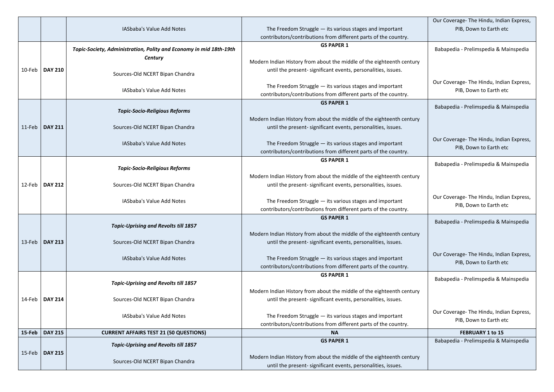|        |                  |                                                                    |                                                                                                                                        | Our Coverage- The Hindu, Ind |
|--------|------------------|--------------------------------------------------------------------|----------------------------------------------------------------------------------------------------------------------------------------|------------------------------|
|        |                  | IASbaba's Value Add Notes                                          | The Freedom Struggle $-$ its various stages and important                                                                              | PIB, Down to Earth e         |
|        |                  |                                                                    | contributors/contributions from different parts of the country.                                                                        |                              |
|        |                  | Topic-Society, Administration, Polity and Economy in mid 18th-19th | <b>GS PAPER 1</b>                                                                                                                      | Babapedia - Prelimspedia & M |
|        |                  | <b>Century</b>                                                     |                                                                                                                                        |                              |
|        |                  |                                                                    | Modern Indian History from about the middle of the eighteenth century                                                                  |                              |
| 10-Feb | <b>DAY 210</b>   | Sources-Old NCERT Bipan Chandra                                    | until the present- significant events, personalities, issues.                                                                          |                              |
|        |                  |                                                                    |                                                                                                                                        | Our Coverage- The Hindu, Ind |
|        |                  | IASbaba's Value Add Notes                                          | The Freedom Struggle $-$ its various stages and important                                                                              | PIB, Down to Earth e         |
|        |                  |                                                                    | contributors/contributions from different parts of the country.<br><b>GS PAPER 1</b>                                                   |                              |
|        |                  | <b>Topic-Socio-Religious Reforms</b>                               |                                                                                                                                        | Babapedia - Prelimspedia & M |
|        |                  |                                                                    | Modern Indian History from about the middle of the eighteenth century                                                                  |                              |
|        | 11-Feb   DAY 211 | Sources-Old NCERT Bipan Chandra                                    | until the present-significant events, personalities, issues.                                                                           |                              |
|        |                  |                                                                    |                                                                                                                                        |                              |
|        |                  | IASbaba's Value Add Notes                                          | The Freedom Struggle $-$ its various stages and important                                                                              | Our Coverage- The Hindu, Ind |
|        |                  |                                                                    | contributors/contributions from different parts of the country.                                                                        | PIB, Down to Earth e         |
|        |                  |                                                                    | <b>GS PAPER 1</b>                                                                                                                      |                              |
|        |                  | <b>Topic-Socio-Religious Reforms</b>                               |                                                                                                                                        | Babapedia - Prelimspedia & M |
|        |                  |                                                                    | Modern Indian History from about the middle of the eighteenth century                                                                  |                              |
|        | 12-Feb   DAY 212 | Sources-Old NCERT Bipan Chandra                                    | until the present- significant events, personalities, issues.                                                                          |                              |
|        |                  |                                                                    |                                                                                                                                        | Our Coverage- The Hindu, Ind |
|        |                  | IASbaba's Value Add Notes                                          | The Freedom Struggle - its various stages and important                                                                                | PIB, Down to Earth e         |
|        |                  |                                                                    | contributors/contributions from different parts of the country.                                                                        |                              |
|        |                  |                                                                    | <b>GS PAPER 1</b>                                                                                                                      | Babapedia - Prelimspedia & M |
|        |                  | <b>Topic-Uprising and Revolts till 1857</b>                        |                                                                                                                                        |                              |
|        | 13-Feb   DAY 213 | Sources-Old NCERT Bipan Chandra                                    | Modern Indian History from about the middle of the eighteenth century<br>until the present- significant events, personalities, issues. |                              |
|        |                  |                                                                    |                                                                                                                                        |                              |
|        |                  | IASbaba's Value Add Notes                                          | The Freedom Struggle $-$ its various stages and important                                                                              | Our Coverage- The Hindu, Ind |
|        |                  |                                                                    | contributors/contributions from different parts of the country.                                                                        | PIB, Down to Earth e         |
|        |                  |                                                                    | <b>GS PAPER 1</b>                                                                                                                      |                              |
|        |                  | <b>Topic-Uprising and Revolts till 1857</b>                        |                                                                                                                                        | Babapedia - Prelimspedia & M |
|        |                  |                                                                    | Modern Indian History from about the middle of the eighteenth century                                                                  |                              |
| 14-Feb | <b>DAY 214</b>   | Sources-Old NCERT Bipan Chandra                                    | until the present- significant events, personalities, issues.                                                                          |                              |
|        |                  |                                                                    |                                                                                                                                        | Our Coverage- The Hindu, Ind |
|        |                  | IASbaba's Value Add Notes                                          | The Freedom Struggle $-$ its various stages and important                                                                              | PIB, Down to Earth e         |
|        |                  |                                                                    | contributors/contributions from different parts of the country.                                                                        |                              |
| 15-Feb | <b>DAY 215</b>   | <b>CURRENT AFFAIRS TEST 21 (50 QUESTIONS)</b>                      | <b>NA</b>                                                                                                                              | <b>FEBRUARY 1 to 15</b>      |
|        |                  | <b>Topic-Uprising and Revolts till 1857</b>                        | <b>GS PAPER 1</b>                                                                                                                      | Babapedia - Prelimspedia & M |
|        | 15-Feb   DAY 215 |                                                                    |                                                                                                                                        |                              |
|        |                  | Sources-Old NCERT Bipan Chandra                                    | Modern Indian History from about the middle of the eighteenth century<br>until the present- significant events, personalities, issues. |                              |
|        |                  |                                                                    |                                                                                                                                        |                              |

| Our Coverage- The Hindu, Indian Express, |
|------------------------------------------|
| PIB, Down to Earth etc                   |
|                                          |
|                                          |
| Babapedia - Prelimspedia & Mainspedia    |
|                                          |
|                                          |
|                                          |
|                                          |
| Our Coverage- The Hindu, Indian Express, |
| PIB, Down to Earth etc                   |
|                                          |
| Babapedia - Prelimspedia & Mainspedia    |
|                                          |
|                                          |
|                                          |
|                                          |
| Our Coverage- The Hindu, Indian Express, |
| PIB, Down to Earth etc                   |
|                                          |
| Babapedia - Prelimspedia & Mainspedia    |
|                                          |
|                                          |
|                                          |
|                                          |
| Our Coverage- The Hindu, Indian Express, |
| PIB, Down to Earth etc                   |
|                                          |
| Babapedia - Prelimspedia & Mainspedia    |
|                                          |
|                                          |
|                                          |
| Our Coverage-The Hindu, Indian Express,  |
|                                          |
| PIB, Down to Earth etc                   |
|                                          |
| Babapedia - Prelimspedia & Mainspedia    |
|                                          |
|                                          |
|                                          |
| Our Coverage-The Hindu, Indian Express,  |
| PIB, Down to Earth etc                   |
|                                          |
| <b>FEBRUARY 1 to 15</b>                  |
| Babapedia - Prelimspedia & Mainspedia    |
|                                          |
|                                          |
|                                          |
|                                          |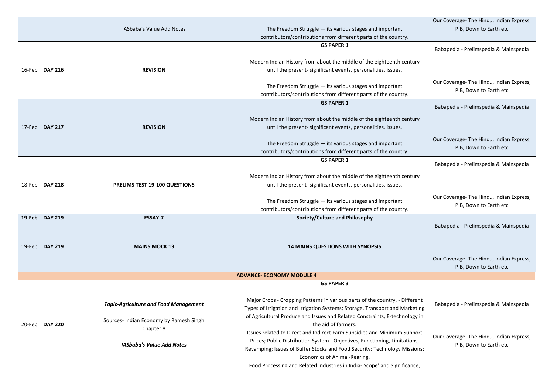|           |                  |                                              |                                                                                                                                        | Our Coverage- The Hindu, Indian Express,                           |
|-----------|------------------|----------------------------------------------|----------------------------------------------------------------------------------------------------------------------------------------|--------------------------------------------------------------------|
|           |                  | IASbaba's Value Add Notes                    | The Freedom Struggle $-$ its various stages and important<br>contributors/contributions from different parts of the country.           | PIB, Down to Earth etc                                             |
|           |                  |                                              | <b>GS PAPER 1</b>                                                                                                                      | Babapedia - Prelimspedia & Mainspedia                              |
|           |                  |                                              |                                                                                                                                        |                                                                    |
|           | 16-Feb   DAY 216 | <b>REVISION</b>                              | Modern Indian History from about the middle of the eighteenth century<br>until the present- significant events, personalities, issues. |                                                                    |
|           |                  |                                              |                                                                                                                                        | Our Coverage- The Hindu, Indian Express,                           |
|           |                  |                                              | The Freedom Struggle - its various stages and important                                                                                | PIB, Down to Earth etc                                             |
|           |                  |                                              | contributors/contributions from different parts of the country.<br><b>GS PAPER 1</b>                                                   |                                                                    |
|           |                  |                                              |                                                                                                                                        | Babapedia - Prelimspedia & Mainspedia                              |
| 17-Feb    | <b>DAY 217</b>   | <b>REVISION</b>                              | Modern Indian History from about the middle of the eighteenth century<br>until the present- significant events, personalities, issues. |                                                                    |
|           |                  |                                              |                                                                                                                                        |                                                                    |
|           |                  |                                              | The Freedom Struggle $-$ its various stages and important                                                                              | Our Coverage- The Hindu, Indian Express,<br>PIB, Down to Earth etc |
|           |                  |                                              | contributors/contributions from different parts of the country.<br><b>GS PAPER 1</b>                                                   |                                                                    |
|           |                  |                                              |                                                                                                                                        | Babapedia - Prelimspedia & Mainspedia                              |
|           |                  |                                              | Modern Indian History from about the middle of the eighteenth century                                                                  |                                                                    |
|           | 18-Feb   DAY 218 | <b>PRELIMS TEST 19-100 QUESTIONS</b>         | until the present- significant events, personalities, issues.                                                                          |                                                                    |
|           |                  |                                              | The Freedom Struggle $-$ its various stages and important                                                                              | Our Coverage- The Hindu, Indian Express,                           |
|           |                  |                                              | contributors/contributions from different parts of the country.                                                                        | PIB, Down to Earth etc                                             |
| $19$ -Feb | <b>DAY 219</b>   | <b>ESSAY-7</b>                               | Society/Culture and Philosophy                                                                                                         |                                                                    |
|           |                  |                                              |                                                                                                                                        | Babapedia - Prelimspedia & Mainspedia                              |
| $19$ -Feb | <b>DAY 219</b>   | <b>MAINS MOCK 13</b>                         | <b>14 MAINS QUESTIONS WITH SYNOPSIS</b>                                                                                                |                                                                    |
|           |                  |                                              |                                                                                                                                        | Our Coverage- The Hindu, Indian Express,                           |
|           |                  |                                              |                                                                                                                                        | PIB, Down to Earth etc                                             |
|           |                  |                                              | <b>ADVANCE- ECONOMY MODULE 4</b>                                                                                                       |                                                                    |
|           |                  |                                              | <b>GS PAPER 3</b>                                                                                                                      |                                                                    |
|           |                  |                                              | Major Crops - Cropping Patterns in various parts of the country, - Different                                                           |                                                                    |
|           |                  | <b>Topic-Agriculture and Food Management</b> | Types of Irrigation and Irrigation Systems; Storage, Transport and Marketing                                                           | Babapedia - Prelimspedia & Mainspedia                              |
| 20-Feb    | <b>DAY 220</b>   | Sources- Indian Economy by Ramesh Singh      | of Agricultural Produce and Issues and Related Constraints; E-technology in<br>the aid of farmers.                                     |                                                                    |
|           |                  | Chapter 8                                    | Issues related to Direct and Indirect Farm Subsidies and Minimum Support                                                               | Our Coverage- The Hindu, Indian Express,                           |
|           |                  | <b>IASbaba's Value Add Notes</b>             | Prices; Public Distribution System - Objectives, Functioning, Limitations,                                                             | PIB, Down to Earth etc                                             |
|           |                  |                                              | Revamping; Issues of Buffer Stocks and Food Security; Technology Missions;<br>Economics of Animal-Rearing.                             |                                                                    |
|           |                  |                                              | Food Processing and Related Industries in India-Scope' and Significance,                                                               |                                                                    |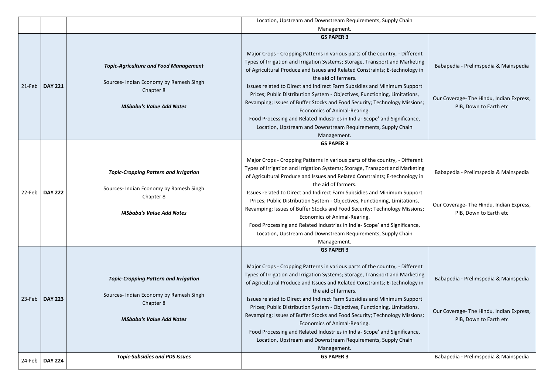|           | Location, Upstream and Downstream Requirements, Supply Chain |                                                                                                                                          |                                                                                                                                                                                                                                                                                                                                                                                                                                                                                                                                                                                                                                                                                                                            |                                                                                                             |
|-----------|--------------------------------------------------------------|------------------------------------------------------------------------------------------------------------------------------------------|----------------------------------------------------------------------------------------------------------------------------------------------------------------------------------------------------------------------------------------------------------------------------------------------------------------------------------------------------------------------------------------------------------------------------------------------------------------------------------------------------------------------------------------------------------------------------------------------------------------------------------------------------------------------------------------------------------------------------|-------------------------------------------------------------------------------------------------------------|
|           |                                                              |                                                                                                                                          | Management.                                                                                                                                                                                                                                                                                                                                                                                                                                                                                                                                                                                                                                                                                                                |                                                                                                             |
| $21$ -Feb | <b>DAY 221</b>                                               | <b>Topic-Agriculture and Food Management</b><br>Sources- Indian Economy by Ramesh Singh<br>Chapter 8<br><b>IASbaba's Value Add Notes</b> | <b>GS PAPER 3</b><br>Major Crops - Cropping Patterns in various parts of the country, - Different<br>Types of Irrigation and Irrigation Systems; Storage, Transport and Marketing<br>of Agricultural Produce and Issues and Related Constraints; E-technology in<br>the aid of farmers.<br>Issues related to Direct and Indirect Farm Subsidies and Minimum Support<br>Prices; Public Distribution System - Objectives, Functioning, Limitations,<br>Revamping; Issues of Buffer Stocks and Food Security; Technology Missions;<br>Economics of Animal-Rearing.<br>Food Processing and Related Industries in India-Scope' and Significance,<br>Location, Upstream and Downstream Requirements, Supply Chain<br>Management. | Babapedia - Prelimspedia & Mainspedia<br>Our Coverage- The Hindu, Indian Express,<br>PIB, Down to Earth etc |
|           |                                                              |                                                                                                                                          | <b>GS PAPER 3</b>                                                                                                                                                                                                                                                                                                                                                                                                                                                                                                                                                                                                                                                                                                          |                                                                                                             |
|           | 22-Feb   DAY 222                                             | <b>Topic-Cropping Pattern and Irrigation</b><br>Sources- Indian Economy by Ramesh Singh<br>Chapter 8<br><b>IASbaba's Value Add Notes</b> | Major Crops - Cropping Patterns in various parts of the country, - Different<br>Types of Irrigation and Irrigation Systems; Storage, Transport and Marketing<br>of Agricultural Produce and Issues and Related Constraints; E-technology in<br>the aid of farmers.<br>Issues related to Direct and Indirect Farm Subsidies and Minimum Support<br>Prices; Public Distribution System - Objectives, Functioning, Limitations,<br>Revamping; Issues of Buffer Stocks and Food Security; Technology Missions;<br>Economics of Animal-Rearing.<br>Food Processing and Related Industries in India- Scope' and Significance,<br>Location, Upstream and Downstream Requirements, Supply Chain<br>Management.                     | Babapedia - Prelimspedia & Mainspedia<br>Our Coverage- The Hindu, Indian Express,<br>PIB, Down to Earth etc |
| 23-Feb    | <b>DAY 223</b>                                               | <b>Topic-Cropping Pattern and Irrigation</b><br>Sources- Indian Economy by Ramesh Singh<br>Chapter 8<br><b>IASbaba's Value Add Notes</b> | <b>GS PAPER 3</b><br>Major Crops - Cropping Patterns in various parts of the country, - Different<br>Types of Irrigation and Irrigation Systems; Storage, Transport and Marketing<br>of Agricultural Produce and Issues and Related Constraints; E-technology in<br>the aid of farmers.<br>Issues related to Direct and Indirect Farm Subsidies and Minimum Support<br>Prices; Public Distribution System - Objectives, Functioning, Limitations,<br>Revamping; Issues of Buffer Stocks and Food Security; Technology Missions;<br>Economics of Animal-Rearing.<br>Food Processing and Related Industries in India-Scope' and Significance,<br>Location, Upstream and Downstream Requirements, Supply Chain<br>Management. | Babapedia - Prelimspedia & Mainspedia<br>Our Coverage- The Hindu, Indian Express,<br>PIB, Down to Earth etc |
|           | 24-Feb   DAY 224                                             | <b>Topic-Subsidies and PDS Issues</b>                                                                                                    | <b>GS PAPER 3</b>                                                                                                                                                                                                                                                                                                                                                                                                                                                                                                                                                                                                                                                                                                          | Babapedia - Prelimspedia & Mainspedia                                                                       |
|           |                                                              |                                                                                                                                          |                                                                                                                                                                                                                                                                                                                                                                                                                                                                                                                                                                                                                                                                                                                            |                                                                                                             |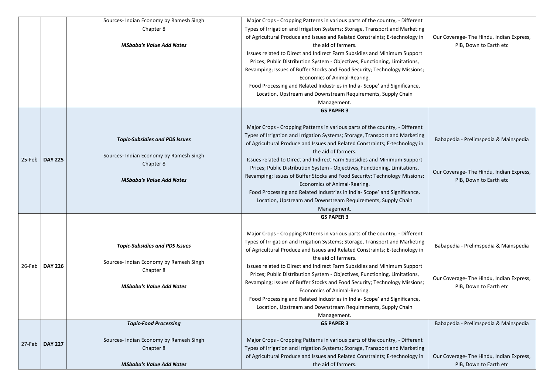|        |                | Sources- Indian Economy by Ramesh Singh | Major Crops - Cropping Patterns in various parts of the country, - Different |                                          |
|--------|----------------|-----------------------------------------|------------------------------------------------------------------------------|------------------------------------------|
|        |                | Chapter 8                               | Types of Irrigation and Irrigation Systems; Storage, Transport and Marketing |                                          |
|        |                |                                         | of Agricultural Produce and Issues and Related Constraints; E-technology in  | Our Coverage-The Hindu, Indian Express,  |
|        |                | <b>IASbaba's Value Add Notes</b>        | the aid of farmers.                                                          | PIB, Down to Earth etc                   |
|        |                |                                         | Issues related to Direct and Indirect Farm Subsidies and Minimum Support     |                                          |
|        |                |                                         | Prices; Public Distribution System - Objectives, Functioning, Limitations,   |                                          |
|        |                |                                         | Revamping; Issues of Buffer Stocks and Food Security; Technology Missions;   |                                          |
|        |                |                                         | Economics of Animal-Rearing.                                                 |                                          |
|        |                |                                         | Food Processing and Related Industries in India-Scope' and Significance,     |                                          |
|        |                |                                         | Location, Upstream and Downstream Requirements, Supply Chain                 |                                          |
|        |                |                                         | Management.                                                                  |                                          |
|        |                |                                         | <b>GS PAPER 3</b>                                                            |                                          |
|        |                |                                         |                                                                              |                                          |
|        |                |                                         | Major Crops - Cropping Patterns in various parts of the country, - Different |                                          |
|        |                |                                         | Types of Irrigation and Irrigation Systems; Storage, Transport and Marketing |                                          |
|        |                | <b>Topic-Subsidies and PDS Issues</b>   | of Agricultural Produce and Issues and Related Constraints; E-technology in  | Babapedia - Prelimspedia & Mainspedia    |
|        |                |                                         | the aid of farmers.                                                          |                                          |
|        |                | Sources- Indian Economy by Ramesh Singh |                                                                              |                                          |
| 25-Feb | <b>DAY 225</b> | Chapter 8                               | Issues related to Direct and Indirect Farm Subsidies and Minimum Support     |                                          |
|        |                |                                         | Prices; Public Distribution System - Objectives, Functioning, Limitations,   | Our Coverage- The Hindu, Indian Express, |
|        |                | <b>IASbaba's Value Add Notes</b>        | Revamping; Issues of Buffer Stocks and Food Security; Technology Missions;   | PIB, Down to Earth etc                   |
|        |                |                                         | Economics of Animal-Rearing.                                                 |                                          |
|        |                |                                         | Food Processing and Related Industries in India-Scope' and Significance,     |                                          |
|        |                |                                         | Location, Upstream and Downstream Requirements, Supply Chain                 |                                          |
|        |                |                                         | Management.                                                                  |                                          |
|        |                |                                         | <b>GS PAPER 3</b>                                                            |                                          |
|        |                |                                         |                                                                              |                                          |
|        |                |                                         | Major Crops - Cropping Patterns in various parts of the country, - Different |                                          |
|        |                | <b>Topic-Subsidies and PDS Issues</b>   | Types of Irrigation and Irrigation Systems; Storage, Transport and Marketing | Babapedia - Prelimspedia & Mainspedia    |
|        |                |                                         | of Agricultural Produce and Issues and Related Constraints; E-technology in  |                                          |
|        |                | Sources- Indian Economy by Ramesh Singh | the aid of farmers.                                                          |                                          |
| 26-Feb | <b>DAY 226</b> | Chapter 8                               | Issues related to Direct and Indirect Farm Subsidies and Minimum Support     |                                          |
|        |                |                                         | Prices; Public Distribution System - Objectives, Functioning, Limitations,   | Our Coverage- The Hindu, Indian Express, |
|        |                | <b>IASbaba's Value Add Notes</b>        | Revamping; Issues of Buffer Stocks and Food Security; Technology Missions;   | PIB, Down to Earth etc                   |
|        |                |                                         | Economics of Animal-Rearing.                                                 |                                          |
|        |                |                                         | Food Processing and Related Industries in India-Scope' and Significance,     |                                          |
|        |                |                                         | Location, Upstream and Downstream Requirements, Supply Chain                 |                                          |
|        |                |                                         | Management.                                                                  |                                          |
|        |                | <b>Topic-Food Processing</b>            | <b>GS PAPER 3</b>                                                            | Babapedia - Prelimspedia & Mainspedia    |
|        |                |                                         |                                                                              |                                          |
| 27-Feb | <b>DAY 227</b> | Sources- Indian Economy by Ramesh Singh | Major Crops - Cropping Patterns in various parts of the country, - Different |                                          |
|        |                | Chapter 8                               | Types of Irrigation and Irrigation Systems; Storage, Transport and Marketing |                                          |
|        |                |                                         | of Agricultural Produce and Issues and Related Constraints; E-technology in  | Our Coverage-The Hindu, Indian Express,  |
|        |                | <b>IASbaba's Value Add Notes</b>        | the aid of farmers.                                                          | PIB, Down to Earth etc                   |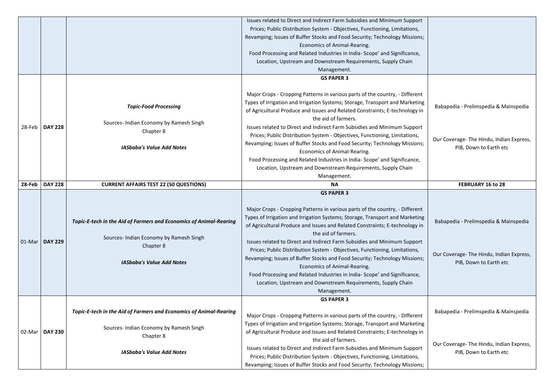|           |                |                                                                                                                                                                       | Issues related to Direct and Indirect Farm Subsidies and Minimum Support<br>Prices; Public Distribution System - Objectives, Functioning, Limitations,<br>Revamping; Issues of Buffer Stocks and Food Security; Technology Missions;<br>Economics of Animal-Rearing.<br>Food Processing and Related Industries in India-Scope' and Significance,<br>Location, Upstream and Downstream Requirements, Supply Chain                                                                                                                                                                                                                                                                                                            |                                                                                                             |
|-----------|----------------|-----------------------------------------------------------------------------------------------------------------------------------------------------------------------|-----------------------------------------------------------------------------------------------------------------------------------------------------------------------------------------------------------------------------------------------------------------------------------------------------------------------------------------------------------------------------------------------------------------------------------------------------------------------------------------------------------------------------------------------------------------------------------------------------------------------------------------------------------------------------------------------------------------------------|-------------------------------------------------------------------------------------------------------------|
|           |                |                                                                                                                                                                       | Management.                                                                                                                                                                                                                                                                                                                                                                                                                                                                                                                                                                                                                                                                                                                 |                                                                                                             |
| $28$ -Feb | <b>DAY 228</b> | <b>Topic-Food Processing</b><br>Sources- Indian Economy by Ramesh Singh<br>Chapter 8<br><b>IASbaba's Value Add Notes</b>                                              | <b>GS PAPER 3</b><br>Major Crops - Cropping Patterns in various parts of the country, - Different<br>Types of Irrigation and Irrigation Systems; Storage, Transport and Marketing<br>of Agricultural Produce and Issues and Related Constraints; E-technology in<br>the aid of farmers.<br>Issues related to Direct and Indirect Farm Subsidies and Minimum Support<br>Prices; Public Distribution System - Objectives, Functioning, Limitations,<br>Revamping; Issues of Buffer Stocks and Food Security; Technology Missions;<br>Economics of Animal-Rearing.<br>Food Processing and Related Industries in India- Scope' and Significance,<br>Location, Upstream and Downstream Requirements, Supply Chain<br>Management. | Babapedia - Prelimspedia & Mainspedia<br>Our Coverage-The Hindu, Indian Express,<br>PIB, Down to Earth etc  |
| 28-Feb    | <b>DAY 228</b> | <b>CURRENT AFFAIRS TEST 22 (50 QUESTIONS)</b>                                                                                                                         | <b>NA</b>                                                                                                                                                                                                                                                                                                                                                                                                                                                                                                                                                                                                                                                                                                                   | <b>FEBRUARY 16 to 28</b>                                                                                    |
| 01-Mar    | <b>DAY 229</b> | <b>Topic-E-tech in the Aid of Farmers and Economics of Animal-Rearing</b><br>Sources- Indian Economy by Ramesh Singh<br>Chapter 8<br><b>IASbaba's Value Add Notes</b> | <b>GS PAPER 3</b><br>Major Crops - Cropping Patterns in various parts of the country, - Different<br>Types of Irrigation and Irrigation Systems; Storage, Transport and Marketing<br>of Agricultural Produce and Issues and Related Constraints; E-technology in<br>the aid of farmers.<br>Issues related to Direct and Indirect Farm Subsidies and Minimum Support<br>Prices; Public Distribution System - Objectives, Functioning, Limitations,<br>Revamping; Issues of Buffer Stocks and Food Security; Technology Missions;                                                                                                                                                                                             | Babapedia - Prelimspedia & Mainspedia<br>Our Coverage- The Hindu, Indian Express,<br>PIB, Down to Earth etc |
|           |                |                                                                                                                                                                       | Economics of Animal-Rearing.<br>Food Processing and Related Industries in India-Scope' and Significance,<br>Location, Upstream and Downstream Requirements, Supply Chain<br>Management.                                                                                                                                                                                                                                                                                                                                                                                                                                                                                                                                     |                                                                                                             |
|           |                |                                                                                                                                                                       | <b>GS PAPER 3</b>                                                                                                                                                                                                                                                                                                                                                                                                                                                                                                                                                                                                                                                                                                           |                                                                                                             |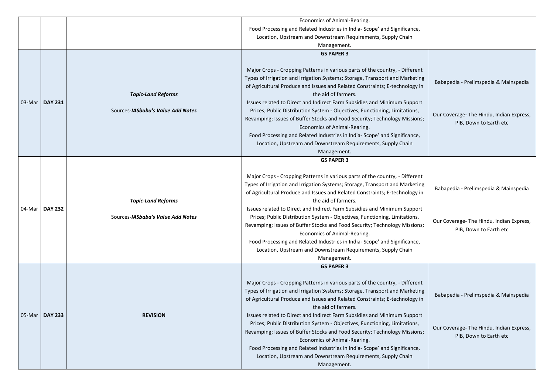|        |                |                                                                | Economics of Animal-Rearing.<br>Food Processing and Related Industries in India-Scope' and Significance,<br>Location, Upstream and Downstream Requirements, Supply Chain<br>Management.                                                                                                                                                                                                                                                                                                                                                                                                                                                                                                                                    |                                                                                                             |
|--------|----------------|----------------------------------------------------------------|----------------------------------------------------------------------------------------------------------------------------------------------------------------------------------------------------------------------------------------------------------------------------------------------------------------------------------------------------------------------------------------------------------------------------------------------------------------------------------------------------------------------------------------------------------------------------------------------------------------------------------------------------------------------------------------------------------------------------|-------------------------------------------------------------------------------------------------------------|
| 03-Mar | <b>DAY 231</b> | <b>Topic-Land Reforms</b><br>Sources-IASbaba's Value Add Notes | <b>GS PAPER 3</b><br>Major Crops - Cropping Patterns in various parts of the country, - Different<br>Types of Irrigation and Irrigation Systems; Storage, Transport and Marketing<br>of Agricultural Produce and Issues and Related Constraints; E-technology in<br>the aid of farmers.<br>Issues related to Direct and Indirect Farm Subsidies and Minimum Support<br>Prices; Public Distribution System - Objectives, Functioning, Limitations,<br>Revamping; Issues of Buffer Stocks and Food Security; Technology Missions;<br>Economics of Animal-Rearing.<br>Food Processing and Related Industries in India-Scope' and Significance,<br>Location, Upstream and Downstream Requirements, Supply Chain<br>Management. | Babapedia - Prelimspedia & Mainspedia<br>Our Coverage- The Hindu, Indian Express,<br>PIB, Down to Earth etc |
| 04-Mar | <b>DAY 232</b> | <b>Topic-Land Reforms</b><br>Sources-IASbaba's Value Add Notes | <b>GS PAPER 3</b><br>Major Crops - Cropping Patterns in various parts of the country, - Different<br>Types of Irrigation and Irrigation Systems; Storage, Transport and Marketing<br>of Agricultural Produce and Issues and Related Constraints; E-technology in<br>the aid of farmers.<br>Issues related to Direct and Indirect Farm Subsidies and Minimum Support<br>Prices; Public Distribution System - Objectives, Functioning, Limitations,<br>Revamping; Issues of Buffer Stocks and Food Security; Technology Missions;<br>Economics of Animal-Rearing.<br>Food Processing and Related Industries in India-Scope' and Significance,<br>Location, Upstream and Downstream Requirements, Supply Chain<br>Management. | Babapedia - Prelimspedia & Mainspedia<br>Our Coverage-The Hindu, Indian Express,<br>PIB, Down to Earth etc  |
| 05-Mar | <b>DAY 233</b> | <b>REVISION</b>                                                | <b>GS PAPER 3</b><br>Major Crops - Cropping Patterns in various parts of the country, - Different<br>Types of Irrigation and Irrigation Systems; Storage, Transport and Marketing<br>of Agricultural Produce and Issues and Related Constraints; E-technology in<br>the aid of farmers.<br>Issues related to Direct and Indirect Farm Subsidies and Minimum Support<br>Prices; Public Distribution System - Objectives, Functioning, Limitations,<br>Revamping; Issues of Buffer Stocks and Food Security; Technology Missions;<br>Economics of Animal-Rearing.<br>Food Processing and Related Industries in India-Scope' and Significance,<br>Location, Upstream and Downstream Requirements, Supply Chain<br>Management. | Babapedia - Prelimspedia & Mainspedia<br>Our Coverage- The Hindu, Indian Express,<br>PIB, Down to Earth etc |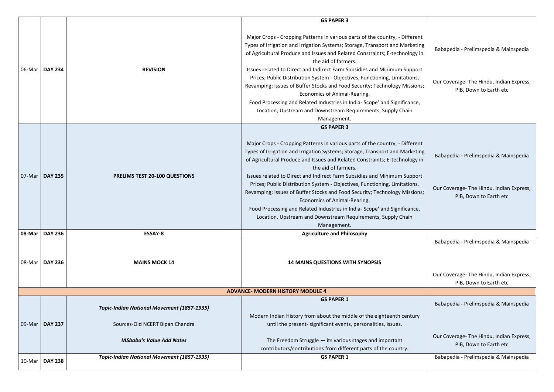| Babapedia - Prelimspedia & Mainspedia<br>Our Coverage- The Hindu, Indian Express,<br>PIB, Down to Earth etc |
|-------------------------------------------------------------------------------------------------------------|
|                                                                                                             |
|                                                                                                             |
| Babapedia - Prelimspedia & Mainspedia<br>Our Coverage- The Hindu, Indian Express,<br>PIB, Down to Earth etc |
|                                                                                                             |
| Babapedia - Prelimspedia & Mainspedia<br>Our Coverage- The Hindu, Indian Express,<br>PIB, Down to Earth etc |
|                                                                                                             |
| Babapedia - Prelimspedia & Mainspedia                                                                       |
|                                                                                                             |
| Our Coverage- The Hindu, Indian Express,<br>PIB, Down to Earth etc                                          |
| Babapedia - Prelimspedia & Mainspedia                                                                       |
|                                                                                                             |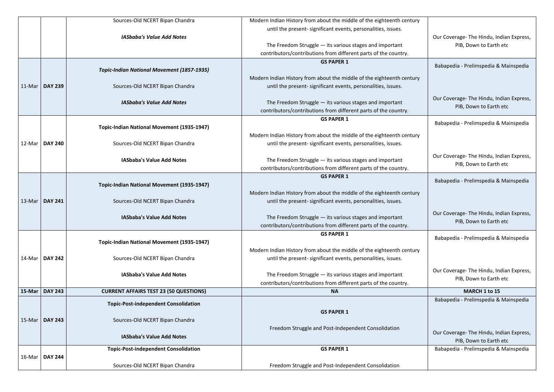|        |                  | Sources-Old NCERT Bipan Chandra                   | Modern Indian History from about the middle of the eighteenth century |                             |
|--------|------------------|---------------------------------------------------|-----------------------------------------------------------------------|-----------------------------|
|        |                  |                                                   | until the present- significant events, personalities, issues.         |                             |
|        |                  | <b>IASbaba's Value Add Notes</b>                  |                                                                       | Our Coverage-The Hindu, In  |
|        |                  |                                                   | The Freedom Struggle - its various stages and important               | PIB, Down to Earth          |
|        |                  |                                                   | contributors/contributions from different parts of the country.       |                             |
|        |                  |                                                   | <b>GS PAPER 1</b>                                                     |                             |
|        |                  | <b>Topic-Indian National Movement (1857-1935)</b> |                                                                       | Babapedia - Prelimspedia &  |
|        |                  |                                                   | Modern Indian History from about the middle of the eighteenth century |                             |
|        | 11-Mar   DAY 239 | Sources-Old NCERT Bipan Chandra                   | until the present- significant events, personalities, issues.         |                             |
|        |                  |                                                   |                                                                       |                             |
|        |                  | <b>IASbaba's Value Add Notes</b>                  | The Freedom Struggle $-$ its various stages and important             | Our Coverage- The Hindu, In |
|        |                  |                                                   | contributors/contributions from different parts of the country.       | PIB, Down to Earth          |
|        |                  |                                                   | <b>GS PAPER 1</b>                                                     |                             |
|        |                  | <b>Topic-Indian National Movement (1935-1947)</b> |                                                                       | Babapedia - Prelimspedia &  |
|        |                  |                                                   | Modern Indian History from about the middle of the eighteenth century |                             |
|        | 12-Mar   DAY 240 | Sources-Old NCERT Bipan Chandra                   | until the present- significant events, personalities, issues.         |                             |
|        |                  |                                                   |                                                                       |                             |
|        |                  | <b>IASbaba's Value Add Notes</b>                  | The Freedom Struggle - its various stages and important               | Our Coverage- The Hindu, In |
|        |                  |                                                   | contributors/contributions from different parts of the country.       | PIB, Down to Earth          |
|        |                  |                                                   | <b>GS PAPER 1</b>                                                     | Babapedia - Prelimspedia &  |
|        |                  | <b>Topic-Indian National Movement (1935-1947)</b> |                                                                       |                             |
|        |                  |                                                   | Modern Indian History from about the middle of the eighteenth century |                             |
|        | 13-Mar   DAY 241 | Sources-Old NCERT Bipan Chandra                   | until the present- significant events, personalities, issues.         |                             |
|        |                  |                                                   |                                                                       | Our Coverage- The Hindu, In |
|        |                  | <b>IASbaba's Value Add Notes</b>                  | The Freedom Struggle $-$ its various stages and important             | PIB, Down to Earth          |
|        |                  |                                                   | contributors/contributions from different parts of the country.       |                             |
|        |                  |                                                   | <b>GS PAPER 1</b>                                                     | Babapedia - Prelimspedia &  |
|        |                  | <b>Topic-Indian National Movement (1935-1947)</b> |                                                                       |                             |
|        |                  |                                                   | Modern Indian History from about the middle of the eighteenth century |                             |
|        | 14-Mar   DAY 242 | Sources-Old NCERT Bipan Chandra                   | until the present-significant events, personalities, issues.          |                             |
|        |                  |                                                   |                                                                       | Our Coverage- The Hindu, In |
|        |                  | <b>IASbaba's Value Add Notes</b>                  | The Freedom Struggle $-$ its various stages and important             | PIB, Down to Earth          |
|        |                  |                                                   | contributors/contributions from different parts of the country.       |                             |
| 15-Mar | <b>DAY 243</b>   | <b>CURRENT AFFAIRS TEST 23 (50 QUESTIONS)</b>     | <b>NA</b>                                                             | MARCH 1 to 15               |
|        |                  | <b>Topic-Post-independent Consolidation</b>       |                                                                       | Babapedia - Prelimspedia &  |
|        |                  |                                                   | <b>GS PAPER 1</b>                                                     |                             |
| 15-Mar | <b>DAY 243</b>   | Sources-Old NCERT Bipan Chandra                   |                                                                       |                             |
|        |                  |                                                   | Freedom Struggle and Post-Independent Consolidation                   |                             |
|        |                  | <b>IASbaba's Value Add Notes</b>                  |                                                                       | Our Coverage- The Hindu, In |
|        |                  |                                                   |                                                                       | PIB, Down to Earth          |
|        |                  | <b>Topic-Post-independent Consolidation</b>       | <b>GS PAPER 1</b>                                                     | Babapedia - Prelimspedia &  |
|        | 16-Mar   DAY 244 |                                                   |                                                                       |                             |
|        |                  | Sources-Old NCERT Bipan Chandra                   | Freedom Struggle and Post-Independent Consolidation                   |                             |

| Our Coverage-The Hindu, Indian Express,<br>PIB, Down to Earth etc  |
|--------------------------------------------------------------------|
| Babapedia - Prelimspedia & Mainspedia                              |
| Our Coverage- The Hindu, Indian Express,<br>PIB, Down to Earth etc |
| Babapedia - Prelimspedia & Mainspedia                              |
| Our Coverage-The Hindu, Indian Express,<br>PIB, Down to Earth etc  |
| Babapedia - Prelimspedia & Mainspedia                              |
| Our Coverage-The Hindu, Indian Express,<br>PIB, Down to Earth etc  |
| Babapedia - Prelimspedia & Mainspedia                              |
| Our Coverage-The Hindu, Indian Express,<br>PIB, Down to Earth etc  |
| <b>MARCH 1 to 15</b>                                               |
| Babapedia - Prelimspedia & Mainspedia                              |
| Our Coverage-The Hindu, Indian Express,<br>PIB, Down to Earth etc  |
| Babapedia - Prelimspedia & Mainspedia                              |
|                                                                    |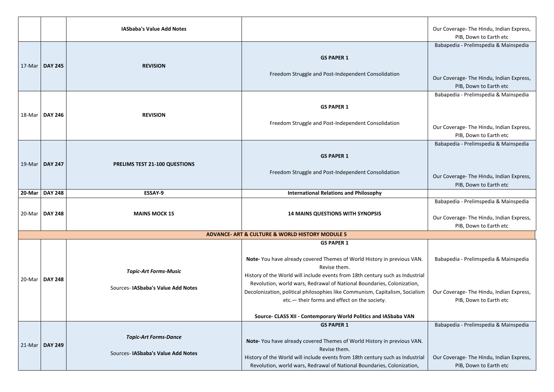| <b>IASbaba's Value Add Notes</b> |                                                                   |                                                                                                                                                                                                                                                                                                                                                                                                                                                                             | Our Coverage- The Hindu, Indian Express,<br>PIB, Down to Earth etc                                          |
|----------------------------------|-------------------------------------------------------------------|-----------------------------------------------------------------------------------------------------------------------------------------------------------------------------------------------------------------------------------------------------------------------------------------------------------------------------------------------------------------------------------------------------------------------------------------------------------------------------|-------------------------------------------------------------------------------------------------------------|
| 17-Mar   DAY 245                 | <b>REVISION</b>                                                   | <b>GS PAPER 1</b><br>Freedom Struggle and Post-Independent Consolidation                                                                                                                                                                                                                                                                                                                                                                                                    | Babapedia - Prelimspedia & Mainspedia<br>Our Coverage- The Hindu, Indian Express,<br>PIB, Down to Earth etc |
| 18-Mar   DAY 246                 | <b>REVISION</b>                                                   | <b>GS PAPER 1</b><br>Freedom Struggle and Post-Independent Consolidation                                                                                                                                                                                                                                                                                                                                                                                                    | Babapedia - Prelimspedia & Mainspedia<br>Our Coverage- The Hindu, Indian Express,<br>PIB, Down to Earth etc |
| 19-Mar   DAY 247                 | <b>PRELIMS TEST 21-100 QUESTIONS</b>                              | <b>GS PAPER 1</b><br>Freedom Struggle and Post-Independent Consolidation                                                                                                                                                                                                                                                                                                                                                                                                    | Babapedia - Prelimspedia & Mainspedia<br>Our Coverage- The Hindu, Indian Express,<br>PIB, Down to Earth etc |
| 20-Mar   DAY 248                 | <b>ESSAY-9</b>                                                    | <b>International Relations and Philosophy</b>                                                                                                                                                                                                                                                                                                                                                                                                                               |                                                                                                             |
| 20-Mar   DAY 248                 | <b>MAINS MOCK 15</b>                                              | <b>14 MAINS QUESTIONS WITH SYNOPSIS</b>                                                                                                                                                                                                                                                                                                                                                                                                                                     | Babapedia - Prelimspedia & Mainspedia<br>Our Coverage- The Hindu, Indian Express,<br>PIB, Down to Earth etc |
|                                  |                                                                   | <b>ADVANCE- ART &amp; CULTURE &amp; WORLD HISTORY MODULE 5</b>                                                                                                                                                                                                                                                                                                                                                                                                              |                                                                                                             |
| 20-Mar   DAY 248                 | <b>Topic-Art Forms-Music</b><br>Sources-IASbaba's Value Add Notes | <b>GS PAPER 1</b><br>Note- You have already covered Themes of World History in previous VAN.<br>Revise them.<br>History of the World will include events from 18th century such as Industrial<br>Revolution, world wars, Redrawal of National Boundaries, Colonization,<br>Decolonization, political philosophies like Communism, Capitalism, Socialism<br>etc. - their forms and effect on the society.<br>Source- CLASS XII - Contemporary World Politics and IASbaba VAN | Babapedia - Prelimspedia & Mainspedia<br>Our Coverage- The Hindu, Indian Express,<br>PIB, Down to Earth etc |
| 21-Mar   DAY 249                 | <b>Topic-Art Forms-Dance</b><br>Sources-IASbaba's Value Add Notes | <b>GS PAPER 1</b><br>Note-You have already covered Themes of World History in previous VAN.<br>Revise them.<br>History of the World will include events from 18th century such as Industrial<br>Revolution, world wars, Redrawal of National Boundaries, Colonization,                                                                                                                                                                                                      | Babapedia - Prelimspedia & Mainspedia<br>Our Coverage- The Hindu, Indian Express,<br>PIB, Down to Earth etc |

|     | Our Coverage- The Hindu, Indian Express,                           |
|-----|--------------------------------------------------------------------|
|     | PIB, Down to Earth etc                                             |
|     | Babapedia - Prelimspedia & Mainspedia                              |
|     |                                                                    |
|     |                                                                    |
|     |                                                                    |
|     | Our Coverage- The Hindu, Indian Express,                           |
|     | PIB, Down to Earth etc                                             |
|     | Babapedia - Prelimspedia & Mainspedia                              |
|     |                                                                    |
|     |                                                                    |
|     |                                                                    |
|     | Our Coverage- The Hindu, Indian Express,                           |
|     | PIB, Down to Earth etc                                             |
|     | Babapedia - Prelimspedia & Mainspedia                              |
|     |                                                                    |
|     |                                                                    |
|     |                                                                    |
|     | Our Coverage- The Hindu, Indian Express,                           |
|     | PIB, Down to Earth etc                                             |
|     |                                                                    |
|     | Babapedia - Prelimspedia & Mainspedia                              |
|     |                                                                    |
|     | Our Coverage- The Hindu, Indian Express,<br>PIB, Down to Earth etc |
|     |                                                                    |
|     |                                                                    |
|     |                                                                    |
| ٧.  | Babapedia - Prelimspedia & Mainspedia                              |
|     |                                                                    |
| ial |                                                                    |
|     |                                                                    |
| sm  | Our Coverage-The Hindu, Indian Express,                            |
|     | PIB, Down to Earth etc                                             |
|     |                                                                    |
|     |                                                                    |
|     | Babapedia - Prelimspedia & Mainspedia                              |
|     |                                                                    |
| ١.  |                                                                    |
|     |                                                                    |
| ial | Our Coverage- The Hindu, Indian Express,                           |
|     | PIB, Down to Earth etc                                             |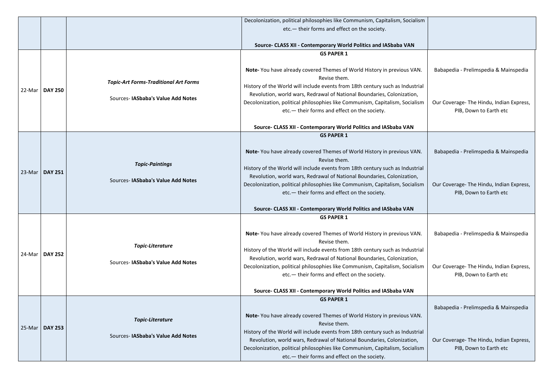|        |                  | Decolonization, political philosophies like Communism, Capitalism, Socialism       |                                                                                                                                                                                                                                                                                                                                                                                                                                                                            |                                                                                                             |
|--------|------------------|------------------------------------------------------------------------------------|----------------------------------------------------------------------------------------------------------------------------------------------------------------------------------------------------------------------------------------------------------------------------------------------------------------------------------------------------------------------------------------------------------------------------------------------------------------------------|-------------------------------------------------------------------------------------------------------------|
|        |                  |                                                                                    | etc. - their forms and effect on the society.                                                                                                                                                                                                                                                                                                                                                                                                                              |                                                                                                             |
|        |                  |                                                                                    |                                                                                                                                                                                                                                                                                                                                                                                                                                                                            |                                                                                                             |
|        |                  |                                                                                    | Source- CLASS XII - Contemporary World Politics and IASbaba VAN                                                                                                                                                                                                                                                                                                                                                                                                            |                                                                                                             |
|        |                  |                                                                                    | <b>GS PAPER 1</b>                                                                                                                                                                                                                                                                                                                                                                                                                                                          |                                                                                                             |
|        | 22-Mar   DAY 250 | <b>Topic-Art Forms-Traditional Art Forms</b><br>Sources- IASbaba's Value Add Notes | Note-You have already covered Themes of World History in previous VAN.<br>Revise them.<br>History of the World will include events from 18th century such as Industrial<br>Revolution, world wars, Redrawal of National Boundaries, Colonization,<br>Decolonization, political philosophies like Communism, Capitalism, Socialism<br>etc. - their forms and effect on the society.                                                                                         | Babapedia - Prelimspedia & Mainspedia<br>Our Coverage- The Hindu, Indian Express,<br>PIB, Down to Earth etc |
|        |                  |                                                                                    | Source- CLASS XII - Contemporary World Politics and IASbaba VAN                                                                                                                                                                                                                                                                                                                                                                                                            |                                                                                                             |
| 23-Mar | <b>DAY 251</b>   | <b>Topic-Paintings</b><br>Sources-IASbaba's Value Add Notes                        | <b>GS PAPER 1</b><br>Note-You have already covered Themes of World History in previous VAN.<br>Revise them.<br>History of the World will include events from 18th century such as Industrial<br>Revolution, world wars, Redrawal of National Boundaries, Colonization,<br>Decolonization, political philosophies like Communism, Capitalism, Socialism<br>etc. - their forms and effect on the society.<br>Source- CLASS XII - Contemporary World Politics and IASbaba VAN | Babapedia - Prelimspedia & Mainspedia<br>Our Coverage- The Hindu, Indian Express,<br>PIB, Down to Earth etc |
|        | 24-Mar   DAY 252 | <b>Topic-Literature</b><br>Sources-IASbaba's Value Add Notes                       | <b>GS PAPER 1</b><br>Note-You have already covered Themes of World History in previous VAN.<br>Revise them.<br>History of the World will include events from 18th century such as Industrial<br>Revolution, world wars, Redrawal of National Boundaries, Colonization,<br>Decolonization, political philosophies like Communism, Capitalism, Socialism<br>etc. - their forms and effect on the society.<br>Source- CLASS XII - Contemporary World Politics and IASbaba VAN | Babapedia - Prelimspedia & Mainspedia<br>Our Coverage- The Hindu, Indian Express,<br>PIB, Down to Earth etc |
|        |                  |                                                                                    | <b>GS PAPER 1</b>                                                                                                                                                                                                                                                                                                                                                                                                                                                          |                                                                                                             |
|        | 25-Mar   DAY 253 | <b>Topic-Literature</b><br>Sources- IASbaba's Value Add Notes                      | Note- You have already covered Themes of World History in previous VAN.<br>Revise them.<br>History of the World will include events from 18th century such as Industrial                                                                                                                                                                                                                                                                                                   | Babapedia - Prelimspedia & Mainspedia                                                                       |
|        |                  |                                                                                    | Revolution, world wars, Redrawal of National Boundaries, Colonization,<br>Decolonization, political philosophies like Communism, Capitalism, Socialism<br>etc. - their forms and effect on the society.                                                                                                                                                                                                                                                                    | Our Coverage- The Hindu, Indian Express,<br>PIB, Down to Earth etc                                          |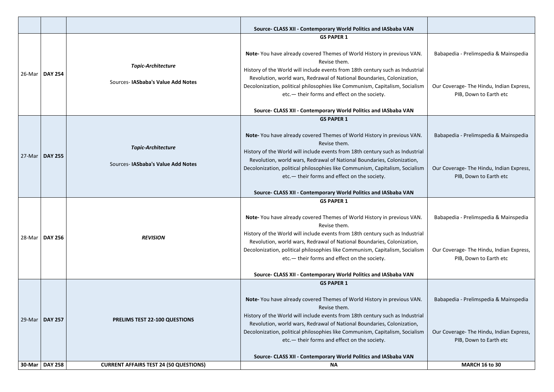|        |                  |                                                                | Source- CLASS XII - Contemporary World Politics and IASbaba VAN                                                                                                                                                                                                                                                                                                                                                                                       |                                                                                  |
|--------|------------------|----------------------------------------------------------------|-------------------------------------------------------------------------------------------------------------------------------------------------------------------------------------------------------------------------------------------------------------------------------------------------------------------------------------------------------------------------------------------------------------------------------------------------------|----------------------------------------------------------------------------------|
|        |                  |                                                                | <b>GS PAPER 1</b>                                                                                                                                                                                                                                                                                                                                                                                                                                     |                                                                                  |
| 26-Mar | <b>DAY 254</b>   | <b>Topic-Architecture</b><br>Sources-IASbaba's Value Add Notes | Note-You have already covered Themes of World History in previous VAN.<br>Revise them.<br>History of the World will include events from 18th century such as Industrial<br>Revolution, world wars, Redrawal of National Boundaries, Colonization,<br>Decolonization, political philosophies like Communism, Capitalism, Socialism<br>etc. - their forms and effect on the society.<br>Source- CLASS XII - Contemporary World Politics and IASbaba VAN | Babapedia - Prelimspedia &<br>Our Coverage- The Hindu, Ind<br>PIB, Down to Earth |
|        |                  |                                                                | <b>GS PAPER 1</b>                                                                                                                                                                                                                                                                                                                                                                                                                                     |                                                                                  |
|        |                  | <b>Topic-Architecture</b>                                      | Note- You have already covered Themes of World History in previous VAN.<br>Revise them.<br>History of the World will include events from 18th century such as Industrial                                                                                                                                                                                                                                                                              | Babapedia - Prelimspedia &                                                       |
| 27-Mar | <b>DAY 255</b>   | Sources- IASbaba's Value Add Notes                             | Revolution, world wars, Redrawal of National Boundaries, Colonization,<br>Decolonization, political philosophies like Communism, Capitalism, Socialism<br>etc. - their forms and effect on the society.                                                                                                                                                                                                                                               | Our Coverage- The Hindu, Ind<br>PIB, Down to Earth                               |
|        |                  |                                                                | Source- CLASS XII - Contemporary World Politics and IASbaba VAN                                                                                                                                                                                                                                                                                                                                                                                       |                                                                                  |
|        |                  |                                                                | <b>GS PAPER 1</b>                                                                                                                                                                                                                                                                                                                                                                                                                                     |                                                                                  |
| 28-Mar | <b>DAY 256</b>   | <b>REVISION</b>                                                | Note- You have already covered Themes of World History in previous VAN.<br>Revise them.<br>History of the World will include events from 18th century such as Industrial<br>Revolution, world wars, Redrawal of National Boundaries, Colonization,                                                                                                                                                                                                    | Babapedia - Prelimspedia &                                                       |
|        |                  |                                                                | Decolonization, political philosophies like Communism, Capitalism, Socialism<br>etc. - their forms and effect on the society.                                                                                                                                                                                                                                                                                                                         | Our Coverage- The Hindu, Ind<br>PIB, Down to Earth                               |
|        |                  |                                                                | Source- CLASS XII - Contemporary World Politics and IASbaba VAN                                                                                                                                                                                                                                                                                                                                                                                       |                                                                                  |
| 29-Mar | <b>DAY 257</b>   | <b>PRELIMS TEST 22-100 QUESTIONS</b>                           | <b>GS PAPER 1</b><br>Note-You have already covered Themes of World History in previous VAN.<br>Revise them.<br>History of the World will include events from 18th century such as Industrial<br>Revolution, world wars, Redrawal of National Boundaries, Colonization,<br>Decolonization, political philosophies like Communism, Capitalism, Socialism<br>etc. - their forms and effect on the society.                                               | Babapedia - Prelimspedia &<br>Our Coverage- The Hindu, Ind<br>PIB, Down to Earth |
|        |                  |                                                                | Source- CLASS XII - Contemporary World Politics and IASbaba VAN                                                                                                                                                                                                                                                                                                                                                                                       |                                                                                  |
|        | 30-Mar   DAY 258 | <b>CURRENT AFFAIRS TEST 24 (50 QUESTIONS)</b>                  | <b>NA</b>                                                                                                                                                                                                                                                                                                                                                                                                                                             | <b>MARCH 16 to 30</b>                                                            |

| $\overline{\mathsf{N}}$ .<br>ial | Babapedia - Prelimspedia & Mainspedia                              |
|----------------------------------|--------------------------------------------------------------------|
| $\mathsf{m}$                     | Our Coverage- The Hindu, Indian Express,<br>PIB, Down to Earth etc |
| $\overline{\mathsf{N}}$ .<br>ial | Babapedia - Prelimspedia & Mainspedia                              |
| $\mathsf{m}$                     | Our Coverage- The Hindu, Indian Express,<br>PIB, Down to Earth etc |
| ٧.<br>ial                        | Babapedia - Prelimspedia & Mainspedia                              |
| sm                               | Our Coverage- The Hindu, Indian Express,<br>PIB, Down to Earth etc |
| ١.<br>ial                        | Babapedia - Prelimspedia & Mainspedia                              |
| sm                               | Our Coverage- The Hindu, Indian Express,<br>PIB, Down to Earth etc |
|                                  | <b>MARCH 16 to 30</b>                                              |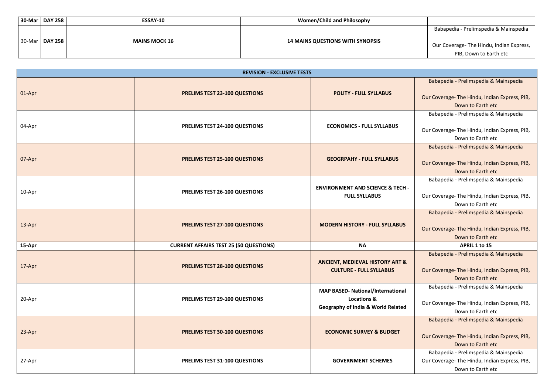| $30$ -Mar | <b>DAY 258</b> | <b>ESSAY-10</b>      | <b>Women/Child and Philosophy</b>       |
|-----------|----------------|----------------------|-----------------------------------------|
| 30-Mar    | <b>DAY 258</b> | <b>MAINS MOCK 16</b> | <b>14 MAINS QUESTIONS WITH SYNOPSIS</b> |

Babapedia - Prelimspedia & Mainspedia

Our Coverage- The Hindu, Indian Express, PIB, Down to Earth etc

Babapedia - Prelimspedia & Mainspedia

Our Coverage- The Hindu, Indian Express, PIB, Down to Earth etc

Babapedia - Prelimspedia & Mainspedia

Our Coverage- The Hindu, Indian Express, PIB, Down to Earth etc

Babapedia - Prelimspedia & Mainspedia

Our Coverage- The Hindu, Indian Express, PIB, Down to Earth etc

Babapedia - Prelimspedia & Mainspedia

Our Coverage- The Hindu, Indian Express, PIB, Down to Earth etc

|        | <b>REVISION - EXCLUSIVE TESTS</b> |                                               |                                                                                                                     |                                                                                          |  |
|--------|-----------------------------------|-----------------------------------------------|---------------------------------------------------------------------------------------------------------------------|------------------------------------------------------------------------------------------|--|
| 01-Apr |                                   | <b>PRELIMS TEST 23-100 QUESTIONS</b>          | <b>POLITY - FULL SYLLABUS</b>                                                                                       | <b>Babapedia - Prelimspedia &amp;</b><br>Our Coverage- The Hindu, Ind<br>Down to Earth   |  |
| 04-Apr |                                   | PRELIMS TEST 24-100 QUESTIONS                 | <b>ECONOMICS - FULL SYLLABUS</b>                                                                                    | Babapedia - Prelimspedia &<br>Our Coverage- The Hindu, Ind<br>Down to Earth              |  |
| 07-Apr |                                   | <b>PRELIMS TEST 25-100 QUESTIONS</b>          | <b>GEOGRPAHY - FULL SYLLABUS</b>                                                                                    | Babapedia - Prelimspedia &<br>Our Coverage- The Hindu, Ind<br>Down to Earth              |  |
| 10-Apr |                                   | PRELIMS TEST 26-100 QUESTIONS                 | <b>ENVIRONMENT AND SCIENCE &amp; TECH -</b><br><b>FULL SYLLABUS</b>                                                 | Babapedia - Prelimspedia &<br>Our Coverage- The Hindu, Ind<br>Down to Earth              |  |
| 13-Apr |                                   | <b>PRELIMS TEST 27-100 QUESTIONS</b>          | <b>MODERN HISTORY - FULL SYLLABUS</b>                                                                               | Babapedia - Prelimspedia &<br>Our Coverage- The Hindu, Ind<br>Down to Earth (            |  |
| 15-Apr |                                   | <b>CURRENT AFFAIRS TEST 25 (50 QUESTIONS)</b> | <b>NA</b>                                                                                                           | APRIL 1 to 15                                                                            |  |
| 17-Apr |                                   | <b>PRELIMS TEST 28-100 QUESTIONS</b>          | <b>ANCIENT, MEDIEVAL HISTORY ART &amp;</b><br><b>CULTURE - FULL SYLLABUS</b>                                        | <b>Babapedia - Prelimspedia &amp;</b><br>Our Coverage- The Hindu, Ind<br>Down to Earth 6 |  |
| 20-Apr |                                   | PRELIMS TEST 29-100 QUESTIONS                 | <b>MAP BASED- National/International</b><br><b>Locations &amp;</b><br><b>Geography of India &amp; World Related</b> | Babapedia - Prelimspedia &<br>Our Coverage- The Hindu, Ind<br>Down to Earth              |  |
| 23-Apr |                                   | <b>PRELIMS TEST 30-100 QUESTIONS</b>          | <b>ECONOMIC SURVEY &amp; BUDGET</b>                                                                                 | Babapedia - Prelimspedia &<br>Our Coverage- The Hindu, Ind<br>Down to Earth              |  |
| 27-Apr |                                   | PRELIMS TEST 31-100 QUESTIONS                 | <b>GOVERNMENT SCHEMES</b>                                                                                           | Babapedia - Prelimspedia &<br>Our Coverage- The Hindu, Ind<br>Down to Earth              |  |

Babapedia - Prelimspedia & Mainspedia

Our Coverage- The Hindu, Indian Express, PIB, Down to Earth etc

Babapedia - Prelimspedia & Mainspedia

Our Coverage- The Hindu, Indian Express, PIB, Down to Earth etc

Babapedia - Prelimspedia & Mainspedia

Our Coverage- The Hindu, Indian Express, PIB, Down to Earth etc

Babapedia - Prelimspedia & Mainspedia

Our Coverage- The Hindu, Indian Express, PIB, Down to Earth etc

Babapedia - Prelimspedia & Mainspedia Our Coverage- The Hindu, Indian Express, PIB, Down to Earth etc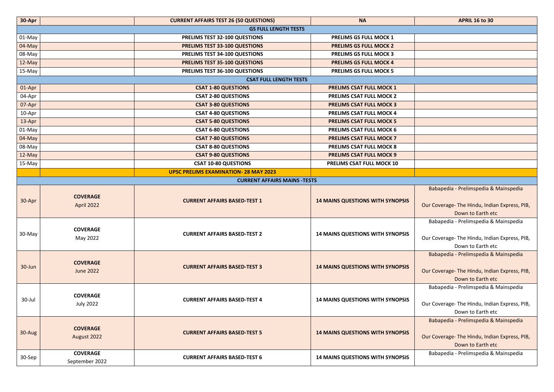| 30-Apr   |                                     | <b>CURRENT AFFAIRS TEST 26 (50 QUESTIONS)</b> | <b>NA</b>                               | <b>APRIL 16 to 30</b>                                                          |  |  |  |
|----------|-------------------------------------|-----------------------------------------------|-----------------------------------------|--------------------------------------------------------------------------------|--|--|--|
|          | <b>GS FULL LENGTH TESTS</b>         |                                               |                                         |                                                                                |  |  |  |
| 01-May   |                                     | PRELIMS TEST 32-100 QUESTIONS                 | <b>PRELIMS GS FULL MOCK 1</b>           |                                                                                |  |  |  |
| $04-May$ |                                     | <b>PRELIMS TEST 33-100 QUESTIONS</b>          | <b>PRELIMS GS FULL MOCK 2</b>           |                                                                                |  |  |  |
| 08-May   |                                     | PRELIMS TEST 34-100 QUESTIONS                 | <b>PRELIMS GS FULL MOCK 3</b>           |                                                                                |  |  |  |
| 12-May   |                                     | <b>PRELIMS TEST 35-100 QUESTIONS</b>          | <b>PRELIMS GS FULL MOCK 4</b>           |                                                                                |  |  |  |
| 15-May   |                                     | PRELIMS TEST 36-100 QUESTIONS                 | <b>PRELIMS GS FULL MOCK 5</b>           |                                                                                |  |  |  |
|          | <b>CSAT FULL LENGTH TESTS</b>       |                                               |                                         |                                                                                |  |  |  |
| 01-Apr   |                                     | <b>CSAT 1-80 QUESTIONS</b>                    | <b>PRELIMS CSAT FULL MOCK 1</b>         |                                                                                |  |  |  |
| 04-Apr   |                                     | <b>CSAT 2-80 QUESTIONS</b>                    | <b>PRELIMS CSAT FULL MOCK 2</b>         |                                                                                |  |  |  |
| 07-Apr   |                                     | <b>CSAT 3-80 QUESTIONS</b>                    | <b>PRELIMS CSAT FULL MOCK 3</b>         |                                                                                |  |  |  |
| 10-Apr   |                                     | <b>CSAT 4-80 QUESTIONS</b>                    | <b>PRELIMS CSAT FULL MOCK 4</b>         |                                                                                |  |  |  |
| 13-Apr   |                                     | <b>CSAT 5-80 QUESTIONS</b>                    | <b>PRELIMS CSAT FULL MOCK 5</b>         |                                                                                |  |  |  |
| 01-May   |                                     | <b>CSAT 6-80 QUESTIONS</b>                    | <b>PRELIMS CSAT FULL MOCK 6</b>         |                                                                                |  |  |  |
| 04-May   |                                     | <b>CSAT 7-80 QUESTIONS</b>                    | <b>PRELIMS CSAT FULL MOCK 7</b>         |                                                                                |  |  |  |
| 08-May   |                                     | <b>CSAT 8-80 QUESTIONS</b>                    | <b>PRELIMS CSAT FULL MOCK 8</b>         |                                                                                |  |  |  |
| 12-May   |                                     | <b>CSAT 9-80 QUESTIONS</b>                    | <b>PRELIMS CSAT FULL MOCK 9</b>         |                                                                                |  |  |  |
| 15-May   |                                     | <b>CSAT 10-80 QUESTIONS</b>                   | PRELIMS CSAT FULL MOCK 10               |                                                                                |  |  |  |
|          |                                     | <b>UPSC PRELIMS EXAMINATION- 28 MAY 2023</b>  |                                         |                                                                                |  |  |  |
|          | <b>CURRENT AFFAIRS MAINS -TESTS</b> |                                               |                                         |                                                                                |  |  |  |
| 30-Apr   | <b>COVERAGE</b><br>April 2022       | <b>CURRENT AFFAIRS BASED-TEST 1</b>           | <b>14 MAINS QUESTIONS WITH SYNOPSIS</b> | Babapedia - Prelimspedia 8<br>Our Coverage- The Hindu, Indi<br>Down to Earth e |  |  |  |
| 30-May   | <b>COVERAGE</b><br>May 2022         | <b>CURRENT AFFAIRS BASED-TEST 2</b>           | <b>14 MAINS QUESTIONS WITH SYNOPSIS</b> | Babapedia - Prelimspedia 8<br>Our Coverage- The Hindu, Indi<br>Down to Earth e |  |  |  |
| 30-Jun   | <b>COVERAGE</b><br><b>June 2022</b> | <b>CURRENT AFFAIRS BASED-TEST 3</b>           | <b>14 MAINS QUESTIONS WITH SYNOPSIS</b> | Babapedia - Prelimspedia 8<br>Our Coverage- The Hindu, Indi<br>Down to Earth e |  |  |  |
| 30-Jul   | <b>COVERAGE</b><br><b>July 2022</b> | <b>CURRENT AFFAIRS BASED-TEST 4</b>           | <b>14 MAINS QUESTIONS WITH SYNOPSIS</b> | Babapedia - Prelimspedia 8<br>Our Coverage- The Hindu, Indi<br>Down to Earth e |  |  |  |
| 30-Aug   | <b>COVERAGE</b><br>August 2022      | <b>CURRENT AFFAIRS BASED-TEST 5</b>           | <b>14 MAINS QUESTIONS WITH SYNOPSIS</b> | Babapedia - Prelimspedia 8<br>Our Coverage- The Hindu, Indi<br>Down to Earth e |  |  |  |
| 30-Sep   | <b>COVERAGE</b><br>September 2022   | <b>CURRENT AFFAIRS BASED-TEST 6</b>           | <b>14 MAINS QUESTIONS WITH SYNOPSIS</b> | Babapedia - Prelimspedia 8                                                     |  |  |  |

Babapedia - Prelimspedia & Mainspedia

Our Coverage- The Hindu, Indian Express, PIB, Down to Earth etc

Babapedia - Prelimspedia & Mainspedia

Our Coverage- The Hindu, Indian Express, PIB, Down to Earth etc

Babapedia - Prelimspedia & Mainspedia

Our Coverage- The Hindu, Indian Express, PIB, Down to Earth etc

Babapedia - Prelimspedia & Mainspedia

Our Coverage- The Hindu, Indian Express, PIB, Down to Earth etc

Babapedia - Prelimspedia & Mainspedia

Our Coverage- The Hindu, Indian Express, PIB, Down to Earth etc

Babapedia - Prelimspedia & Mainspedia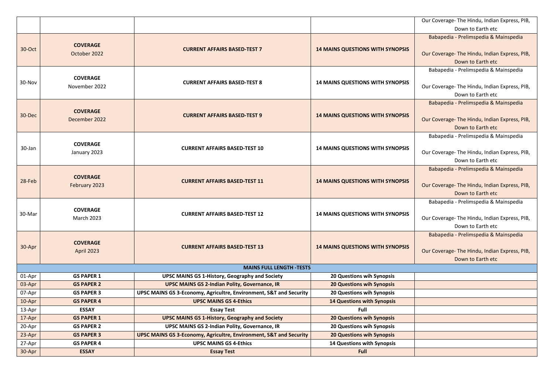Our Coverage- The Hindu, Indian Express, PIB, Down to Earth etc

Babapedia - Prelimspedia & Mainspedia

Our Coverage- The Hindu, Indian Express, PIB, Down to Earth etc

Babapedia - Prelimspedia & Mainspedia

Our Coverage- The Hindu, Indian Express, PIB, Down to Earth etc

Babapedia - Prelimspedia & Mainspedia

Our Coverage- The Hindu, Indian Express, PIB, Down to Earth etc

Babapedia - Prelimspedia & Mainspedia

Our Coverage- The Hindu, Indian Express, PIB, Down to Earth etc

Babapedia - Prelimspedia & Mainspedia

Our Coverage- The Hindu, Indian Express, PIB, Down to Earth etc

| 30-Oct | <b>COVERAGE</b><br>October 2022      | <b>CURRENT AFFAIRS BASED-TEST 7</b>                                | <b>14 MAINS QUESTIONS WITH SYNOPSIS</b> |  |
|--------|--------------------------------------|--------------------------------------------------------------------|-----------------------------------------|--|
| 30-Nov | <b>COVERAGE</b><br>November 2022     | <b>CURRENT AFFAIRS BASED-TEST 8</b>                                | <b>14 MAINS QUESTIONS WITH SYNOPSIS</b> |  |
| 30-Dec | <b>COVERAGE</b><br>December 2022     | <b>CURRENT AFFAIRS BASED-TEST 9</b>                                | <b>14 MAINS QUESTIONS WITH SYNOPSIS</b> |  |
| 30-Jan | <b>COVERAGE</b><br>January 2023      | <b>CURRENT AFFAIRS BASED-TEST 10</b>                               | <b>14 MAINS QUESTIONS WITH SYNOPSIS</b> |  |
| 28-Feb | <b>COVERAGE</b><br>February 2023     | <b>CURRENT AFFAIRS BASED-TEST 11</b>                               | <b>14 MAINS QUESTIONS WITH SYNOPSIS</b> |  |
| 30-Mar | <b>COVERAGE</b><br><b>March 2023</b> | <b>CURRENT AFFAIRS BASED-TEST 12</b>                               | <b>14 MAINS QUESTIONS WITH SYNOPSIS</b> |  |
| 30-Apr | <b>COVERAGE</b><br><b>April 2023</b> | <b>CURRENT AFFAIRS BASED-TEST 13</b>                               | <b>14 MAINS QUESTIONS WITH SYNOPSIS</b> |  |
|        |                                      | <b>MAINS FULL LENGTH -TESTS</b>                                    |                                         |  |
| 01-Apr | <b>GS PAPER 1</b>                    | <b>UPSC MAINS GS 1-History, Geography and Society</b>              | <b>20 Questions wih Synopsis</b>        |  |
| 03-Apr | <b>GS PAPER 2</b>                    | <b>UPSC MAINS GS 2-Indian Polity, Governance, IR</b>               | <b>20 Questions wih Synopsis</b>        |  |
| 07-Apr | <b>GS PAPER 3</b>                    | UPSC MAINS GS 3-Economy, Agricultre, Environment, S&T and Security | <b>20 Questions wih Synopsis</b>        |  |
| 10-Apr | <b>GS PAPER 4</b>                    | <b>UPSC MAINS GS 4-Ethics</b>                                      | <b>14 Questions with Synopsis</b>       |  |
| 13-Apr | <b>ESSAY</b>                         | <b>Essay Test</b>                                                  | Full                                    |  |
| 17-Apr | <b>GS PAPER 1</b>                    | <b>UPSC MAINS GS 1-History, Geography and Society</b>              | <b>20 Questions wih Synopsis</b>        |  |
| 20-Apr | <b>GS PAPER 2</b>                    | <b>UPSC MAINS GS 2-Indian Polity, Governance, IR</b>               | <b>20 Questions wih Synopsis</b>        |  |
| 23-Apr | <b>GS PAPER 3</b>                    | UPSC MAINS GS 3-Economy, Agricultre, Environment, S&T and Security | <b>20 Questions wih Synopsis</b>        |  |
| 27-Apr | <b>GS PAPER 4</b>                    | <b>UPSC MAINS GS 4-Ethics</b>                                      | <b>14 Questions with Synopsis</b>       |  |
| 30-Apr | <b>ESSAY</b>                         | <b>Essay Test</b>                                                  | <b>Full</b>                             |  |

Babapedia - Prelimspedia & Mainspedia

Our Coverage- The Hindu, Indian Express, PIB, Down to Earth etc

Babapedia - Prelimspedia & Mainspedia

Our Coverage- The Hindu, Indian Express, PIB, Down to Earth etc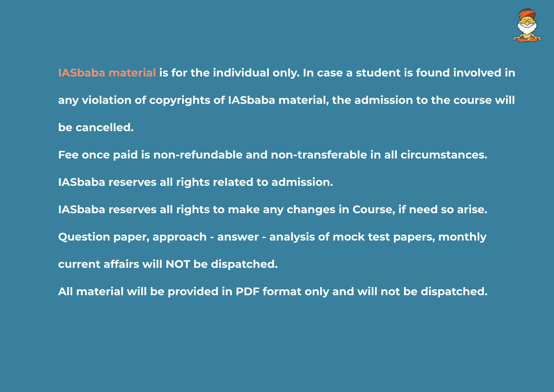**IASbaba material is for the individual only. In case a student is found involved in any violation of copyrights of IASbaba material, the admission to the course will be cancelled.**

**Fee once paid is non-refundable and non-transferable in all circumstances. IASbaba reserves all rights related to admission. IASbaba reserves all rights to make any changes in Course, if need so arise. Question paper, approach - answer - analysis of mock test papers, monthly current affairs will NOT be dispatched.**

**All material will be provided in PDF format only and will not be dispatched.**

![](_page_66_Picture_3.jpeg)